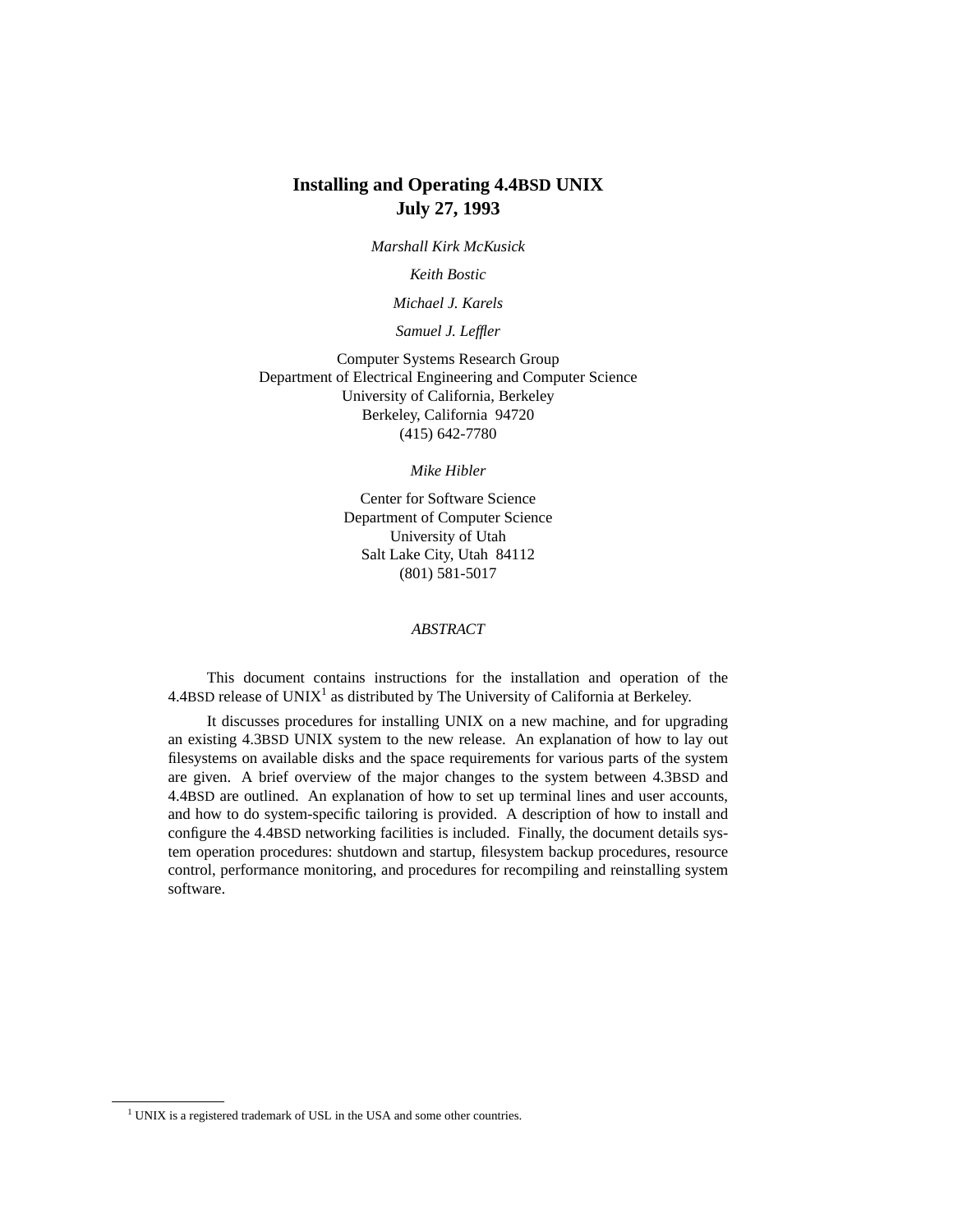## **Installing and Operating 4.4BSD UNIX July 27, 1993**

*Marshall Kirk McKusick*

*Keith Bostic*

*Michael J. Karels*

*Samuel J. Leffler*

Computer Systems Research Group Department of Electrical Engineering and Computer Science University of California, Berkeley Berkeley, California 94720 (415) 642-7780

*Mike Hibler*

Center for Software Science Department of Computer Science University of Utah Salt Lake City, Utah 84112 (801) 581-5017

### *ABSTRACT*

This document contains instructions for the installation and operation of the 4.4BSD release of  $UNIX<sup>1</sup>$  as distributed by The University of California at Berkeley.

It discusses procedures for installing UNIX on a new machine, and for upgrading an existing 4.3BSD UNIX system to the new release. An explanation of how to lay out filesystems on available disks and the space requirements for various parts of the system are given. A brief overview of the major changes to the system between 4.3BSD and 4.4BSD are outlined. An explanation of how to set up terminal lines and user accounts, and how to do system-specific tailoring is provided. A description of how to install and configure the 4.4BSD networking facilities is included. Finally, the document details system operation procedures: shutdown and startup, filesystem backup procedures, resource control, performance monitoring, and procedures for recompiling and reinstalling system software.

<sup>&</sup>lt;sup>1</sup> UNIX is a registered trademark of USL in the USA and some other countries.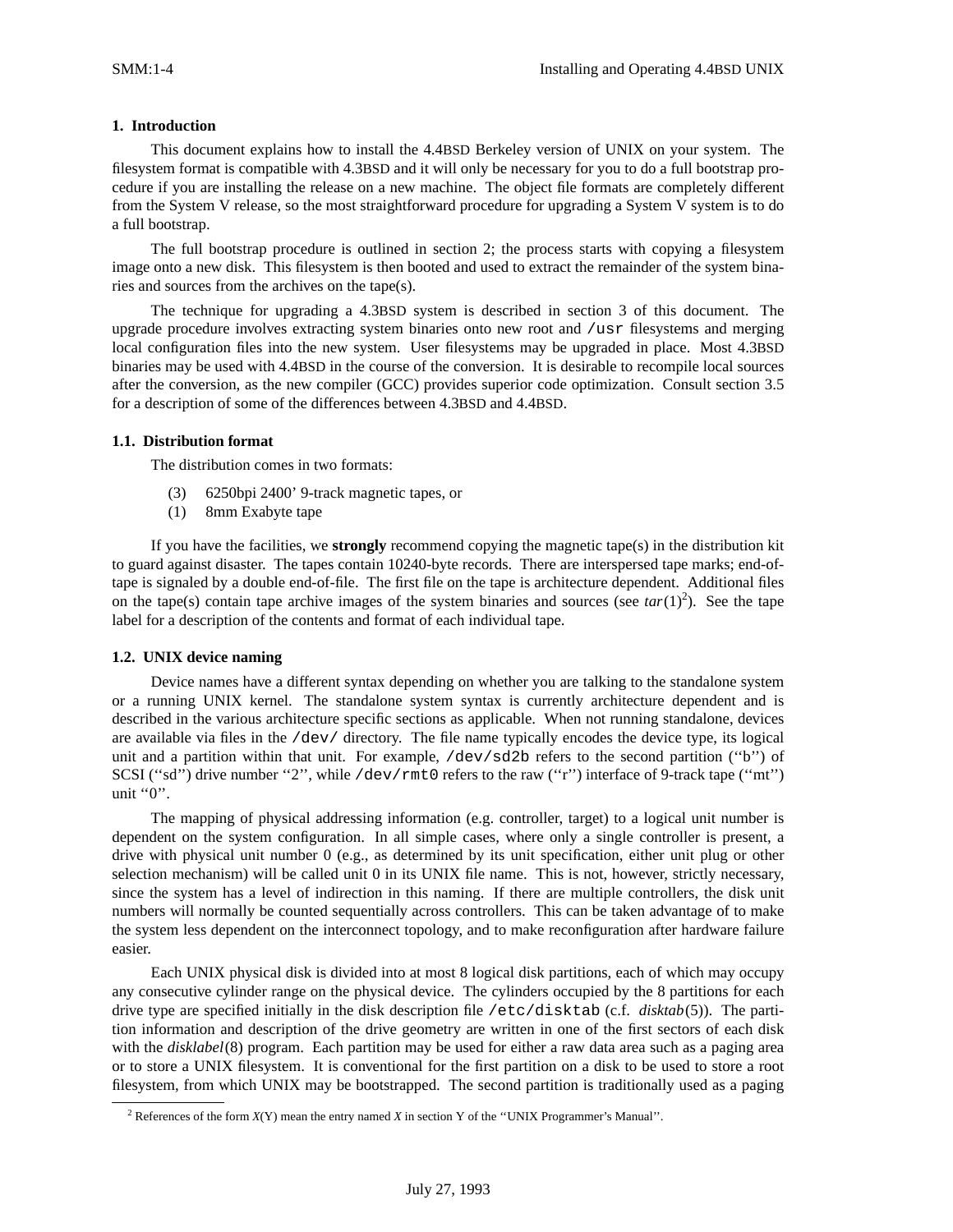### **1. Introduction**

This document explains how to install the 4.4BSD Berkeley version of UNIX on your system. The filesystem format is compatible with 4.3BSD and it will only be necessary for you to do a full bootstrap procedure if you are installing the release on a new machine. The object file formats are completely different from the System V release, so the most straightforward procedure for upgrading a System V system is to do a full bootstrap.

The full bootstrap procedure is outlined in section 2; the process starts with copying a filesystem image onto a new disk. This filesystem is then booted and used to extract the remainder of the system binaries and sources from the archives on the tape(s).

The technique for upgrading a 4.3BSD system is described in section 3 of this document. The upgrade procedure involves extracting system binaries onto new root and /usr filesystems and merging local configuration files into the new system. User filesystems may be upgraded in place. Most 4.3BSD binaries may be used with 4.4BSD in the course of the conversion. It is desirable to recompile local sources after the conversion, as the new compiler (GCC) provides superior code optimization. Consult section 3.5 for a description of some of the differences between 4.3BSD and 4.4BSD.

### **1.1. Distribution format**

The distribution comes in two formats:

- (3) 6250bpi 2400' 9-track magnetic tapes, or
- (1) 8mm Exabyte tape

If you have the facilities, we **strongly** recommend copying the magnetic tape(s) in the distribution kit to guard against disaster. The tapes contain 10240-byte records. There are interspersed tape marks; end-oftape is signaled by a double end-of-file. The first file on the tape is architecture dependent. Additional files on the tape(s) contain tape archive images of the system binaries and sources (see  $tar(1)<sup>2</sup>$ ). See the tape label for a description of the contents and format of each individual tape.

#### **1.2. UNIX device naming**

Device names have a different syntax depending on whether you are talking to the standalone system or a running UNIX kernel. The standalone system syntax is currently architecture dependent and is described in the various architecture specific sections as applicable. When not running standalone, devices are available via files in the /dev/ directory. The file name typically encodes the device type, its logical unit and a partition within that unit. For example,  $/dev/sd2b$  refers to the second partition ("b") of SCSI ("sd") drive number "2", while /dev/rmt0 refers to the raw ("r") interface of 9-track tape ("mt") unit "0".

The mapping of physical addressing information (e.g. controller, target) to a logical unit number is dependent on the system configuration. In all simple cases, where only a single controller is present, a drive with physical unit number 0 (e.g., as determined by its unit specification, either unit plug or other selection mechanism) will be called unit 0 in its UNIX file name. This is not, however, strictly necessary, since the system has a level of indirection in this naming. If there are multiple controllers, the disk unit numbers will normally be counted sequentially across controllers. This can be taken advantage of to make the system less dependent on the interconnect topology, and to make reconfiguration after hardware failure easier.

Each UNIX physical disk is divided into at most 8 logical disk partitions, each of which may occupy any consecutive cylinder range on the physical device. The cylinders occupied by the 8 partitions for each drive type are specified initially in the disk description file /etc/disktab (c.f. *disktab*(5)). The partition information and description of the drive geometry are written in one of the first sectors of each disk with the *disklabel*(8) program. Each partition may be used for either a raw data area such as a paging area or to store a UNIX filesystem. It is conventional for the first partition on a disk to be used to store a root filesystem, from which UNIX may be bootstrapped. The second partition is traditionally used as a paging

<sup>&</sup>lt;sup>2</sup> References of the form  $X(Y)$  mean the entry named *X* in section Y of the "UNIX Programmer's Manual".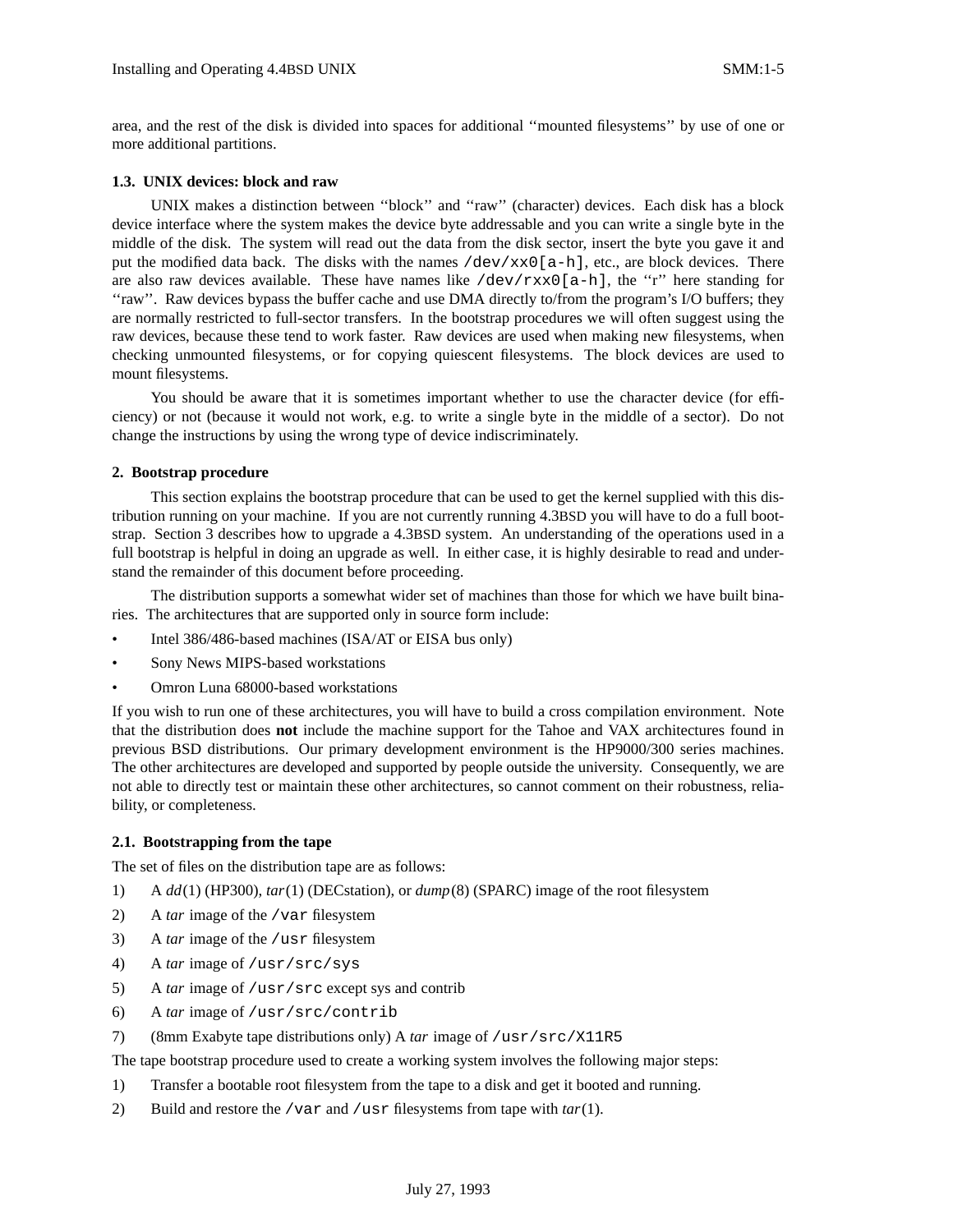area, and the rest of the disk is divided into spaces for additional ''mounted filesystems'' by use of one or more additional partitions.

### **1.3. UNIX devices: block and raw**

UNIX makes a distinction between ''block'' and ''raw'' (character) devices. Each disk has a block device interface where the system makes the device byte addressable and you can write a single byte in the middle of the disk. The system will read out the data from the disk sector, insert the byte you gave it and put the modified data back. The disks with the names  $/dev/xx0[a-h]$ , etc., are block devices. There are also raw devices available. These have names like  $/dev/rxx0[a-h]$ , the "r" here standing for ''raw''. Raw devices bypass the buffer cache and use DMA directly to/from the program's I/O buffers; they are normally restricted to full-sector transfers. In the bootstrap procedures we will often suggest using the raw devices, because these tend to work faster. Raw devices are used when making new filesystems, when checking unmounted filesystems, or for copying quiescent filesystems. The block devices are used to mount filesystems.

You should be aware that it is sometimes important whether to use the character device (for efficiency) or not (because it would not work, e.g. to write a single byte in the middle of a sector). Do not change the instructions by using the wrong type of device indiscriminately.

### **2. Bootstrap procedure**

This section explains the bootstrap procedure that can be used to get the kernel supplied with this distribution running on your machine. If you are not currently running 4.3BSD you will have to do a full bootstrap. Section 3 describes how to upgrade a 4.3BSD system. An understanding of the operations used in a full bootstrap is helpful in doing an upgrade as well. In either case, it is highly desirable to read and understand the remainder of this document before proceeding.

The distribution supports a somewhat wider set of machines than those for which we have built binaries. The architectures that are supported only in source form include:

- Intel 386/486-based machines (ISA/AT or EISA bus only)
- Sony News MIPS-based workstations
- Omron Luna 68000-based workstations

If you wish to run one of these architectures, you will have to build a cross compilation environment. Note that the distribution does **not** include the machine support for the Tahoe and VAX architectures found in previous BSD distributions. Our primary development environment is the HP9000/300 series machines. The other architectures are developed and supported by people outside the university. Consequently, we are not able to directly test or maintain these other architectures, so cannot comment on their robustness, reliability, or completeness.

### **2.1. Bootstrapping from the tape**

The set of files on the distribution tape are as follows:

- 1) A *dd*(1) (HP300), *tar*(1) (DECstation), or *dump*(8) (SPARC) image of the root filesystem
- 2) A *tar* image of the /var filesystem
- 3) A *tar* image of the /usr filesystem
- 4) A *tar* image of /usr/src/sys
- 5) A *tar* image of /usr/src except sys and contrib
- 6) A *tar* image of /usr/src/contrib
- 7) (8mm Exabyte tape distributions only) A *tar* image of /usr/src/X11R5

The tape bootstrap procedure used to create a working system involves the following major steps:

- 1) Transfer a bootable root filesystem from the tape to a disk and get it booted and running.
- 2) Build and restore the /var and /usr filesystems from tape with *tar*(1).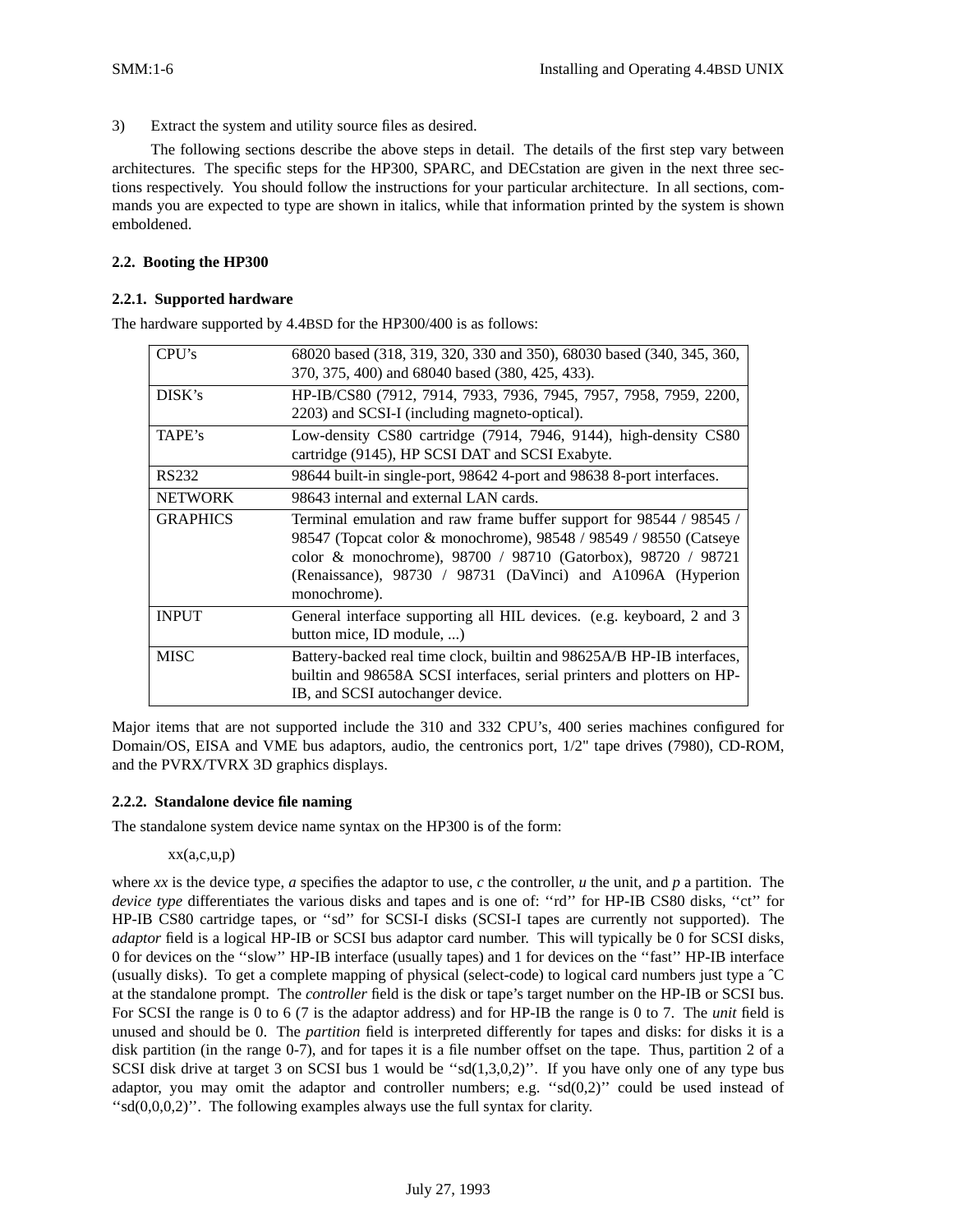3) Extract the system and utility source files as desired.

The following sections describe the above steps in detail. The details of the first step vary between architectures. The specific steps for the HP300, SPARC, and DECstation are given in the next three sections respectively. You should follow the instructions for your particular architecture. In all sections, commands you are expected to type are shown in italics, while that information printed by the system is shown emboldened.

## **2.2. Booting the HP300**

## **2.2.1. Supported hardware**

The hardware supported by 4.4BSD for the HP300/400 is as follows:

| CPI's           | 68020 based (318, 319, 320, 330 and 350), 68030 based (340, 345, 360,   |
|-----------------|-------------------------------------------------------------------------|
|                 | 370, 375, 400) and 68040 based (380, 425, 433).                         |
| DISK's          | HP-IB/CS80 (7912, 7914, 7933, 7936, 7945, 7957, 7958, 7959, 2200,       |
|                 | 2203) and SCSI-I (including magneto-optical).                           |
| TAPE's          | Low-density CS80 cartridge (7914, 7946, 9144), high-density CS80        |
|                 | cartridge (9145), HP SCSI DAT and SCSI Exabyte.                         |
| RS232           | 98644 built-in single-port, 98642 4-port and 98638 8-port interfaces.   |
| <b>NETWORK</b>  | 98643 internal and external LAN cards.                                  |
| <b>GRAPHICS</b> | Terminal emulation and raw frame buffer support for 98544 / 98545 /     |
|                 | 98547 (Topcat color & monochrome), 98548 / 98549 / 98550 (Catseye       |
|                 | color & monochrome), 98700 / 98710 (Gatorbox), 98720 / 98721            |
|                 | (Renaissance), 98730 / 98731 (DaVinci) and A1096A (Hyperion             |
|                 | monochrome).                                                            |
| <b>INPUT</b>    | General interface supporting all HIL devices. (e.g. keyboard, 2 and 3   |
|                 | button mice, ID module, )                                               |
| <b>MISC</b>     | Battery-backed real time clock, builtin and 98625A/B HP-IB interfaces,  |
|                 | builtin and 98658A SCSI interfaces, serial printers and plotters on HP- |
|                 | IB, and SCSI autochanger device.                                        |

Major items that are not supported include the 310 and 332 CPU's, 400 series machines configured for Domain/OS, EISA and VME bus adaptors, audio, the centronics port, 1/2" tape drives (7980), CD-ROM, and the PVRX/TVRX 3D graphics displays.

### **2.2.2. Standalone device file naming**

The standalone system device name syntax on the HP300 is of the form:

### $xx(a,c,u,p)$

where *xx* is the device type, *a* specifies the adaptor to use, *c* the controller, *u* the unit, and *p* a partition. The *device type* differentiates the various disks and tapes and is one of: "rd" for HP-IB CS80 disks, "ct" for HP-IB CS80 cartridge tapes, or ''sd'' for SCSI-I disks (SCSI-I tapes are currently not supported). The *adaptor* field is a logical HP-IB or SCSI bus adaptor card number. This will typically be 0 for SCSI disks, 0 for devices on the ''slow'' HP-IB interface (usually tapes) and 1 for devices on the ''fast'' HP-IB interface (usually disks). To get a complete mapping of physical (select-code) to logical card numbers just type a ˆC at the standalone prompt. The *controller* field is the disk or tape's target number on the HP-IB or SCSI bus. For SCSI the range is 0 to 6 (7 is the adaptor address) and for HP-IB the range is 0 to 7. The *unit* field is unused and should be 0. The *partition* field is interpreted differently for tapes and disks: for disks it is a disk partition (in the range 0-7), and for tapes it is a file number offset on the tape. Thus, partition 2 of a SCSI disk drive at target 3 on SCSI bus 1 would be "sd(1,3,0,2)". If you have only one of any type bus adaptor, you may omit the adaptor and controller numbers; e.g. " $sd(0,2)$ " could be used instead of " $sd(0,0,0,2)$ ". The following examples always use the full syntax for clarity.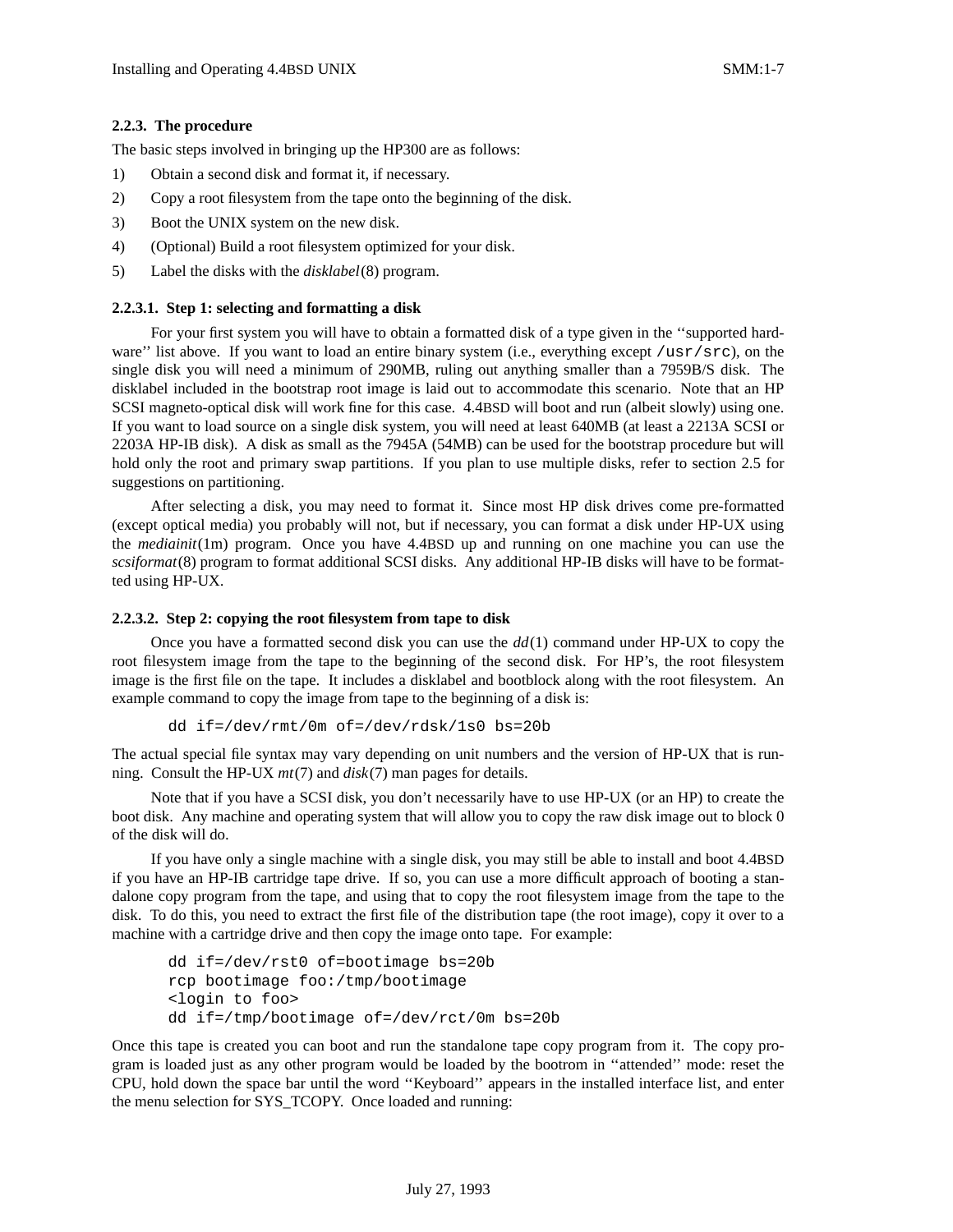## **2.2.3. The procedure**

The basic steps involved in bringing up the HP300 are as follows:

- 1) Obtain a second disk and format it, if necessary.
- 2) Copy a root filesystem from the tape onto the beginning of the disk.
- 3) Boot the UNIX system on the new disk.
- 4) (Optional) Build a root filesystem optimized for your disk.
- 5) Label the disks with the *disklabel*(8) program.

## **2.2.3.1. Step 1: selecting and formatting a disk**

For your first system you will have to obtain a formatted disk of a type given in the ''supported hardware'' list above. If you want to load an entire binary system (i.e., everything except /usr/src), on the single disk you will need a minimum of 290MB, ruling out anything smaller than a 7959B/S disk. The disklabel included in the bootstrap root image is laid out to accommodate this scenario. Note that an HP SCSI magneto-optical disk will work fine for this case. 4.4BSD will boot and run (albeit slowly) using one. If you want to load source on a single disk system, you will need at least 640MB (at least a 2213A SCSI or 2203A HP-IB disk). A disk as small as the 7945A (54MB) can be used for the bootstrap procedure but will hold only the root and primary swap partitions. If you plan to use multiple disks, refer to section 2.5 for suggestions on partitioning.

After selecting a disk, you may need to format it. Since most HP disk drives come pre-formatted (except optical media) you probably will not, but if necessary, you can format a disk under HP-UX using the *mediainit*(1m) program. Once you have 4.4BSD up and running on one machine you can use the *scsiformat*(8) program to format additional SCSI disks. Any additional HP-IB disks will have to be formatted using HP-UX.

## **2.2.3.2. Step 2: copying the root filesystem from tape to disk**

Once you have a formatted second disk you can use the *dd*(1) command under HP-UX to copy the root filesystem image from the tape to the beginning of the second disk. For HP's, the root filesystem image is the first file on the tape. It includes a disklabel and bootblock along with the root filesystem. An example command to copy the image from tape to the beginning of a disk is:

```
dd if=/dev/rmt/0m of=/dev/rdsk/1s0 bs=20b
```
The actual special file syntax may vary depending on unit numbers and the version of HP-UX that is running. Consult the HP-UX *mt*(7) and *disk*(7) man pages for details.

Note that if you have a SCSI disk, you don't necessarily have to use HP-UX (or an HP) to create the boot disk. Any machine and operating system that will allow you to copy the raw disk image out to block 0 of the disk will do.

If you have only a single machine with a single disk, you may still be able to install and boot 4.4BSD if you have an HP-IB cartridge tape drive. If so, you can use a more difficult approach of booting a standalone copy program from the tape, and using that to copy the root filesystem image from the tape to the disk. To do this, you need to extract the first file of the distribution tape (the root image), copy it over to a machine with a cartridge drive and then copy the image onto tape. For example:

```
dd if=/dev/rst0 of=bootimage bs=20b
rcp bootimage foo:/tmp/bootimage
<login to foo>
dd if=/tmp/bootimage of=/dev/rct/0m bs=20b
```
Once this tape is created you can boot and run the standalone tape copy program from it. The copy program is loaded just as any other program would be loaded by the bootrom in ''attended'' mode: reset the CPU, hold down the space bar until the word ''Keyboard'' appears in the installed interface list, and enter the menu selection for SYS\_TCOPY. Once loaded and running: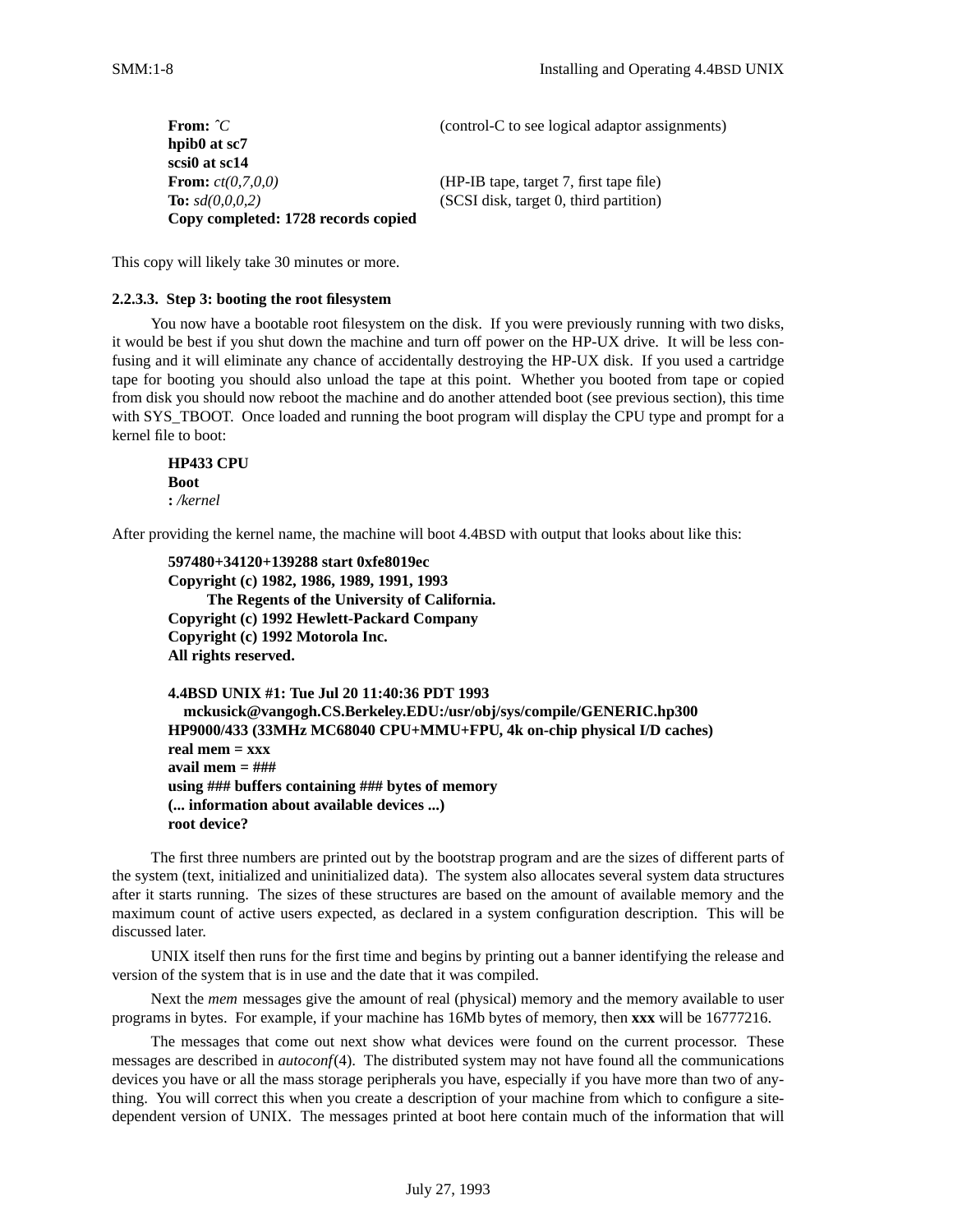| From: $\hat{C}$                     | (control-C to see logical adaptor assignments) |
|-------------------------------------|------------------------------------------------|
| hpib0 at sc7                        |                                                |
| scsi0 at sc14                       |                                                |
| <b>From:</b> $ct(0, 7, 0, 0)$       | (HP-IB tape, target 7, first tape file)        |
| <b>To:</b> $sd(0,0,0,2)$            | (SCSI disk, target 0, third partition)         |
| Copy completed: 1728 records copied |                                                |

This copy will likely take 30 minutes or more.

## **2.2.3.3. Step 3: booting the root filesystem**

You now have a bootable root filesystem on the disk. If you were previously running with two disks, it would be best if you shut down the machine and turn off power on the HP-UX drive. It will be less confusing and it will eliminate any chance of accidentally destroying the HP-UX disk. If you used a cartridge tape for booting you should also unload the tape at this point. Whether you booted from tape or copied from disk you should now reboot the machine and do another attended boot (see previous section), this time with SYS\_TBOOT. Once loaded and running the boot program will display the CPU type and prompt for a kernel file to boot:

**HP433 CPU Boot :** */kernel*

After providing the kernel name, the machine will boot 4.4BSD with output that looks about like this:

```
597480+34120+139288 start 0xfe8019ec
Copyright (c) 1982, 1986, 1989, 1991, 1993
     The Regents of the University of California.
Copyright (c) 1992 Hewlett-Packard Company
Copyright (c) 1992 Motorola Inc.
All rights reserved.
```

```
4.4BSD UNIX #1: Tue Jul 20 11:40:36 PDT 1993
  mckusick@vangogh.CS.Berkeley.EDU:/usr/obj/sys/compile/GENERIC.hp300
HP9000/433 (33MHz MC68040 CPU+MMU+FPU, 4k on-chip physical I/D caches)
real mem = xxx
av ail mem = ###
using ### buffers containing ### bytes of memory
(... information about available devices ...)
root device?
```
The first three numbers are printed out by the bootstrap program and are the sizes of different parts of the system (text, initialized and uninitialized data). The system also allocates several system data structures after it starts running. The sizes of these structures are based on the amount of available memory and the maximum count of active users expected, as declared in a system configuration description. This will be discussed later.

UNIX itself then runs for the first time and begins by printing out a banner identifying the release and version of the system that is in use and the date that it was compiled.

Next the *mem* messages give the amount of real (physical) memory and the memory available to user programs in bytes. For example, if your machine has 16Mb bytes of memory, then **xxx** will be 16777216.

The messages that come out next show what devices were found on the current processor. These messages are described in *autoconf*(4). The distributed system may not have found all the communications devices you have or all the mass storage peripherals you have, especially if you have more than two of anything. You will correct this when you create a description of your machine from which to configure a sitedependent version of UNIX. The messages printed at boot here contain much of the information that will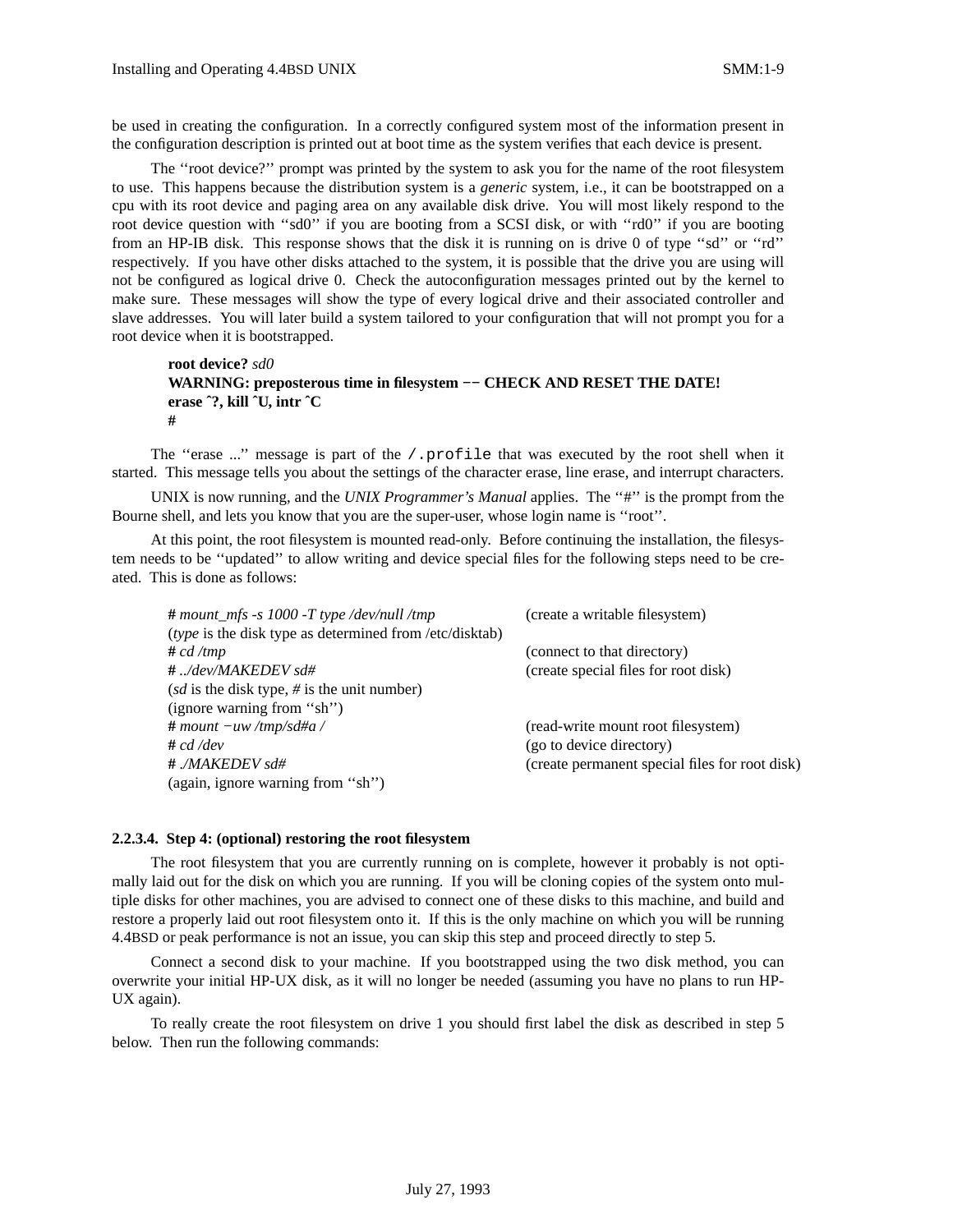be used in creating the configuration. In a correctly configured system most of the information present in the configuration description is printed out at boot time as the system verifies that each device is present.

The ''root device?'' prompt was printed by the system to ask you for the name of the root filesystem to use. This happens because the distribution system is a *generic* system, i.e., it can be bootstrapped on a cpu with its root device and paging area on any available disk drive. You will most likely respond to the root device question with ''sd0'' if you are booting from a SCSI disk, or with ''rd0'' if you are booting from an HP-IB disk. This response shows that the disk it is running on is drive 0 of type ''sd'' or ''rd'' respectively. If you have other disks attached to the system, it is possible that the drive you are using will not be configured as logical drive 0. Check the autoconfiguration messages printed out by the kernel to make sure. These messages will show the type of every logical drive and their associated controller and slave addresses. You will later build a system tailored to your configuration that will not prompt you for a root device when it is bootstrapped.

```
root device? sd0
WARNING: preposterous time in filesystem −− CHECK AND RESET THE DATE!
erase ˆ?, kill ˆU, intr ˆC
#
```
The "erase ..." message is part of the /.profile that was executed by the root shell when it started. This message tells you about the settings of the character erase, line erase, and interrupt characters.

UNIX is now running, and the *UNIX Programmer's Manual* applies. The ''#'' is the prompt from the Bourne shell, and lets you know that you are the super-user, whose login name is ''root''.

At this point, the root filesystem is mounted read-only. Before continuing the installation, the filesystem needs to be ''updated'' to allow writing and device special files for the following steps need to be created. This is done as follows:

| $#$ mount_mfs -s 1000 -T type /dev/null /tmp            | (create a writable filesystem)                 |
|---------------------------------------------------------|------------------------------------------------|
| (type is the disk type as determined from /etc/disktab) |                                                |
| # cd / tmp                                              | (connect to that directory)                    |
| #/dev/MAKEDEV sd#                                       | (create special files for root disk)           |
| (sd is the disk type, $\#$ is the unit number)          |                                                |
| (ignore warning from "sh")                              |                                                |
| $#$ mount $-uw$ /tmp/sd#a /                             | (read-write mount root filesystem)             |
| # cd /dev                                               | (go to device directory)                       |
| # ./MAKEDEV sd#                                         | (create permanent special files for root disk) |
| (again, ignore warning from "sh")                       |                                                |

#### **2.2.3.4. Step 4: (optional) restoring the root filesystem**

The root filesystem that you are currently running on is complete, however it probably is not optimally laid out for the disk on which you are running. If you will be cloning copies of the system onto multiple disks for other machines, you are advised to connect one of these disks to this machine, and build and restore a properly laid out root filesystem onto it. If this is the only machine on which you will be running 4.4BSD or peak performance is not an issue, you can skip this step and proceed directly to step 5.

Connect a second disk to your machine. If you bootstrapped using the two disk method, you can overwrite your initial HP-UX disk, as it will no longer be needed (assuming you have no plans to run HP-UX again).

To really create the root filesystem on drive 1 you should first label the disk as described in step 5 below. Then run the following commands: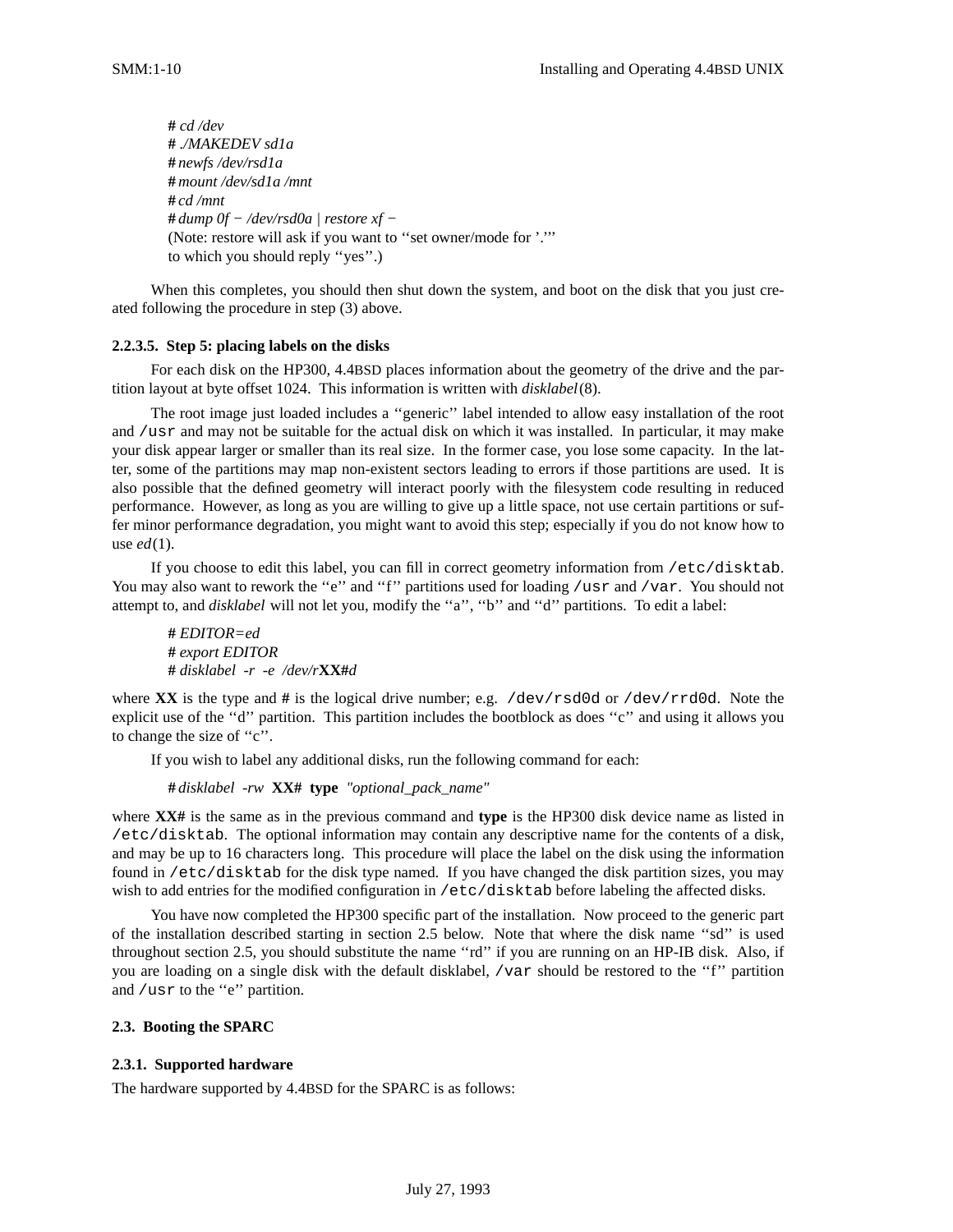**#** *cd /dev* **#** *./MAKEDEV sd1a* **#** *newfs /dev/rsd1a* **#** *mount /dev/sd1a /mnt* **#** *cd /mnt* **#** *dump 0f − /dev/rsd0a | restore xf −* (Note: restore will ask if you want to ''set owner/mode for '.''' to which you should reply ''yes''.)

When this completes, you should then shut down the system, and boot on the disk that you just created following the procedure in step (3) above.

## **2.2.3.5. Step 5: placing labels on the disks**

For each disk on the HP300, 4.4BSD places information about the geometry of the drive and the partition layout at byte offset 1024. This information is written with *disklabel*(8).

The root image just loaded includes a ''generic'' label intended to allow easy installation of the root and /usr and may not be suitable for the actual disk on which it was installed. In particular, it may make your disk appear larger or smaller than its real size. In the former case, you lose some capacity. In the latter, some of the partitions may map non-existent sectors leading to errors if those partitions are used. It is also possible that the defined geometry will interact poorly with the filesystem code resulting in reduced performance. However, as long as you are willing to give up a little space, not use certain partitions or suffer minor performance degradation, you might want to avoid this step; especially if you do not know how to use *ed*(1).

If you choose to edit this label, you can fill in correct geometry information from /etc/disktab. You may also want to rework the "e" and "f" partitions used for loading /usr and /var. You should not attempt to, and *disklabel* will not let you, modify the "a", "b" and "d" partitions. To edit a label:

**#** *EDITOR=ed* **#** *export EDITOR* **#** *disklabel -r -e /dev/r***XX#***d*

where **XX** is the type and # is the logical drive number; e.g. /dev/rsd0d or /dev/rrd0d. Note the explicit use of the ''d'' partition. This partition includes the bootblock as does ''c'' and using it allows you to change the size of ''c''.

If you wish to label any additional disks, run the following command for each:

**#** *disklabel -rw* **XX# type** *"optional\_pack\_name"*

where **XX#** is the same as in the previous command and **type** is the HP300 disk device name as listed in /etc/disktab. The optional information may contain any descriptive name for the contents of a disk, and may be up to 16 characters long. This procedure will place the label on the disk using the information found in /etc/disktab for the disk type named. If you have changed the disk partition sizes, you may wish to add entries for the modified configuration in /etc/disktab before labeling the affected disks.

You have now completed the HP300 specific part of the installation. Now proceed to the generic part of the installation described starting in section 2.5 below. Note that where the disk name ''sd'' is used throughout section 2.5, you should substitute the name ''rd'' if you are running on an HP-IB disk. Also, if you are loading on a single disk with the default disklabel, /var should be restored to the "f" partition and /usr to the "e" partition.

### **2.3. Booting the SPARC**

## **2.3.1. Supported hardware**

The hardware supported by 4.4BSD for the SPARC is as follows: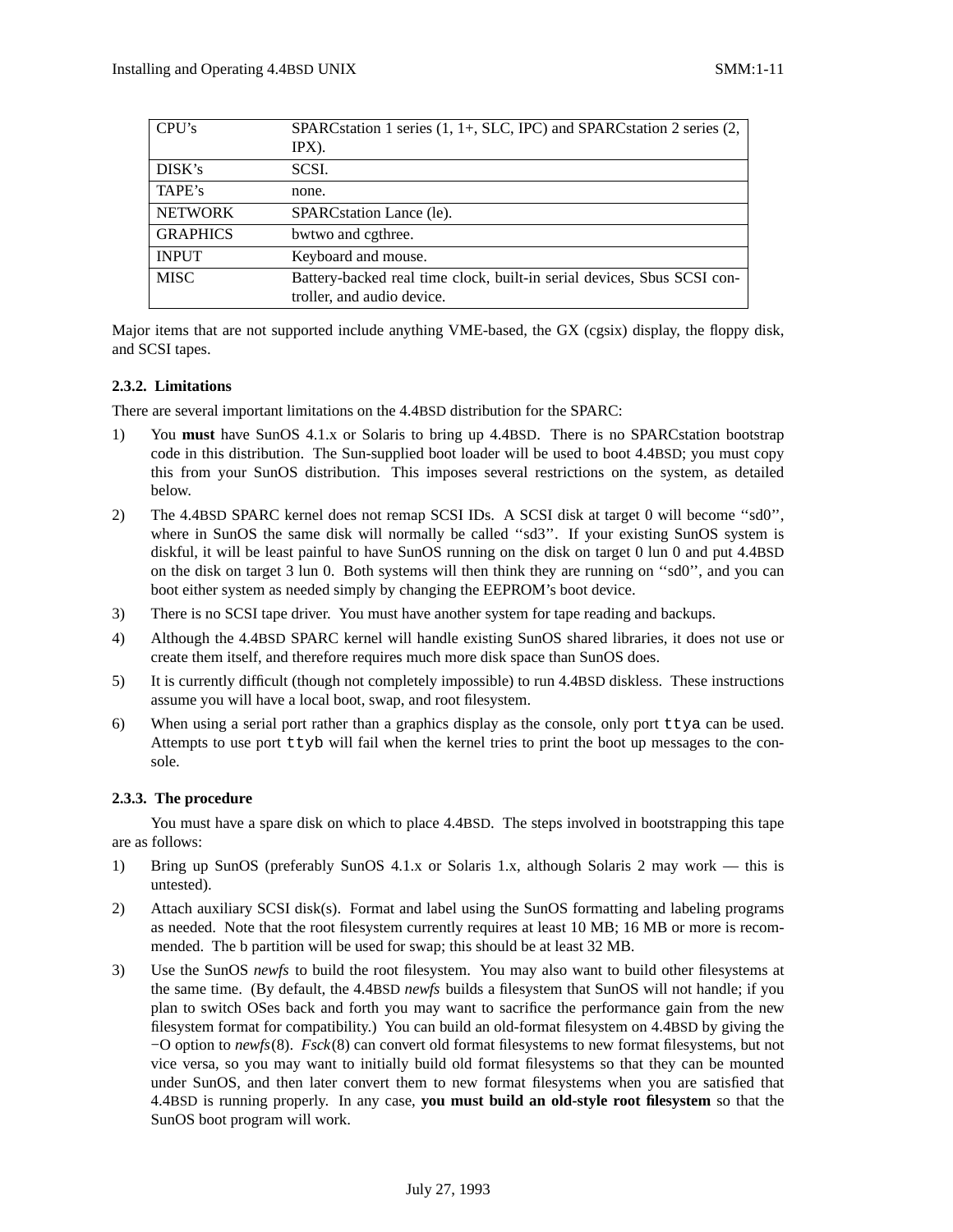| CPU's           | SPARCstation 1 series (1, 1+, SLC, IPC) and SPARCstation 2 series (2,                                 |
|-----------------|-------------------------------------------------------------------------------------------------------|
|                 | $IPX$ ).                                                                                              |
| DISK's          | SCSI.                                                                                                 |
| TAPE's          | none.                                                                                                 |
| <b>NETWORK</b>  | SPARCstation Lance (le).                                                                              |
| <b>GRAPHICS</b> | bwtwo and cgthree.                                                                                    |
| <b>INPUT</b>    | Keyboard and mouse.                                                                                   |
| <b>MISC</b>     | Battery-backed real time clock, built-in serial devices, Sbus SCSI con-<br>troller, and audio device. |

Major items that are not supported include anything VME-based, the GX (cgsix) display, the floppy disk, and SCSI tapes.

## **2.3.2. Limitations**

There are several important limitations on the 4.4BSD distribution for the SPARC:

- 1) You **must** have SunOS 4.1.x or Solaris to bring up 4.4BSD. There is no SPARCstation bootstrap code in this distribution. The Sun-supplied boot loader will be used to boot 4.4BSD; you must copy this from your SunOS distribution. This imposes several restrictions on the system, as detailed below.
- 2) The 4.4BSD SPARC kernel does not remap SCSI IDs. A SCSI disk at target 0 will become ''sd0'', where in SunOS the same disk will normally be called "sd3". If your existing SunOS system is diskful, it will be least painful to have SunOS running on the disk on target 0 lun 0 and put 4.4BSD on the disk on target 3 lun 0. Both systems will then think they are running on ''sd0'', and you can boot either system as needed simply by changing the EEPROM's boot device.
- 3) There is no SCSI tape driver. You must have another system for tape reading and backups.
- 4) Although the 4.4BSD SPARC kernel will handle existing SunOS shared libraries, it does not use or create them itself, and therefore requires much more disk space than SunOS does.
- 5) It is currently difficult (though not completely impossible) to run 4.4BSD diskless. These instructions assume you will have a local boot, swap, and root filesystem.
- 6) When using a serial port rather than a graphics display as the console, only port ttya can be used. Attempts to use port ttyb will fail when the kernel tries to print the boot up messages to the console.

## **2.3.3. The procedure**

You must have a spare disk on which to place 4.4BSD. The steps involved in bootstrapping this tape are as follows:

- 1) Bring up SunOS (preferably SunOS 4.1.x or Solaris 1.x, although Solaris 2 may work this is untested).
- 2) Attach auxiliary SCSI disk(s). Format and label using the SunOS formatting and labeling programs as needed. Note that the root filesystem currently requires at least 10 MB; 16 MB or more is recommended. The b partition will be used for swap; this should be at least 32 MB.
- 3) Use the SunOS *newfs* to build the root filesystem. You may also want to build other filesystems at the same time. (By default, the 4.4BSD *newfs* builds a filesystem that SunOS will not handle; if you plan to switch OSes back and forth you may want to sacrifice the performance gain from the new filesystem format for compatibility.) You can build an old-format filesystem on 4.4BSD by giving the −O option to *newfs*(8). *Fsck*(8) can convert old format filesystems to new format filesystems, but not vice versa, so you may want to initially build old format filesystems so that they can be mounted under SunOS, and then later convert them to new format filesystems when you are satisfied that 4.4BSD is running properly. In any case, **you must build an old-style root filesystem** so that the SunOS boot program will work.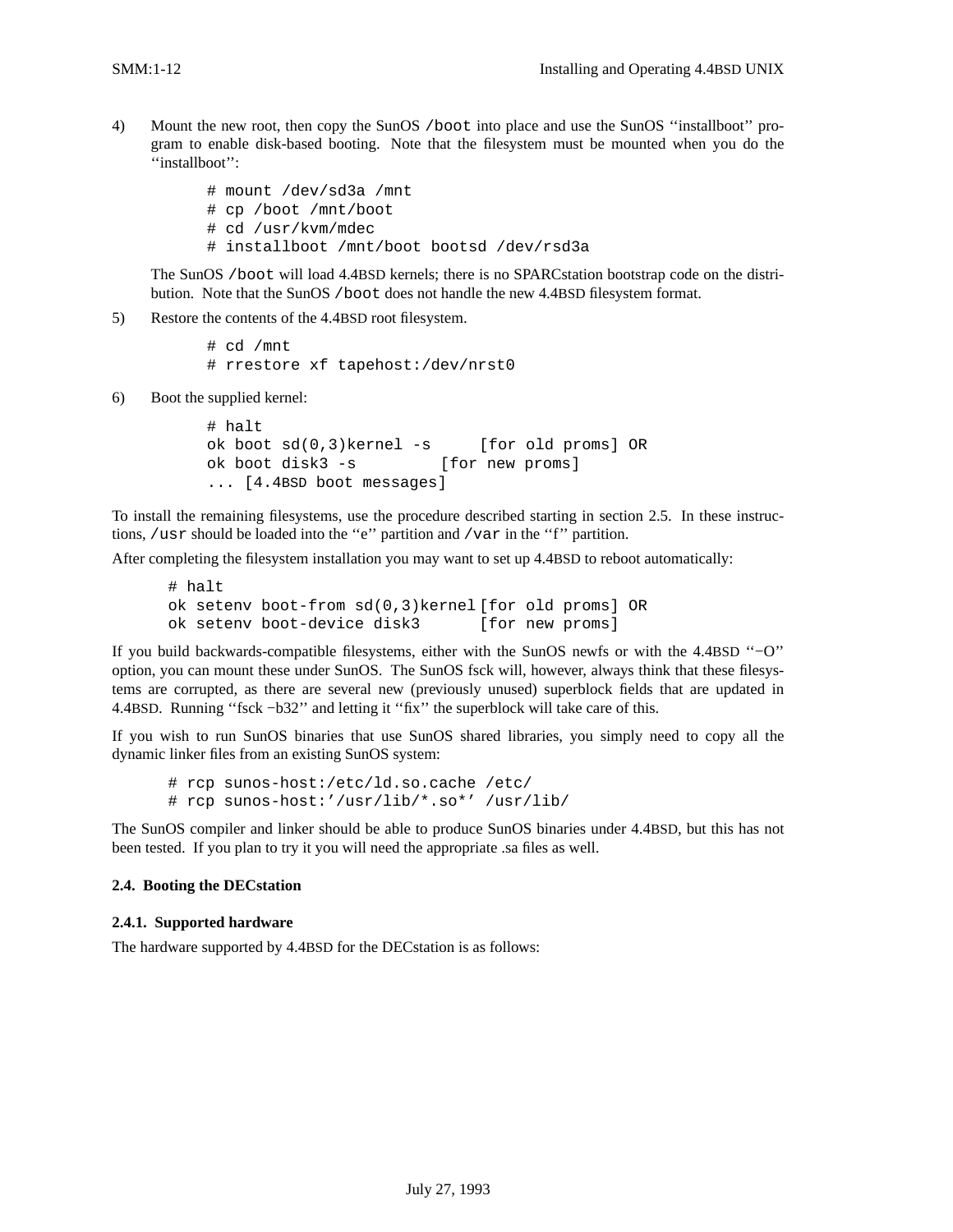4) Mount the new root, then copy the SunOS /boot into place and use the SunOS ''installboot'' program to enable disk-based booting. Note that the filesystem must be mounted when you do the ''installboot'':

> # mount /dev/sd3a /mnt # cp /boot /mnt/boot # cd /usr/kvm/mdec # installboot /mnt/boot bootsd /dev/rsd3a

The SunOS /boot will load 4.4BSD kernels; there is no SPARCstation bootstrap code on the distribution. Note that the SunOS /boot does not handle the new 4.4BSD filesystem format.

5) Restore the contents of the 4.4BSD root filesystem.

# cd /mnt # rrestore xf tapehost:/dev/nrst0

6) Boot the supplied kernel:

# halt ok boot sd(0,3)kernel -s [for old proms] OR ok boot disk3 -s [for new proms] ... [4.4BSD boot messages]

To install the remaining filesystems, use the procedure described starting in section 2.5. In these instructions, /usr should be loaded into the "e" partition and /var in the "f" partition.

After completing the filesystem installation you may want to set up 4.4BSD to reboot automatically:

```
# halt
ok setenv boot-from sd(0,3)kernel [for old proms] OR
ok setenv boot-device disk3 [for new proms]
```
If you build backwards-compatible filesystems, either with the SunOS newfs or with the 4.4BSD ''−O'' option, you can mount these under SunOS. The SunOS fsck will, however, always think that these filesystems are corrupted, as there are several new (previously unused) superblock fields that are updated in 4.4BSD. Running ''fsck −b32'' and letting it ''fix'' the superblock will take care of this.

If you wish to run SunOS binaries that use SunOS shared libraries, you simply need to copy all the dynamic linker files from an existing SunOS system:

```
# rcp sunos-host:/etc/ld.so.cache /etc/
# rcp sunos-host:'/usr/lib/*.so*' /usr/lib/
```
The SunOS compiler and linker should be able to produce SunOS binaries under 4.4BSD, but this has not been tested. If you plan to try it you will need the appropriate .sa files as well.

### **2.4. Booting the DECstation**

#### **2.4.1. Supported hardware**

The hardware supported by 4.4BSD for the DECstation is as follows: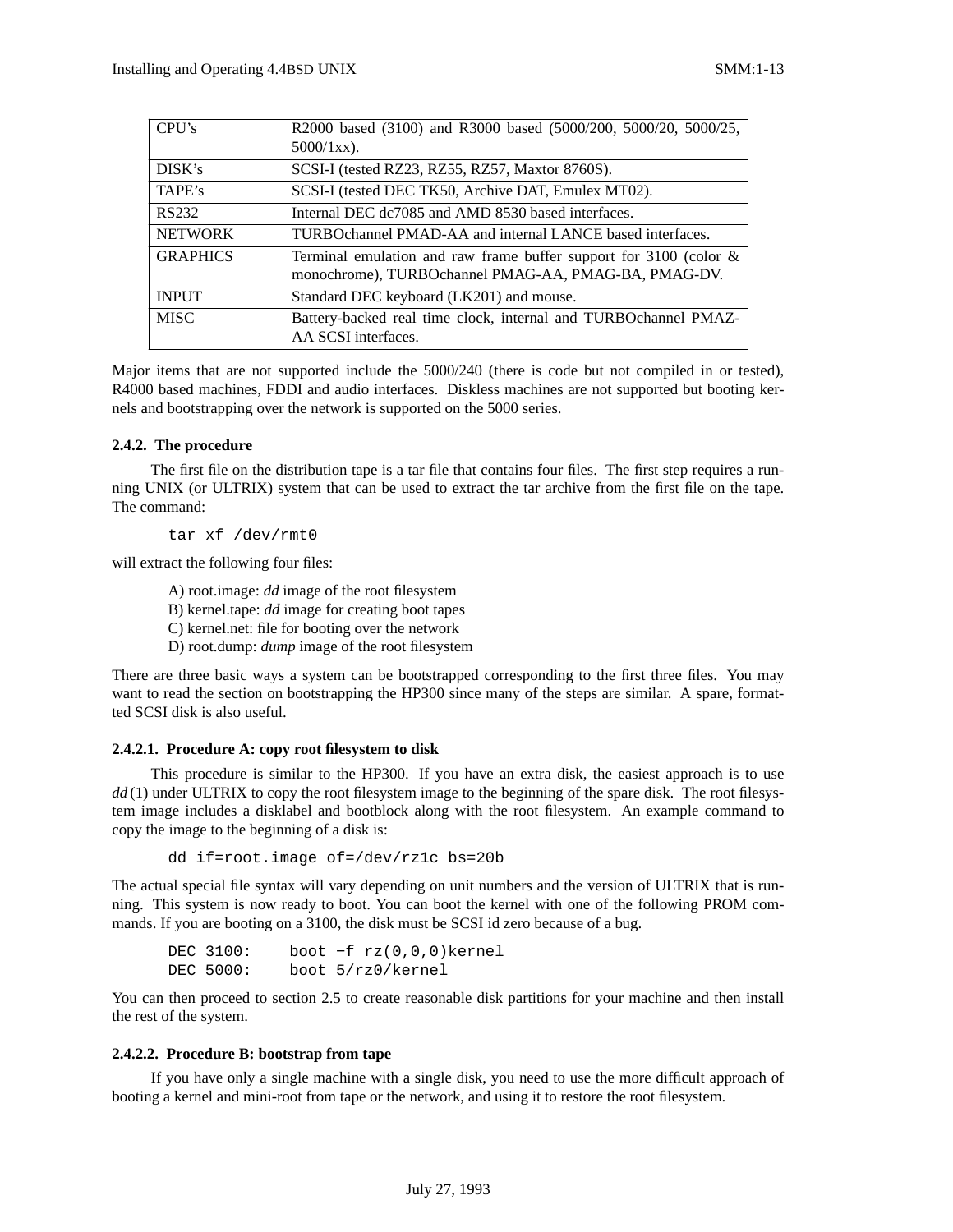| R2000 based (3100) and R3000 based (5000/200, 5000/20, 5000/25,      |
|----------------------------------------------------------------------|
| $5000/1xx$ ).                                                        |
| SCSI-I (tested RZ23, RZ55, RZ57, Maxtor 8760S).                      |
| SCSI-I (tested DEC TK50, Archive DAT, Emulex MT02).                  |
| Internal DEC dc7085 and AMD 8530 based interfaces.                   |
| TURBOchannel PMAD-AA and internal LANCE based interfaces.            |
| Terminal emulation and raw frame buffer support for 3100 (color $\&$ |
| monochrome), TURBOchannel PMAG-AA, PMAG-BA, PMAG-DV.                 |
| Standard DEC keyboard (LK201) and mouse.                             |
| Battery-backed real time clock, internal and TURBOchannel PMAZ-      |
| AA SCSI interfaces.                                                  |
|                                                                      |

Major items that are not supported include the 5000/240 (there is code but not compiled in or tested), R4000 based machines, FDDI and audio interfaces. Diskless machines are not supported but booting kernels and bootstrapping over the network is supported on the 5000 series.

## **2.4.2. The procedure**

The first file on the distribution tape is a tar file that contains four files. The first step requires a running UNIX (or ULTRIX) system that can be used to extract the tar archive from the first file on the tape. The command:

tar xf /dev/rmt0

will extract the following four files:

- A) root.image: *dd* image of the root filesystem
- B) kernel.tape: *dd* image for creating boot tapes
- C) kernel.net: file for booting over the network
- D) root.dump: *dump* image of the root filesystem

There are three basic ways a system can be bootstrapped corresponding to the first three files. You may want to read the section on bootstrapping the HP300 since many of the steps are similar. A spare, formatted SCSI disk is also useful.

## **2.4.2.1. Procedure A: copy root filesystem to disk**

This procedure is similar to the HP300. If you have an extra disk, the easiest approach is to use *dd* (1) under ULTRIX to copy the root filesystem image to the beginning of the spare disk. The root filesystem image includes a disklabel and bootblock along with the root filesystem. An example command to copy the image to the beginning of a disk is:

dd if=root.image of=/dev/rz1c bs=20b

The actual special file syntax will vary depending on unit numbers and the version of ULTRIX that is running. This system is now ready to boot. You can boot the kernel with one of the following PROM commands. If you are booting on a 3100, the disk must be SCSI id zero because of a bug.

DEC 3100: boot −f rz(0,0,0)kernel DEC 5000: boot 5/rz0/kernel

You can then proceed to section 2.5 to create reasonable disk partitions for your machine and then install the rest of the system.

### **2.4.2.2. Procedure B: bootstrap from tape**

If you have only a single machine with a single disk, you need to use the more difficult approach of booting a kernel and mini-root from tape or the network, and using it to restore the root filesystem.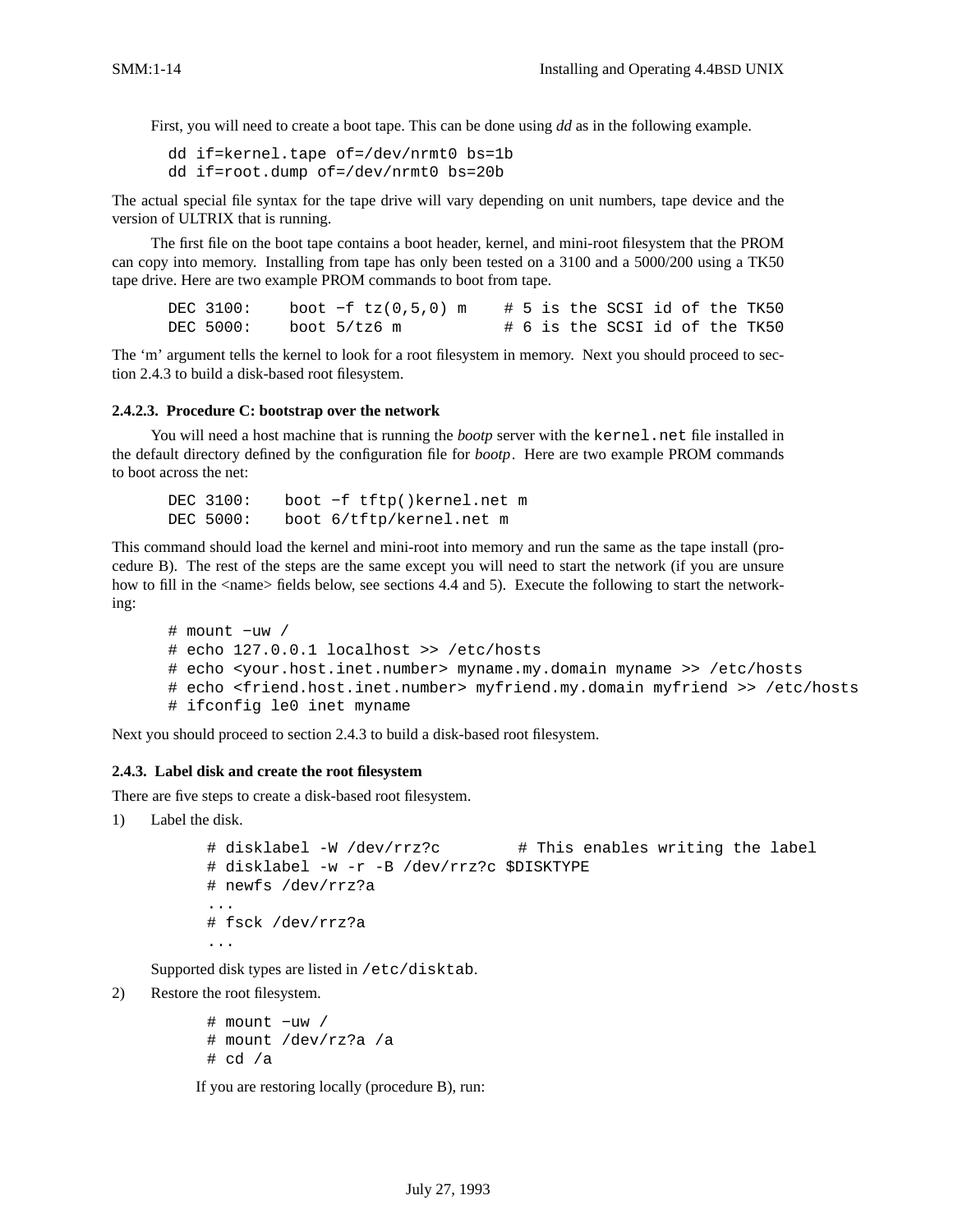First, you will need to create a boot tape. This can be done using *dd* as in the following example.

dd if=kernel.tape of=/dev/nrmt0 bs=1b dd if=root.dump of=/dev/nrmt0 bs=20b

The actual special file syntax for the tape drive will vary depending on unit numbers, tape device and the version of ULTRIX that is running.

The first file on the boot tape contains a boot header, kernel, and mini-root filesystem that the PROM can copy into memory. Installing from tape has only been tested on a 3100 and a 5000/200 using a TK50 tape drive. Here are two example PROM commands to boot from tape.

DEC 3100: boot −f tz(0,5,0) m # 5 is the SCSI id of the TK50 DEC  $5000$ : boot  $5/tz6$  m  $\qquad$  # 6 is the SCSI id of the TK50

The 'm' argument tells the kernel to look for a root filesystem in memory. Next you should proceed to section 2.4.3 to build a disk-based root filesystem.

#### **2.4.2.3. Procedure C: bootstrap over the network**

You will need a host machine that is running the *bootp* server with the kernel.net file installed in the default directory defined by the configuration file for *bootp*. Here are two example PROM commands to boot across the net:

DEC 3100: boot −f tftp()kernel.net m DEC 5000: boot 6/tftp/kernel.net m

This command should load the kernel and mini-root into memory and run the same as the tape install (procedure B). The rest of the steps are the same except you will need to start the network (if you are unsure how to fill in the <name> fields below, see sections 4.4 and 5). Execute the following to start the networking:

```
# mount −uw /
# echo 127.0.0.1 localhost >> /etc/hosts
# echo <your.host.inet.number> myname.my.domain myname >> /etc/hosts
# echo <friend.host.inet.number> myfriend.my.domain myfriend >> /etc/hosts
# ifconfig le0 inet myname
```
Next you should proceed to section 2.4.3 to build a disk-based root filesystem.

### **2.4.3. Label disk and create the root filesystem**

There are five steps to create a disk-based root filesystem.

1) Label the disk.

```
# disklabel -W /dev/rrz?c # This enables writing the label
# disklabel -w -r -B /dev/rrz?c $DISKTYPE
# newfs /dev/rrz?a
...
# fsck /dev/rrz?a
...
```
Supported disk types are listed in /etc/disktab.

2) Restore the root filesystem.

```
# mount −uw /
# mount /dev/rz?a /a
# cd / a
```
If you are restoring locally (procedure B), run: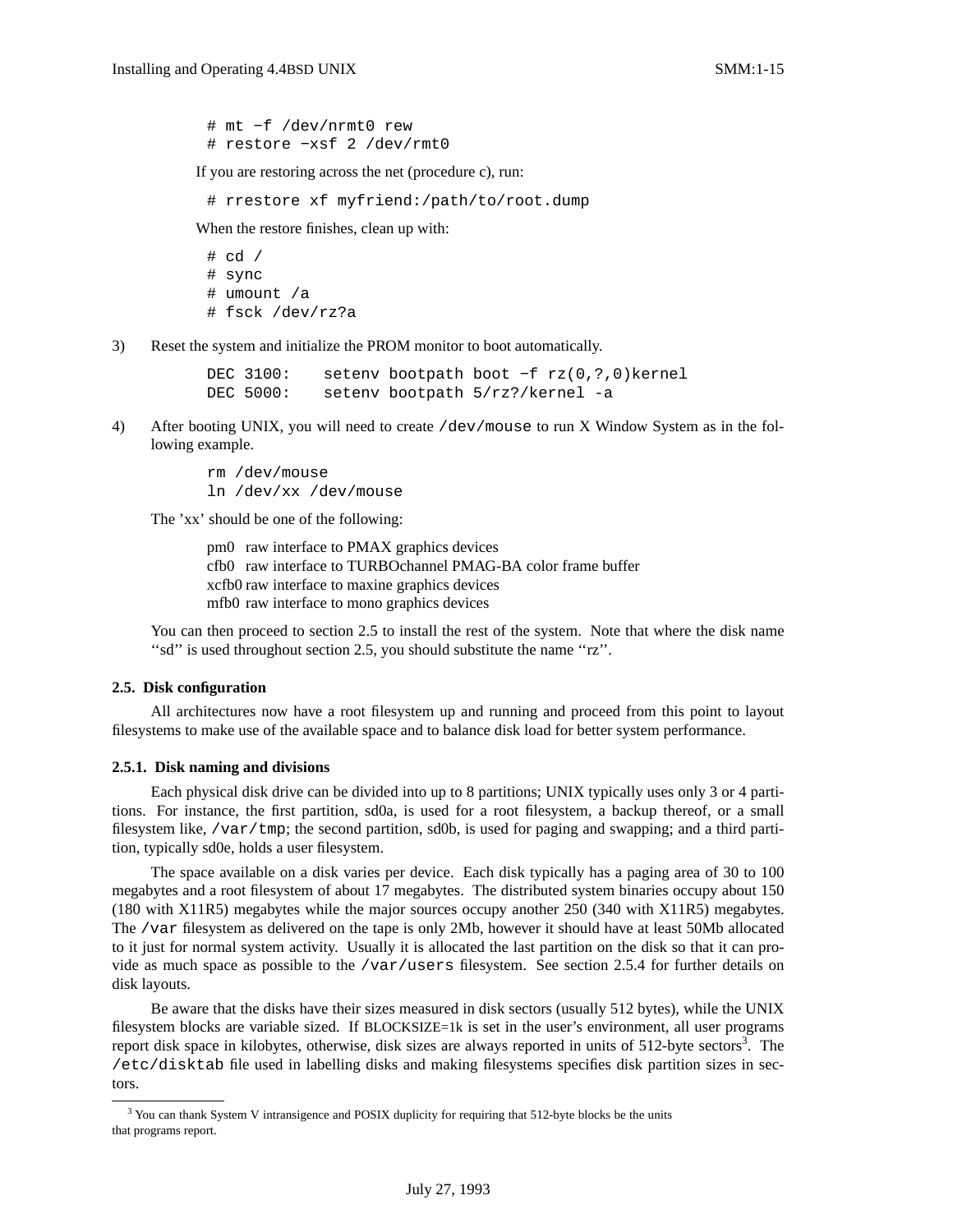# mt −f /dev/nrmt0 rew # restore −xsf 2 /dev/rmt0

If you are restoring across the net (procedure c), run:

# rrestore xf myfriend:/path/to/root.dump

When the restore finishes, clean up with:

# cd / # sync # umount /a # fsck /dev/rz?a

3) Reset the system and initialize the PROM monitor to boot automatically.

DEC 3100: setenv bootpath boot −f rz(0,?,0)kernel DEC 5000: setenv bootpath 5/rz?/kernel -a

4) After booting UNIX, you will need to create /dev/mouse to run X Window System as in the following example.

> rm /dev/mouse ln /dev/xx /dev/mouse

The 'xx' should be one of the following:

pm0 raw interface to PMAX graphics devices cfb0 raw interface to TURBOchannel PMAG-BA color frame buffer xcfb0 raw interface to maxine graphics devices mfb0 raw interface to mono graphics devices

You can then proceed to section 2.5 to install the rest of the system. Note that where the disk name ''sd'' is used throughout section 2.5, you should substitute the name ''rz''.

#### **2.5. Disk configuration**

All architectures now have a root filesystem up and running and proceed from this point to layout filesystems to make use of the available space and to balance disk load for better system performance.

### **2.5.1. Disk naming and divisions**

Each physical disk drive can be divided into up to 8 partitions; UNIX typically uses only 3 or 4 partitions. For instance, the first partition, sd0a, is used for a root filesystem, a backup thereof, or a small filesystem like, /var/tmp; the second partition, sd0b, is used for paging and swapping; and a third partition, typically sd0e, holds a user filesystem.

The space available on a disk varies per device. Each disk typically has a paging area of 30 to 100 megabytes and a root filesystem of about 17 megabytes. The distributed system binaries occupy about 150 (180 with X11R5) megabytes while the major sources occupy another 250 (340 with X11R5) megabytes. The /var filesystem as delivered on the tape is only 2Mb, however it should have at least 50Mb allocated to it just for normal system activity. Usually it is allocated the last partition on the disk so that it can provide as much space as possible to the /var/users filesystem. See section 2.5.4 for further details on disk layouts.

Be aware that the disks have their sizes measured in disk sectors (usually 512 bytes), while the UNIX filesystem blocks are variable sized. If BLOCKSIZE=1k is set in the user's environment, all user programs report disk space in kilobytes, otherwise, disk sizes are always reported in units of 512-byte sectors<sup>3</sup>. The /etc/disktab file used in labelling disks and making filesystems specifies disk partition sizes in sectors.

<sup>&</sup>lt;sup>3</sup> You can thank System V intransigence and POSIX duplicity for requiring that 512-byte blocks be the units that programs report.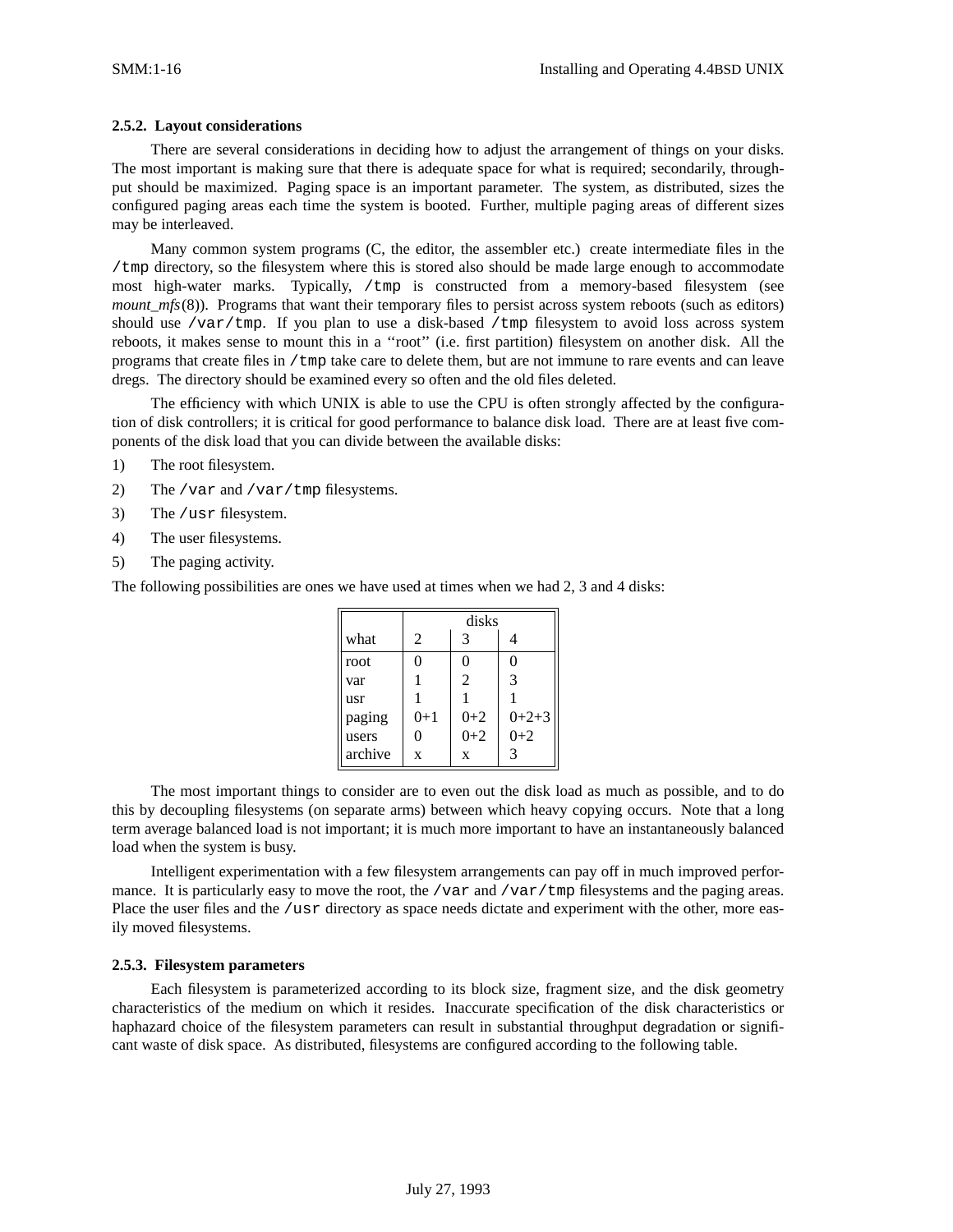### **2.5.2. Layout considerations**

There are several considerations in deciding how to adjust the arrangement of things on your disks. The most important is making sure that there is adequate space for what is required; secondarily, throughput should be maximized. Paging space is an important parameter. The system, as distributed, sizes the configured paging areas each time the system is booted. Further, multiple paging areas of different sizes may be interleaved.

Many common system programs (C, the editor, the assembler etc.) create intermediate files in the /tmp directory, so the filesystem where this is stored also should be made large enough to accommodate most high-water marks. Typically, /tmp is constructed from a memory-based filesystem (see *mount\_mfs*(8)). Programs that want their temporary files to persist across system reboots (such as editors) should use /var/tmp. If you plan to use a disk-based /tmp filesystem to avoid loss across system reboots, it makes sense to mount this in a ''root'' (i.e. first partition) filesystem on another disk. All the programs that create files in /tmp take care to delete them, but are not immune to rare events and can leave dregs. The directory should be examined every so often and the old files deleted.

The efficiency with which UNIX is able to use the CPU is often strongly affected by the configuration of disk controllers; it is critical for good performance to balance disk load. There are at least five components of the disk load that you can divide between the available disks:

- 1) The root filesystem.
- 2) The /var and /var/tmp filesystems.
- 3) The /usr filesystem.
- 4) The user filesystems.
- 5) The paging activity.

The following possibilities are ones we have used at times when we had 2, 3 and 4 disks:

|         |          | disks   |         |
|---------|----------|---------|---------|
| what    | 2        | 3       |         |
| root    | $\Omega$ | 0       | 0       |
| var     |          | 2       | 3       |
| usr     |          |         |         |
| paging  | $0+1$    | $0 + 2$ | $0+2+3$ |
| users   |          | $0 + 2$ | $0 + 2$ |
| archive | X        | X       | 3       |

The most important things to consider are to even out the disk load as much as possible, and to do this by decoupling filesystems (on separate arms) between which heavy copying occurs. Note that a long term average balanced load is not important; it is much more important to have an instantaneously balanced load when the system is busy.

Intelligent experimentation with a few filesystem arrangements can pay off in much improved performance. It is particularly easy to move the root, the /var and /var/tmp filesystems and the paging areas. Place the user files and the /usr directory as space needs dictate and experiment with the other, more easily moved filesystems.

### **2.5.3. Filesystem parameters**

Each filesystem is parameterized according to its block size, fragment size, and the disk geometry characteristics of the medium on which it resides. Inaccurate specification of the disk characteristics or haphazard choice of the filesystem parameters can result in substantial throughput degradation or significant waste of disk space. As distributed, filesystems are configured according to the following table.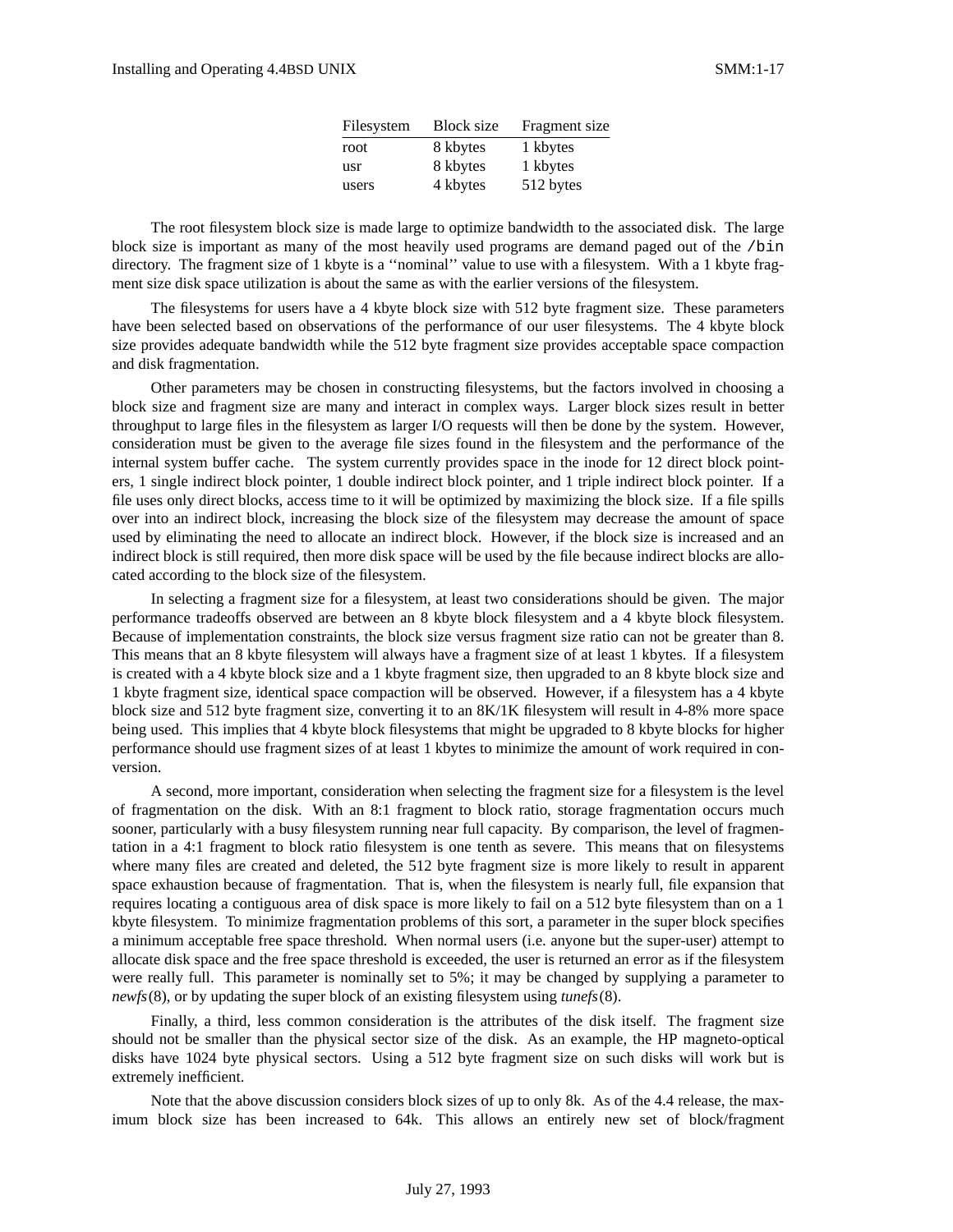| Filesystem | <b>Block size</b> | Fragment size |
|------------|-------------------|---------------|
| root       | 8 kbytes          | 1 kbytes      |
| usr        | 8 kbytes          | 1 kbytes      |
| users      | 4 kbytes          | 512 bytes     |

The root filesystem block size is made large to optimize bandwidth to the associated disk. The large block size is important as many of the most heavily used programs are demand paged out of the /bin directory. The fragment size of 1 kbyte is a ''nominal'' value to use with a filesystem. With a 1 kbyte fragment size disk space utilization is about the same as with the earlier versions of the filesystem.

The filesystems for users have a 4 kbyte block size with 512 byte fragment size. These parameters have been selected based on observations of the performance of our user filesystems. The 4 kbyte block size provides adequate bandwidth while the 512 byte fragment size provides acceptable space compaction and disk fragmentation.

Other parameters may be chosen in constructing filesystems, but the factors involved in choosing a block size and fragment size are many and interact in complex ways. Larger block sizes result in better throughput to large files in the filesystem as larger I/O requests will then be done by the system. However, consideration must be given to the average file sizes found in the filesystem and the performance of the internal system buffer cache. The system currently provides space in the inode for 12 direct block pointers, 1 single indirect block pointer, 1 double indirect block pointer, and 1 triple indirect block pointer. If a file uses only direct blocks, access time to it will be optimized by maximizing the block size. If a file spills over into an indirect block, increasing the block size of the filesystem may decrease the amount of space used by eliminating the need to allocate an indirect block. However, if the block size is increased and an indirect block is still required, then more disk space will be used by the file because indirect blocks are allocated according to the block size of the filesystem.

In selecting a fragment size for a filesystem, at least two considerations should be given. The major performance tradeoffs observed are between an 8 kbyte block filesystem and a 4 kbyte block filesystem. Because of implementation constraints, the block size versus fragment size ratio can not be greater than 8. This means that an 8 kbyte filesystem will always have a fragment size of at least 1 kbytes. If a filesystem is created with a 4 kbyte block size and a 1 kbyte fragment size, then upgraded to an 8 kbyte block size and 1 kbyte fragment size, identical space compaction will be observed. However, if a filesystem has a 4 kbyte block size and 512 byte fragment size, converting it to an 8K/1K filesystem will result in 4-8% more space being used. This implies that 4 kbyte block filesystems that might be upgraded to 8 kbyte blocks for higher performance should use fragment sizes of at least 1 kbytes to minimize the amount of work required in conversion.

A second, more important, consideration when selecting the fragment size for a filesystem is the level of fragmentation on the disk. With an 8:1 fragment to block ratio, storage fragmentation occurs much sooner, particularly with a busy filesystem running near full capacity. By comparison, the level of fragmentation in a 4:1 fragment to block ratio filesystem is one tenth as severe. This means that on filesystems where many files are created and deleted, the 512 byte fragment size is more likely to result in apparent space exhaustion because of fragmentation. That is, when the filesystem is nearly full, file expansion that requires locating a contiguous area of disk space is more likely to fail on a 512 byte filesystem than on a 1 kbyte filesystem. To minimize fragmentation problems of this sort, a parameter in the super block specifies a minimum acceptable free space threshold. When normal users (i.e. anyone but the super-user) attempt to allocate disk space and the free space threshold is exceeded, the user is returned an error as if the filesystem were really full. This parameter is nominally set to 5%; it may be changed by supplying a parameter to *newfs*(8), or by updating the super block of an existing filesystem using *tunefs*(8).

Finally, a third, less common consideration is the attributes of the disk itself. The fragment size should not be smaller than the physical sector size of the disk. As an example, the HP magneto-optical disks have 1024 byte physical sectors. Using a 512 byte fragment size on such disks will work but is extremely inefficient.

Note that the above discussion considers block sizes of up to only 8k. As of the 4.4 release, the maximum block size has been increased to 64k. This allows an entirely new set of block/fragment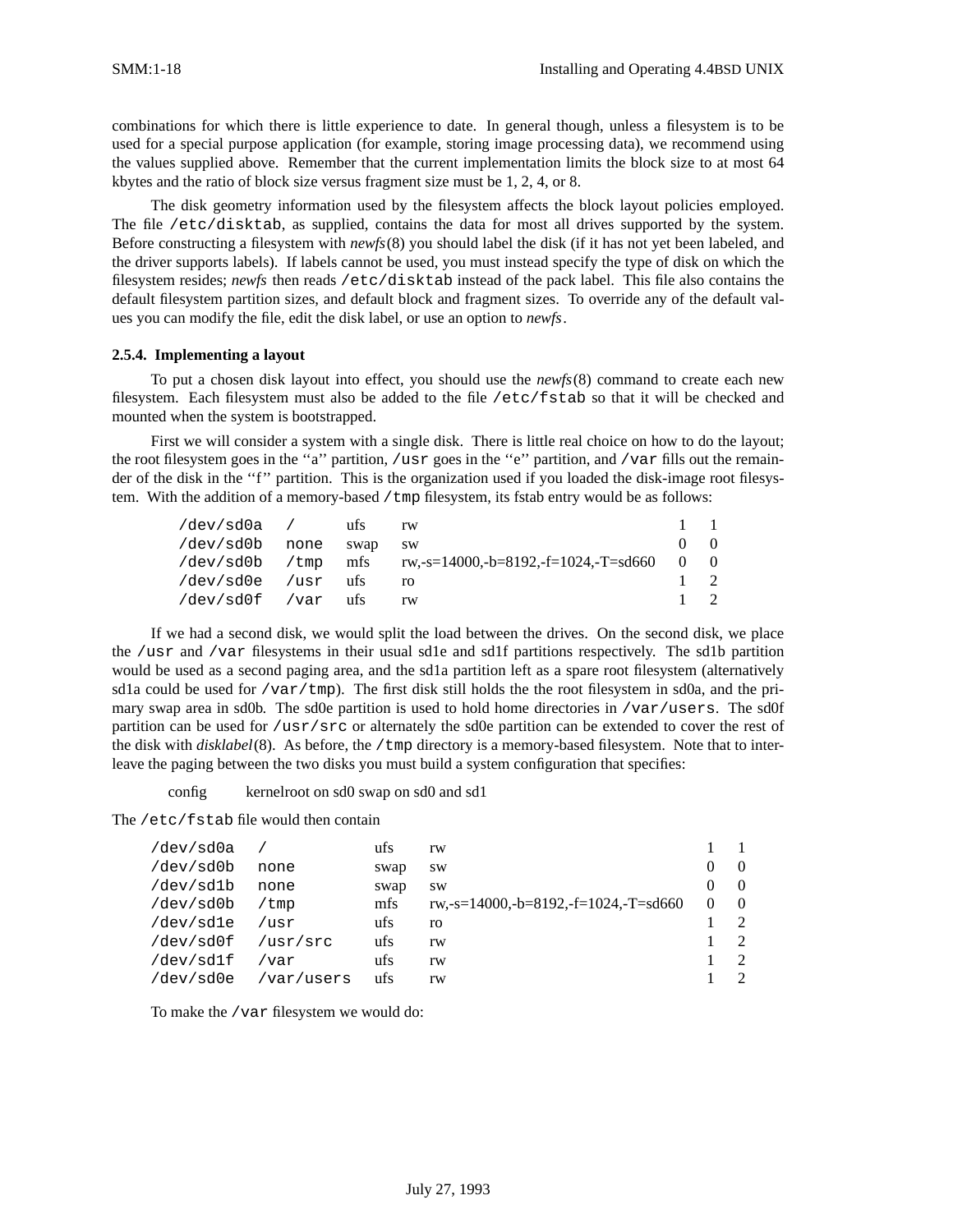combinations for which there is little experience to date. In general though, unless a filesystem is to be used for a special purpose application (for example, storing image processing data), we recommend using the values supplied above. Remember that the current implementation limits the block size to at most 64 kbytes and the ratio of block size versus fragment size must be 1, 2, 4, or 8.

The disk geometry information used by the filesystem affects the block layout policies employed. The file /etc/disktab, as supplied, contains the data for most all drives supported by the system. Before constructing a filesystem with *newfs*(8) you should label the disk (if it has not yet been labeled, and the driver supports labels). If labels cannot be used, you must instead specify the type of disk on which the filesystem resides; *newfs* then reads /etc/disktab instead of the pack label. This file also contains the default filesystem partition sizes, and default block and fragment sizes. To override any of the default values you can modify the file, edit the disk label, or use an option to *newfs*.

### **2.5.4. Implementing a layout**

To put a chosen disk layout into effect, you should use the *newfs*(8) command to create each new filesystem. Each filesystem must also be added to the file /etc/fstab so that it will be checked and mounted when the system is bootstrapped.

First we will consider a system with a single disk. There is little real choice on how to do the layout; the root filesystem goes in the "a" partition, /usr goes in the "e" partition, and /var fills out the remainder of the disk in the "f" partition. This is the organization used if you loaded the disk-image root filesystem. With the addition of a memory-based  $/$ tmp filesystem, its fstab entry would be as follows:

| /dev/sd0a / ufs    |      | rw                                                          |              | $1 - 1$          |
|--------------------|------|-------------------------------------------------------------|--------------|------------------|
| /dev/sd0b none     | swap | – SW                                                        |              | $\left( \right)$ |
|                    |      | /dev/sd0b /tmp mfs rw.-s=14000.-b=8192.-f=1024.-T=sd660 0 0 |              |                  |
| /dev/sd0e /usr ufs |      |                                                             |              | $1 \quad 2$      |
| /dev/sd0f /var ufs |      |                                                             | $\mathbf{1}$ |                  |

If we had a second disk, we would split the load between the drives. On the second disk, we place the /usr and /var filesystems in their usual sd1e and sd1f partitions respectively. The sd1b partition would be used as a second paging area, and the sd1a partition left as a spare root filesystem (alternatively sd1a could be used for /var/tmp). The first disk still holds the the root filesystem in sd0a, and the primary swap area in sd0b. The sd0e partition is used to hold home directories in /var/users. The sd0f partition can be used for /usr/src or alternately the sd0e partition can be extended to cover the rest of the disk with *disklabel*(8). As before, the /tmp directory is a memory-based filesystem. Note that to interleave the paging between the two disks you must build a system configuration that specifies:

config kernel root on sd0 swap on sd0 and sd1

The /etc/fstab file would then contain

| /dev/sd0a |            | ufs  | rw                                   |          |               |
|-----------|------------|------|--------------------------------------|----------|---------------|
| /dev/sd0b | none       | swap | <b>SW</b>                            |          | $\theta$      |
| /dev/sd1b | none       | swap | <b>SW</b>                            |          | $\theta$      |
| /dev/sd0b | /tmp       | mfs  | rw,-s=14000,-b=8192,-f=1024,-T=sd660 | $\Omega$ | $\theta$      |
| /dev/sdle | usr/       | ufs  | ro                                   |          |               |
| /dev/sd0f | /usr/src   | ufs  | rw                                   |          | $\mathcal{L}$ |
| /dev/sd1f | /var       | ufs  | rw                                   |          |               |
| /dev/sd0e | /var/users | ufs  | rw                                   |          |               |

To make the /var filesystem we would do: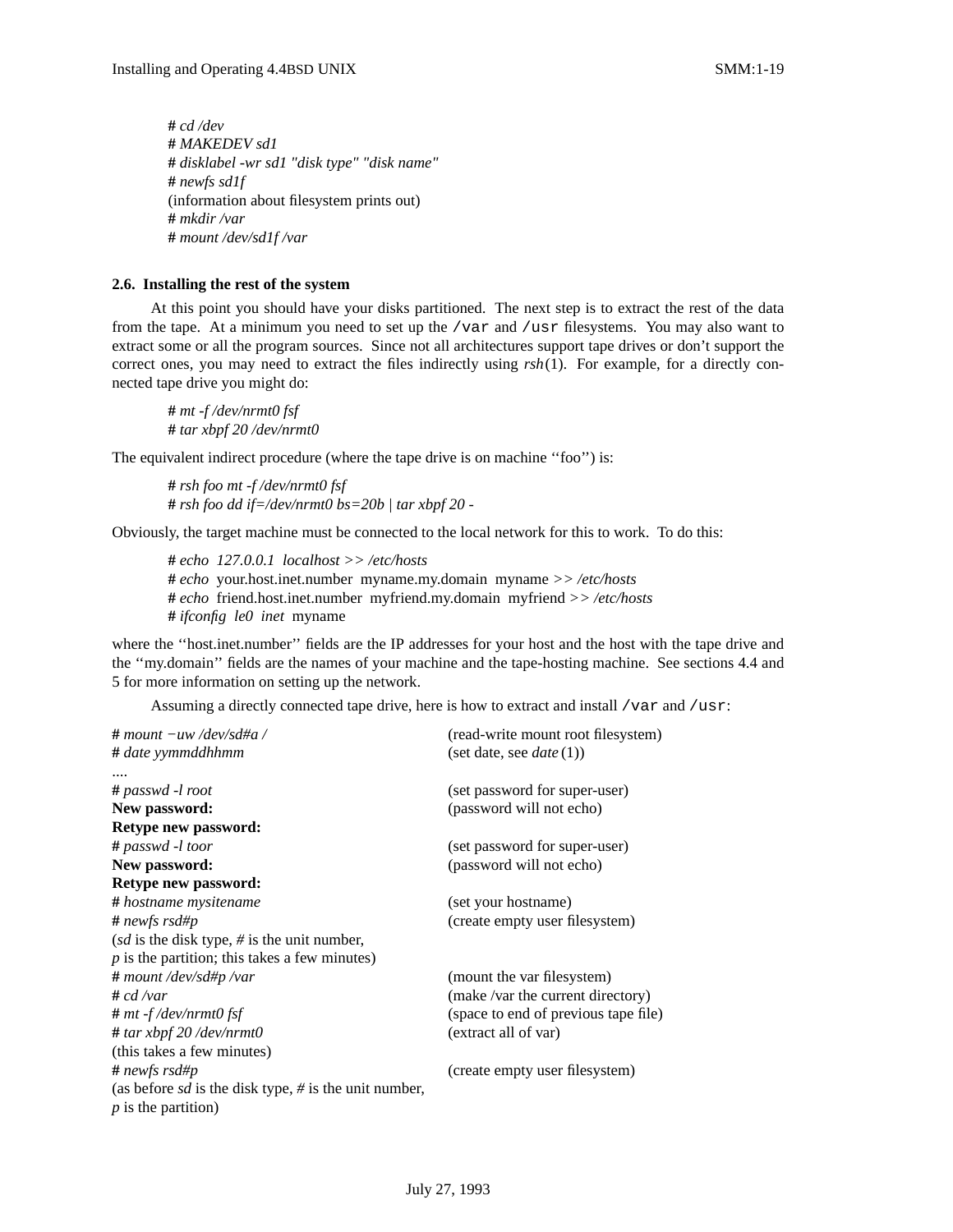**#** *cd /dev* **#** *MAKEDEV sd1* **#** *disklabel -wr sd1 "disk type" "disk name"* **#** *newfs sd1f* (information about filesystem prints out) **#** *mkdir /var* **#** *mount /dev/sd1f /var*

### **2.6. Installing the rest of the system**

At this point you should have your disks partitioned. The next step is to extract the rest of the data from the tape. At a minimum you need to set up the /var and /usr filesystems. You may also want to extract some or all the program sources. Since not all architectures support tape drives or don't support the correct ones, you may need to extract the files indirectly using *rsh*(1). For example, for a directly connected tape drive you might do:

**#** *mt -f /dev/nrmt0 fsf* **#** *tar xbpf 20 /dev/nrmt0*

The equivalent indirect procedure (where the tape drive is on machine ''foo'') is:

**#** *rsh foo mt -f /dev/nrmt0 fsf* **#** *rsh foo dd if=/dev/nrmt0 bs=20b | tar xbpf 20 -*

Obviously, the target machine must be connected to the local network for this to work. To do this:

**#** *echo 127.0.0.1 localhost >> /etc/hosts* **#** *echo* your.host.inet.number myname.my.domain myname *>> /etc/hosts* **#** *echo* friend.host.inet.number myfriend.my.domain myfriend *>> /etc/hosts* **#** *ifconfig le0 inet* myname

where the "host.inet.number" fields are the IP addresses for your host and the host with the tape drive and the ''my.domain'' fields are the names of your machine and the tape-hosting machine. See sections 4.4 and 5 for more information on setting up the network.

Assuming a directly connected tape drive, here is how to extract and install /var and /usr:

| # mount –uw /dev/sd#a /                                         | (read-write mount root filesystem)   |
|-----------------------------------------------------------------|--------------------------------------|
| # date yymmddhhmm                                               | (set date, see <i>date</i> (1))      |
|                                                                 |                                      |
| # passwd -l root                                                | (set password for super-user)        |
| New password:                                                   | (password will not echo)             |
| Retype new password:                                            |                                      |
| # passwd -l toor                                                | (set password for super-user)        |
| New password:                                                   | (password will not echo)             |
| Retype new password:                                            |                                      |
| # hostname mysitename                                           | (set your hostname)                  |
| # newfs rsd#p                                                   | (create empty user filesystem)       |
| (sd is the disk type, $\#$ is the unit number,                  |                                      |
| $p$ is the partition; this takes a few minutes)                 |                                      |
| # mount /dev/sd#p /var                                          | (mount the var filesystem)           |
| # cd /var                                                       | (make /var the current directory)    |
| # mt -f /dev/nrmt0 fsf                                          | (space to end of previous tape file) |
| # tar xbpf 20 /dev/nrmt0                                        | (extract all of var)                 |
| (this takes a few minutes)                                      |                                      |
| # newfs rsd#p                                                   | (create empty user filesystem)       |
| (as before <i>sd</i> is the disk type, $\#$ is the unit number, |                                      |
| $p$ is the partition)                                           |                                      |
|                                                                 |                                      |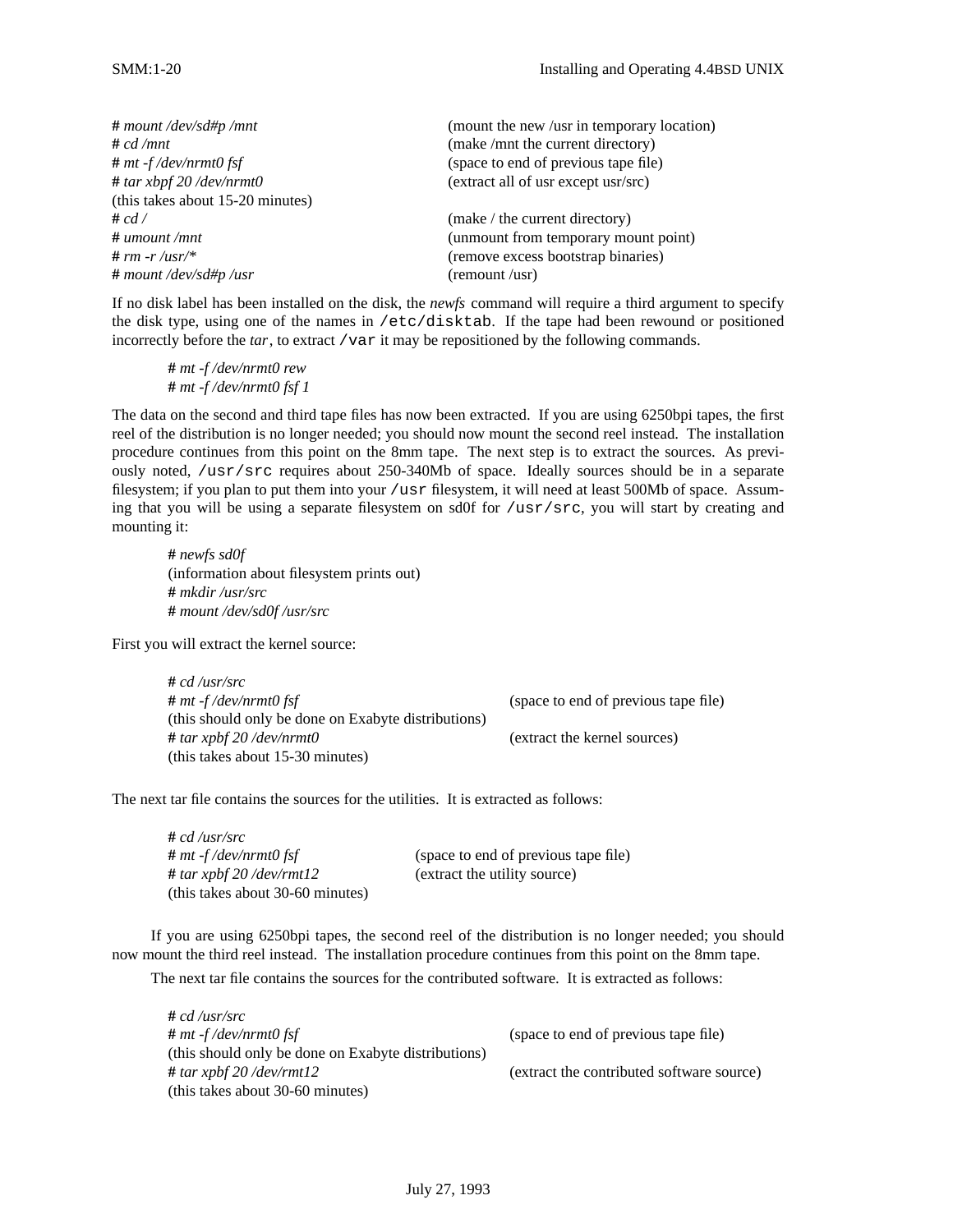| $#$ mount /dev/sd#p /mnt         | (mount the new /usr in temporary location) |
|----------------------------------|--------------------------------------------|
| # $cd/mnt$                       | (make /mnt the current directory)          |
| $# mt-f/dev/nrmt0$ fsf           | (space to end of previous tape file)       |
| # tar xbpf $20$ /dev/nrmt0       | (extract all of usr except usr/src)        |
| (this takes about 15-20 minutes) |                                            |
| # $cd/$                          | (make / the current directory)             |
| $\#$ umount /mnt                 | (unmount from temporary mount point)       |
| # rm -r/usr/*                    | (remove excess bootstrap binaries)         |
| # mount /dev/sd#p /usr           | (remount /usr)                             |

If no disk label has been installed on the disk, the *newfs* command will require a third argument to specify the disk type, using one of the names in /etc/disktab. If the tape had been rewound or positioned incorrectly before the *tar*, to extract /var it may be repositioned by the following commands.

**#** *mt -f /dev/nrmt0 rew* **#** *mt -f /dev/nrmt0 fsf 1*

The data on the second and third tape files has now been extracted. If you are using 6250bpi tapes, the first reel of the distribution is no longer needed; you should now mount the second reel instead. The installation procedure continues from this point on the 8mm tape. The next step is to extract the sources. As previously noted, /usr/src requires about 250-340Mb of space. Ideally sources should be in a separate filesystem; if you plan to put them into your /usr filesystem, it will need at least 500Mb of space. Assuming that you will be using a separate filesystem on sd0f for /usr/src, you will start by creating and mounting it:

**#** *newfs sd0f* (information about filesystem prints out) **#** *mkdir /usr/src* **#** *mount /dev/sd0f /usr/src*

First you will extract the kernel source:

| $# cd$ /usr/src                                     |                                      |
|-----------------------------------------------------|--------------------------------------|
| $# mt$ -f/dev/nrmt0 fsf                             | (space to end of previous tape file) |
| (this should only be done on Exabyte distributions) |                                      |
| # tar xpbf 20 /dev/nrmt0                            | (extract the kernel sources)         |
| (this takes about 15-30 minutes)                    |                                      |

The next tar file contains the sources for the utilities. It is extracted as follows:

| $# cd$ /usr/src                  |                                      |
|----------------------------------|--------------------------------------|
| $# mt$ -f/dev/nrmt0 fsf          | (space to end of previous tape file) |
| # tar xpbf $20$ /dev/rmt12       | (extract the utility source)         |
| (this takes about 30-60 minutes) |                                      |

If you are using 6250bpi tapes, the second reel of the distribution is no longer needed; you should now mount the third reel instead. The installation procedure continues from this point on the 8mm tape.

The next tar file contains the sources for the contributed software. It is extracted as follows:

| $# cd$ /usr/src                                     |                                           |
|-----------------------------------------------------|-------------------------------------------|
| $#$ mt -f/dev/nrmt0 fsf                             | (space to end of previous tape file)      |
| (this should only be done on Exabyte distributions) |                                           |
| # tar xpbf $20$ /dev/rmt12                          | (extract the contributed software source) |
| (this takes about 30-60 minutes)                    |                                           |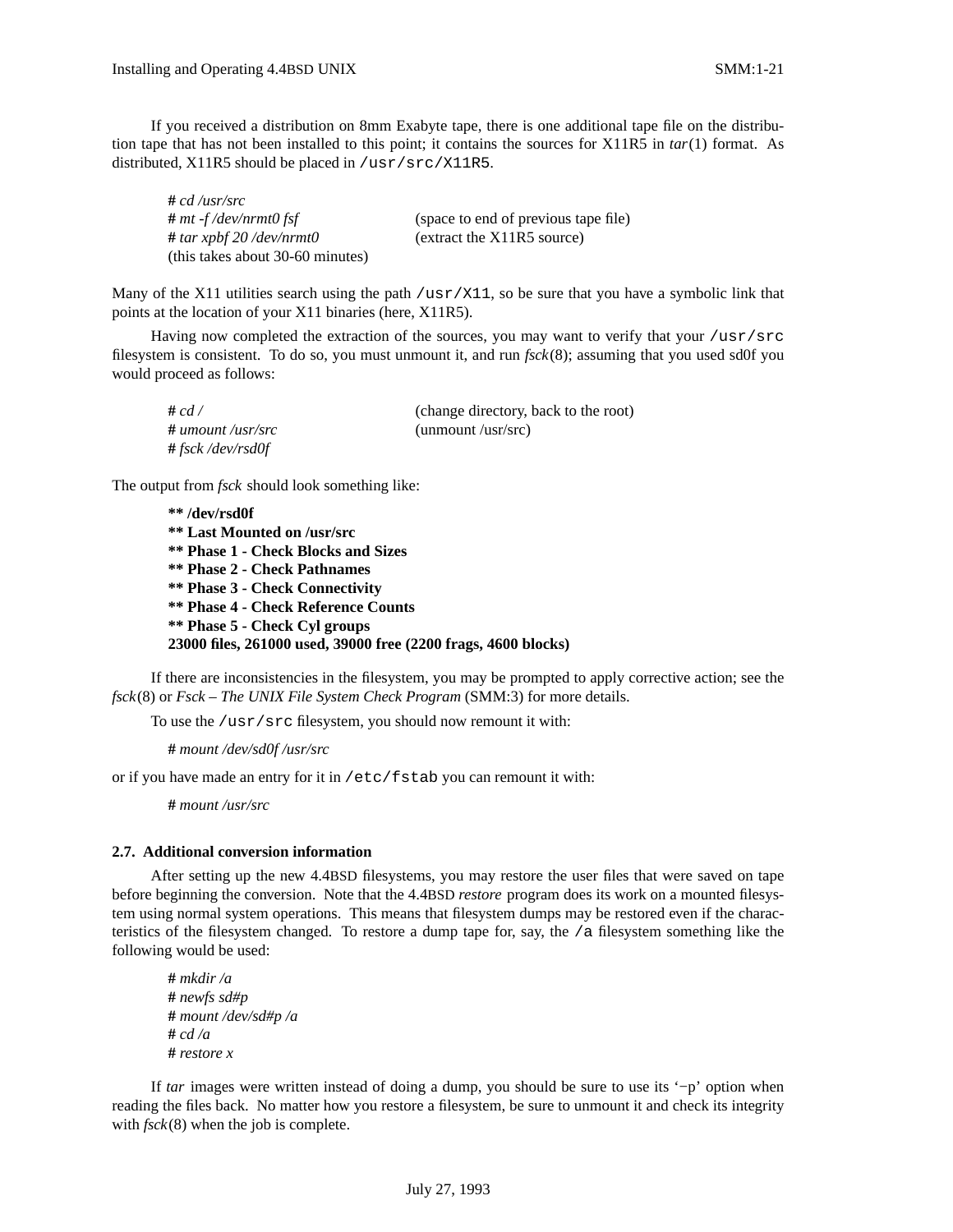If you received a distribution on 8mm Exabyte tape, there is one additional tape file on the distribution tape that has not been installed to this point; it contains the sources for X11R5 in *tar*(1) format. As distributed, X11R5 should be placed in /usr/src/X11R5.

| $# cd$ /usr/src                  |                                      |
|----------------------------------|--------------------------------------|
| $# mt-f/dev/nrmt0$ fsf           | (space to end of previous tape file) |
| # tar xpbf $20$ /dev/nrmt0       | (extract the X11R5 source)           |
| (this takes about 30-60 minutes) |                                      |

Many of the X11 utilities search using the path /usr/X11, so be sure that you have a symbolic link that points at the location of your X11 binaries (here, X11R5).

Having now completed the extraction of the sources, you may want to verify that your /usr/src filesystem is consistent. To do so, you must unmount it, and run *fsck*(8); assuming that you used sd0f you would proceed as follows:

| # $cd/$              | (change directory, back to the root) |
|----------------------|--------------------------------------|
| $\#$ umount /usr/src | $($ unmount /usr/src)                |
| #fsck/dev/rsd0f      |                                      |

The output from *fsck* should look something like:

**\*\* /dev/rsd0f \*\* Last Mounted on /usr/src \*\* Phase 1 - Check Blocks and Sizes \*\* Phase 2 - Check Pathnames \*\* Phase 3 - Check Connectivity \*\* Phase 4 - Check Reference Counts \*\* Phase 5 - Check Cyl groups 23000 files, 261000 used, 39000 free (2200 frags, 4600 blocks)**

If there are inconsistencies in the filesystem, you may be prompted to apply corrective action; see the *fsck*(8) or *Fsck – The UNIX File System Check Program* (SMM:3) for more details.

To use the /usr/src filesystem, you should now remount it with:

**#** *mount /dev/sd0f /usr/src*

or if you have made an entry for it in /etc/fstab you can remount it with:

**#** *mount /usr/src*

### **2.7. Additional conversion information**

After setting up the new 4.4BSD filesystems, you may restore the user files that were saved on tape before beginning the conversion. Note that the 4.4BSD *restore* program does its work on a mounted filesystem using normal system operations. This means that filesystem dumps may be restored even if the characteristics of the filesystem changed. To restore a dump tape for, say, the  $/a$  filesystem something like the following would be used:

```
# mkdir /a
# newfs sd#p
# mount /dev/sd#p /a
# cd /a
# restore x
```
If *tar* images were written instead of doing a dump, you should be sure to use its '−p' option when reading the files back. No matter how you restore a filesystem, be sure to unmount it and check its integrity with  $fsck(8)$  when the job is complete.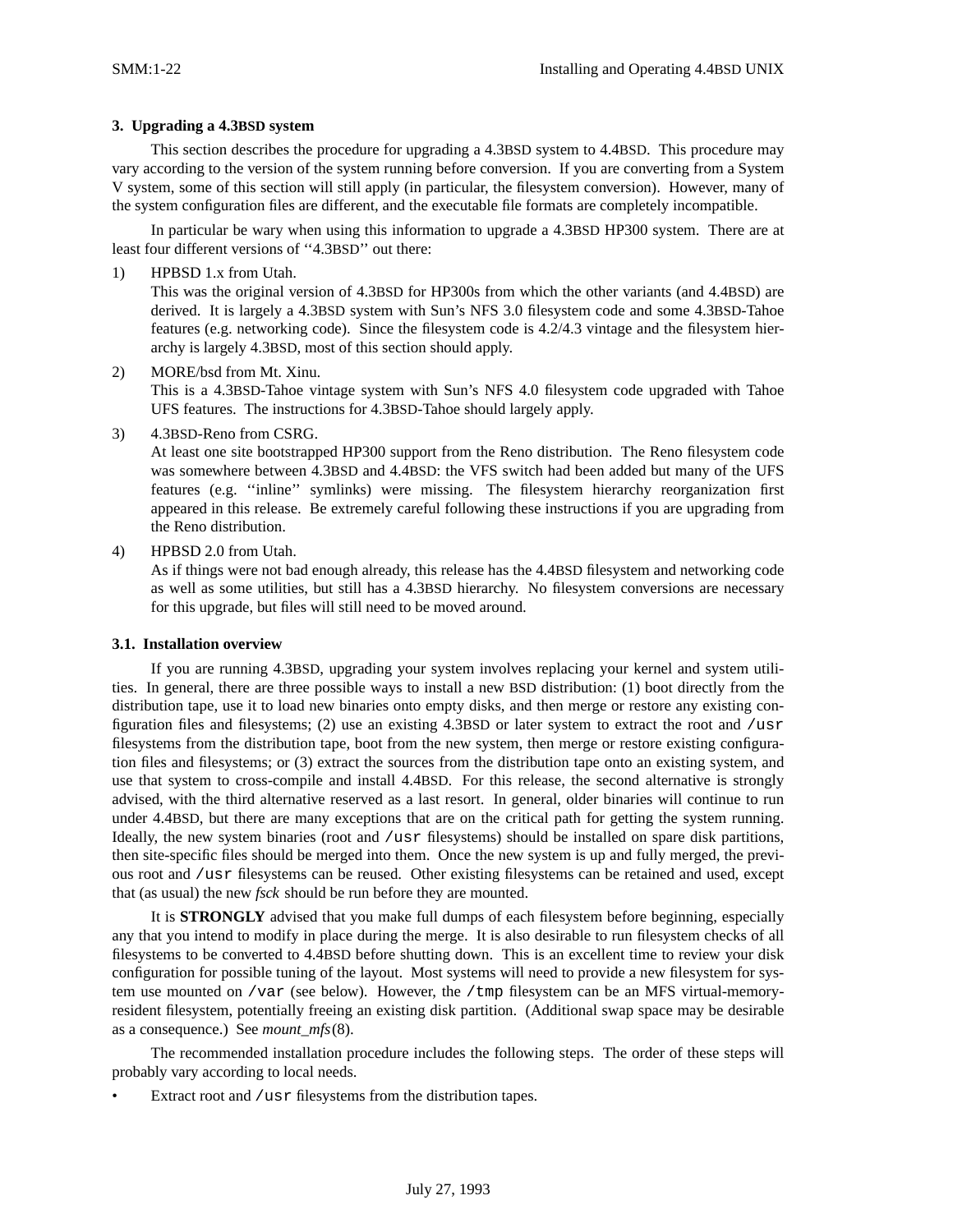## **3. Upgrading a 4.3BSD system**

This section describes the procedure for upgrading a 4.3BSD system to 4.4BSD. This procedure may vary according to the version of the system running before conversion. If you are converting from a System V system, some of this section will still apply (in particular, the filesystem conversion). However, many of the system configuration files are different, and the executable file formats are completely incompatible.

In particular be wary when using this information to upgrade a 4.3BSD HP300 system. There are at least four different versions of "4.3BSD" out there:

1) HPBSD 1.x from Utah.

This was the original version of 4.3BSD for HP300s from which the other variants (and 4.4BSD) are derived. It is largely a 4.3BSD system with Sun's NFS 3.0 filesystem code and some 4.3BSD-Tahoe features (e.g. networking code). Since the filesystem code is 4.2/4.3 vintage and the filesystem hierarchy is largely 4.3BSD, most of this section should apply.

## 2) MORE/bsd from Mt. Xinu.

This is a 4.3BSD-Tahoe vintage system with Sun's NFS 4.0 filesystem code upgraded with Tahoe UFS features. The instructions for 4.3BSD-Tahoe should largely apply.

3) 4.3BSD-Reno from CSRG.

At least one site bootstrapped HP300 support from the Reno distribution. The Reno filesystem code was somewhere between 4.3BSD and 4.4BSD: the VFS switch had been added but many of the UFS features (e.g. ''inline'' symlinks) were missing. The filesystem hierarchy reorganization first appeared in this release. Be extremely careful following these instructions if you are upgrading from the Reno distribution.

4) HPBSD 2.0 from Utah.

As if things were not bad enough already, this release has the 4.4BSD filesystem and networking code as well as some utilities, but still has a 4.3BSD hierarchy. No filesystem conversions are necessary for this upgrade, but files will still need to be moved around.

## **3.1. Installation overview**

If you are running 4.3BSD, upgrading your system involves replacing your kernel and system utilities. In general, there are three possible ways to install a new BSD distribution: (1) boot directly from the distribution tape, use it to load new binaries onto empty disks, and then merge or restore any existing configuration files and filesystems; (2) use an existing 4.3BSD or later system to extract the root and /usr filesystems from the distribution tape, boot from the new system, then merge or restore existing configuration files and filesystems; or (3) extract the sources from the distribution tape onto an existing system, and use that system to cross-compile and install 4.4BSD. For this release, the second alternative is strongly advised, with the third alternative reserved as a last resort. In general, older binaries will continue to run under 4.4BSD, but there are many exceptions that are on the critical path for getting the system running. Ideally, the new system binaries (root and /usr filesystems) should be installed on spare disk partitions, then site-specific files should be merged into them. Once the new system is up and fully merged, the previous root and /usr filesystems can be reused. Other existing filesystems can be retained and used, except that (as usual) the new *fsck* should be run before they are mounted.

It is **STRONGLY** advised that you make full dumps of each filesystem before beginning, especially any that you intend to modify in place during the merge. It is also desirable to run filesystem checks of all filesystems to be converted to 4.4BSD before shutting down. This is an excellent time to review your disk configuration for possible tuning of the layout. Most systems will need to provide a new filesystem for system use mounted on /var (see below). However, the /tmp filesystem can be an MFS virtual-memoryresident filesystem, potentially freeing an existing disk partition. (Additional swap space may be desirable as a consequence.) See *mount\_mfs*(8).

The recommended installation procedure includes the following steps. The order of these steps will probably vary according to local needs.

Extract root and /usr filesystems from the distribution tapes.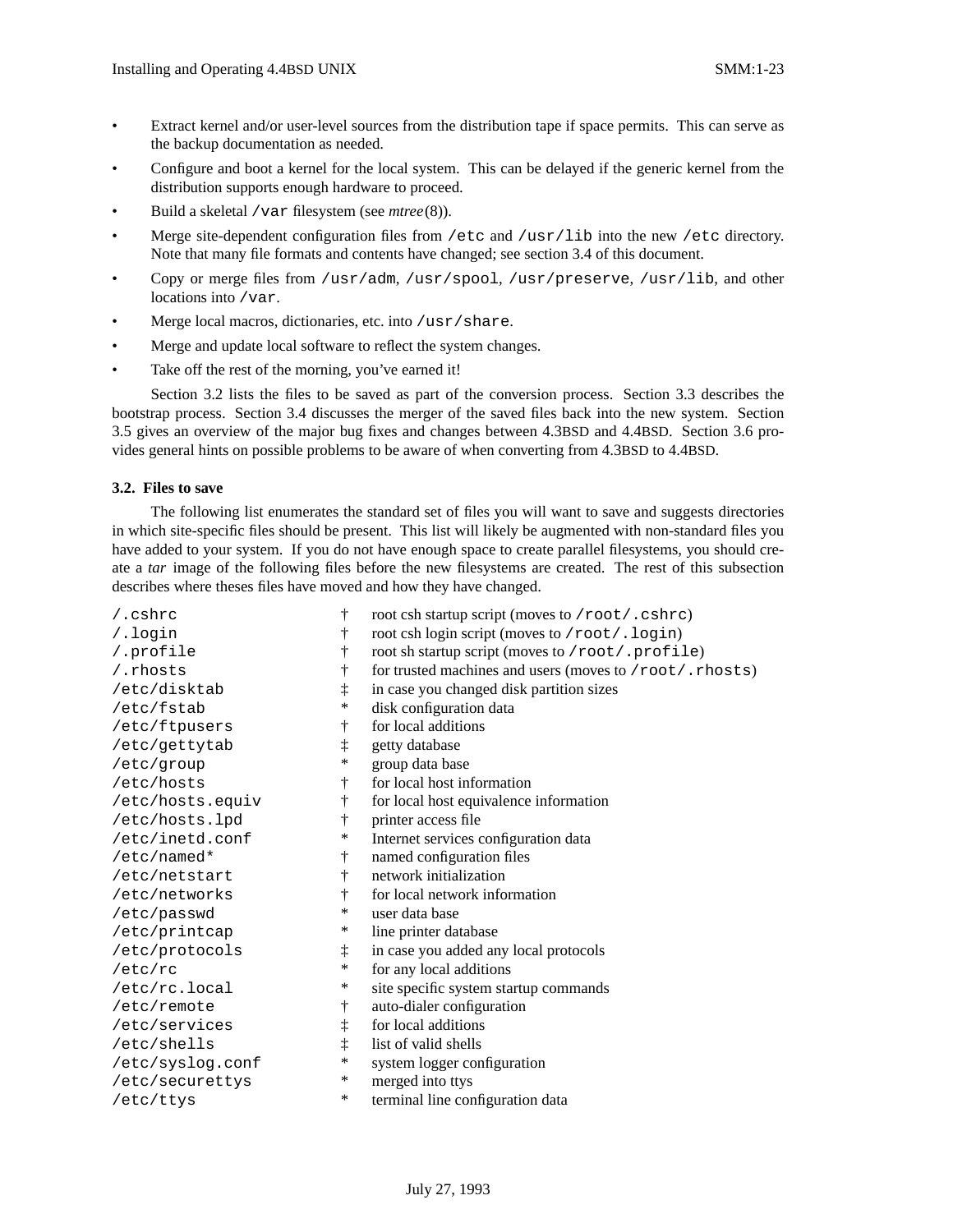- Extract kernel and/or user-level sources from the distribution tape if space permits. This can serve as the backup documentation as needed.
- Configure and boot a kernel for the local system. This can be delayed if the generic kernel from the distribution supports enough hardware to proceed.
- Build a skeletal /var filesystem (see *mtree*(8)).
- Merge site-dependent configuration files from /etc and /usr/lib into the new /etc directory. Note that many file formats and contents have changed; see section 3.4 of this document.
- Copy or merge files from /usr/adm, /usr/spool, /usr/preserve, /usr/lib, and other locations into /var.
- Merge local macros, dictionaries, etc. into /usr/share.
- Merge and update local software to reflect the system changes.
- Take off the rest of the morning, you've earned it!

Section 3.2 lists the files to be saved as part of the conversion process. Section 3.3 describes the bootstrap process. Section 3.4 discusses the merger of the saved files back into the new system. Section 3.5 gives an overview of the major bug fixes and changes between 4.3BSD and 4.4BSD. Section 3.6 provides general hints on possible problems to be aware of when converting from 4.3BSD to 4.4BSD.

### **3.2. Files to save**

The following list enumerates the standard set of files you will want to save and suggests directories in which site-specific files should be present. This list will likely be augmented with non-standard files you have added to your system. If you do not have enough space to create parallel filesystems, you should create a *tar* image of the following files before the new filesystems are created. The rest of this subsection describes where theses files have moved and how they have changed.

| $/$ .cshrc       | ŧ          | root csh startup script (moves to /root/.cshrc)         |
|------------------|------------|---------------------------------------------------------|
| /.login          | t          | root csh login script (moves to /root/.login)           |
| /.profile        | t          | root sh startup script (moves to /root/.profile)        |
| /.rhosts         | t          | for trusted machines and users (moves to /root/.rhosts) |
| /etc/disktab     | $\ddagger$ | in case you changed disk partition sizes                |
| /etc/fstab       | *          | disk configuration data                                 |
| /etc/ftpusers    | ŧ          | for local additions                                     |
| /etc/gettytab    | ţ          | getty database                                          |
| /etc/group       | *          | group data base                                         |
| /etc/hosts       | ŧ          | for local host information                              |
| /etc/hosts.equiv | $\dagger$  | for local host equivalence information                  |
| /etc/hosts.lpd   | ÷          | printer access file                                     |
| /etc/inetd.conf  | ∗          | Internet services configuration data                    |
| /etc/named*      | ŧ          | named configuration files                               |
| /etc/netstart    | $\dagger$  | network initialization                                  |
| /etc/networks    | $\dagger$  | for local network information                           |
| /etc/passwd      | $\ast$     | user data base                                          |
| /etc/printcap    | ∗          | line printer database                                   |
| /etc/protocols   | $\ddagger$ | in case you added any local protocols                   |
| /etc/rc          | *          | for any local additions                                 |
| /etc/rc.local    | ∗          | site specific system startup commands                   |
| /etc/remote      | Ť          | auto-dialer configuration                               |
| /etc/services    | ţ          | for local additions                                     |
| /etc/shells      | $\ddagger$ | list of valid shells                                    |
| /etc/syslog.conf | ∗          | system logger configuration                             |
| /etc/securettys  | ∗          | merged into ttys                                        |
| /etc/ttys        | $\ast$     | terminal line configuration data                        |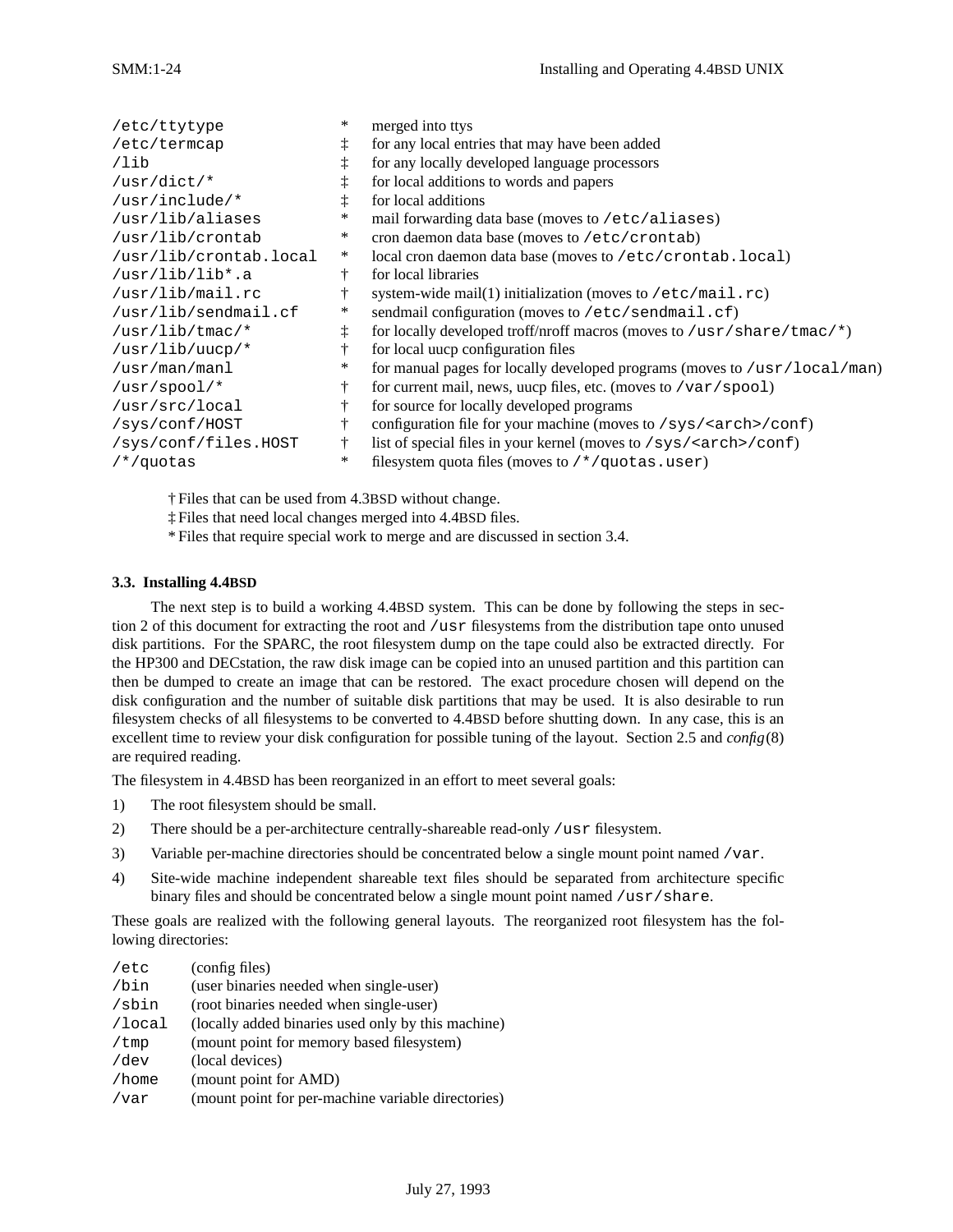| /etc/ttytype           | *          | merged into ttys                                                          |
|------------------------|------------|---------------------------------------------------------------------------|
| /etc/termcap           | $\ddagger$ | for any local entries that may have been added                            |
| /lib                   | ţ          | for any locally developed language processors                             |
| /usr/dict/*            |            | for local additions to words and papers                                   |
| /usr/include/*         |            | for local additions                                                       |
| /usr/lib/aliases       | *          | mail forwarding data base (moves to /etc/aliases)                         |
| /usr/lib/crontab       | ∗          | cron daemon data base (moves to /etc/crontab)                             |
| /usr/lib/crontab.local | ∗          | local cron daemon data base (moves to /etc/crontab.local)                 |
| /usr/lib/lib*.a        | ÷          | for local libraries                                                       |
| /usr/lib/mail.rc       |            | system-wide mail(1) initialization (moves to $/etc/mail.rc)$              |
| /usr/lib/sendmail.cf   | ∗          | sendmail configuration (moves to /etc/sendmail.cf)                        |
| $/usr/lib/tmac/*$      | $\ddagger$ | for locally developed troff/nroff macros (moves to /usr/share/tmac/*)     |
| /usr/lib/uucp/*        | ÷          | for local uucp configuration files                                        |
| /usr/man/manl          | ∗          | for manual pages for locally developed programs (moves to /usr/local/man) |
| /usr/spool/ $*$        | ŧ          | for current mail, news, uucp files, etc. (moves to $/var/spool)$ )        |
| /usr/src/local         | ÷          | for source for locally developed programs                                 |
| /sys/conf/HOST         | ÷          | configuration file for your machine (moves to /sys/ <arch>/conf)</arch>   |
| /sys/conf/files.HOST   | Ť          | list of special files in your kernel (moves to /sys/ <arch>/conf)</arch>  |
| $/*/quotas$            | $\ast$     | filesystem quota files (moves to /*/quotas.user)                          |
|                        |            |                                                                           |

† Files that can be used from 4.3BSD without change.

‡ Files that need local changes merged into 4.4BSD files.

\* Files that require special work to merge and are discussed in section 3.4.

## **3.3. Installing 4.4BSD**

The next step is to build a working 4.4BSD system. This can be done by following the steps in section 2 of this document for extracting the root and /usr filesystems from the distribution tape onto unused disk partitions. For the SPARC, the root filesystem dump on the tape could also be extracted directly. For the HP300 and DECstation, the raw disk image can be copied into an unused partition and this partition can then be dumped to create an image that can be restored. The exact procedure chosen will depend on the disk configuration and the number of suitable disk partitions that may be used. It is also desirable to run filesystem checks of all filesystems to be converted to 4.4BSD before shutting down. In any case, this is an excellent time to review your disk configuration for possible tuning of the layout. Section 2.5 and *config*(8) are required reading.

The filesystem in 4.4BSD has been reorganized in an effort to meet several goals:

- 1) The root filesystem should be small.
- 2) There should be a per-architecture centrally-shareable read-only /usr filesystem.
- 3) Variable per-machine directories should be concentrated below a single mount point named /var.
- 4) Site-wide machine independent shareable text files should be separated from architecture specific binary files and should be concentrated below a single mount point named /usr/share.

These goals are realized with the following general layouts. The reorganized root filesystem has the following directories:

| /etc      | (config files)                                     |
|-----------|----------------------------------------------------|
| /bin      | (user binaries needed when single-user)            |
| /sbin     | (root binaries needed when single-user)            |
| $/$ local | (locally added binaries used only by this machine) |
| /tmp      | (mount point for memory based filesystem)          |
| /dev      | (local devices)                                    |
| /home     | (mount point for AMD)                              |
| /var      | (mount point for per-machine variable directories) |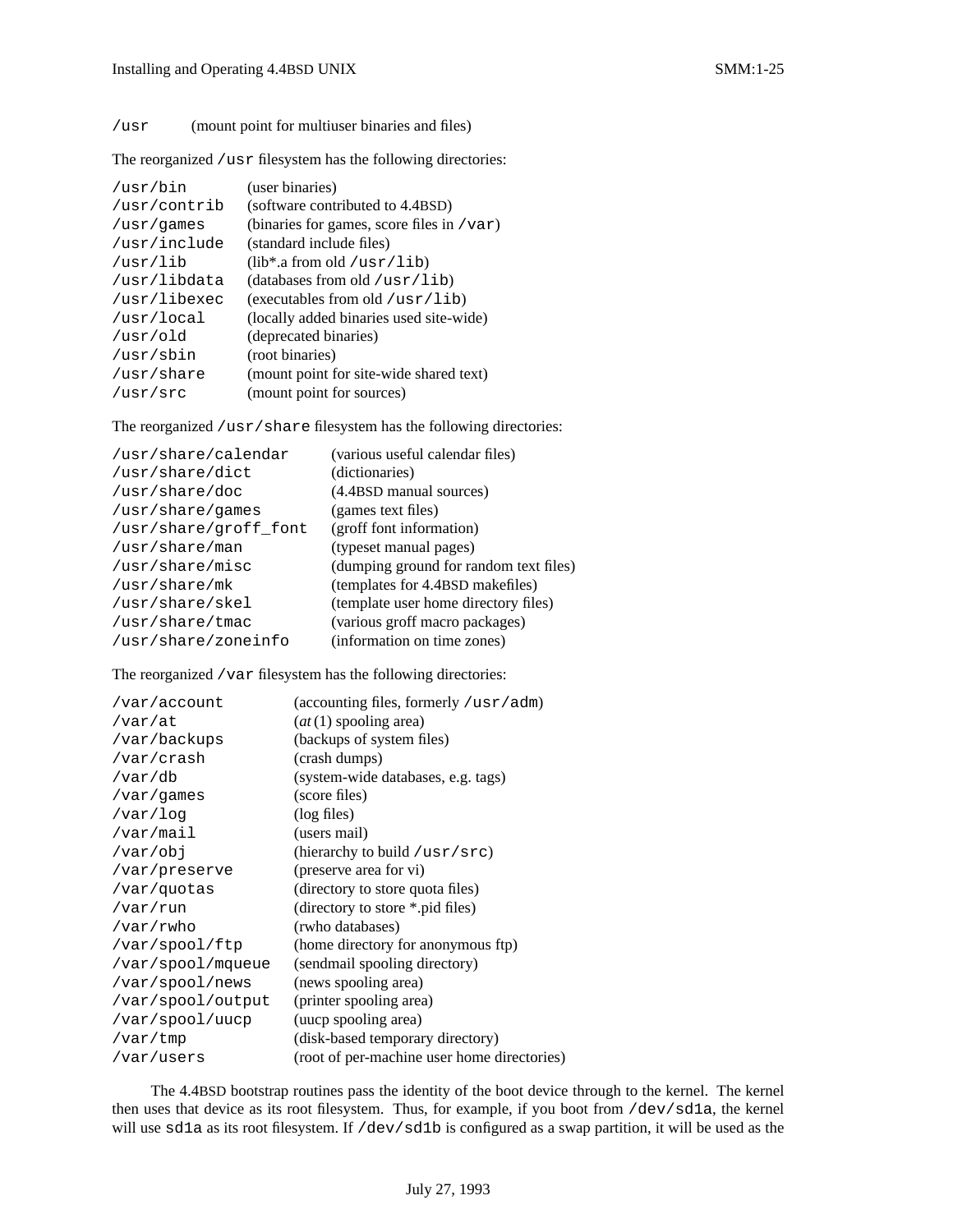The reorganized /usr filesystem has the following directories:

| /usr/bin     | (user binaries)                              |
|--------------|----------------------------------------------|
| /usr/contrib | (software contributed to 4.4BSD)             |
| /usr/games   | (binaries for games, score files in $/var$ ) |
| /usr/include | (standard include files)                     |
| /usr/lib     | $(lib^*a from old /usr/lib)$                 |
| /usr/libdata | (databases from old /usr/lib)                |
| /usr/libexec | (executables from old $/usr/lib$ )           |
| /usr/local   | (locally added binaries used site-wide)      |
| /usr/old     | (deprecated binaries)                        |
| /usr/sbin    | (root binaries)                              |
| /usr/share   | (mount point for site-wide shared text)      |
| /usr/src     | (mount point for sources)                    |

The reorganized /usr/share filesystem has the following directories:

| /usr/share/calendar   | (various useful calendar files)        |
|-----------------------|----------------------------------------|
| /usr/share/dict       | (dictionaries)                         |
| /usr/share/doc        | (4.4BSD manual sources)                |
| /usr/share/games      | (games text files)                     |
| /usr/share/groff font | (groff font information)               |
| /usr/share/man        | (typeset manual pages)                 |
| /usr/share/misc       | (dumping ground for random text files) |
| /usr/share/mk         | (templates for 4.4BSD makefiles)       |
| /usr/share/skel       | (template user home directory files)   |
| /usr/share/tmac       | (various groff macro packages)         |
| /usr/share/zoneinfo   | (information on time zones)            |

The reorganized /var filesystem has the following directories:

| /var/account      | (accounting files, formerly /usr/adm)       |
|-------------------|---------------------------------------------|
| /var/at           | $(at(1)$ spooling area)                     |
| /var/backups      | (backups of system files)                   |
| /var/crash        | (crash dumps)                               |
| /var/db           | (system-wide databases, e.g. tags)          |
| /var/games        | (score files)                               |
| /var/log          | (log files)                                 |
| /var/mail         | (users mail)                                |
| /var/obj          | (hierarchy to build / $usr/sec$ )           |
| /var/preserve     | (preserve area for vi)                      |
| /var/quotas       | (directory to store quota files)            |
| /var/run          | (directory to store *.pid files)            |
| /var/rwho         | (rwho databases)                            |
| /var/spool/ftp    | (home directory for anonymous ftp)          |
| /var/spool/mqueue | (sendmail spooling directory)               |
| /var/spool/news   | (news spooling area)                        |
| /var/spool/output | (printer spooling area)                     |
| /var/spool/uucp   | (uucp spooling area)                        |
| /var/tmp          | (disk-based temporary directory)            |
| /var/users        | (root of per-machine user home directories) |

The 4.4BSD bootstrap routines pass the identity of the boot device through to the kernel. The kernel then uses that device as its root filesystem. Thus, for example, if you boot from /dev/sd1a, the kernel will use sd1a as its root filesystem. If /dev/sd1b is configured as a swap partition, it will be used as the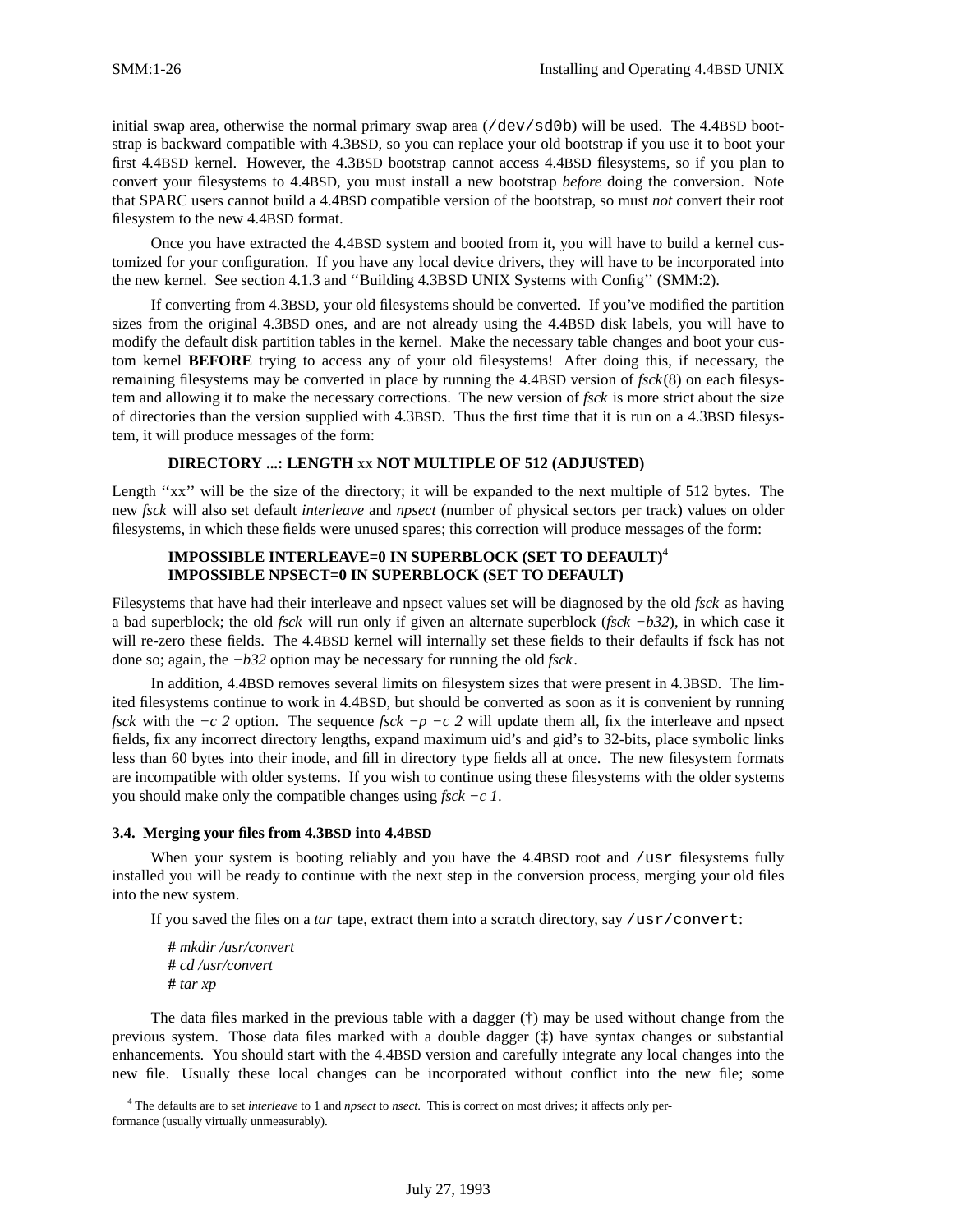initial swap area, otherwise the normal primary swap area (/dev/sd0b) will be used. The 4.4BSD bootstrap is backward compatible with 4.3BSD, so you can replace your old bootstrap if you use it to boot your first 4.4BSD kernel. However, the 4.3BSD bootstrap cannot access 4.4BSD filesystems, so if you plan to convert your filesystems to 4.4BSD, you must install a new bootstrap *before* doing the conversion. Note that SPARC users cannot build a 4.4BSD compatible version of the bootstrap, so must *not* convert their root filesystem to the new 4.4BSD format.

Once you have extracted the 4.4BSD system and booted from it, you will have to build a kernel customized for your configuration. If you have any local device drivers, they will have to be incorporated into the new kernel. See section 4.1.3 and ''Building 4.3BSD UNIX Systems with Config'' (SMM:2).

If converting from 4.3BSD, your old filesystems should be converted. If you've modified the partition sizes from the original 4.3BSD ones, and are not already using the 4.4BSD disk labels, you will have to modify the default disk partition tables in the kernel. Make the necessary table changes and boot your custom kernel **BEFORE** trying to access any of your old filesystems! After doing this, if necessary, the remaining filesystems may be converted in place by running the 4.4BSD version of *fsck*(8) on each filesystem and allowing it to make the necessary corrections. The new version of *fsck* is more strict about the size of directories than the version supplied with 4.3BSD. Thus the first time that it is run on a 4.3BSD filesystem, it will produce messages of the form:

## **DIRECTORY ...: LENGTH** xx **NOT MULTIPLE OF 512 (ADJUSTED)**

Length "xx" will be the size of the directory; it will be expanded to the next multiple of 512 bytes. The new *fsck* will also set default *interleave* and *npsect* (number of physical sectors per track) values on older filesystems, in which these fields were unused spares; this correction will produce messages of the form:

## **IMPOSSIBLE INTERLEAVE=0 IN SUPERBLOCK (SET TO DEFAULT)**<sup>4</sup> **IMPOSSIBLE NPSECT=0 IN SUPERBLOCK (SET TO DEFAULT)**

Filesystems that have had their interleave and npsect values set will be diagnosed by the old *fsck* as having a bad superblock; the old *fsck* will run only if given an alternate superblock (*fsck −b32*), in which case it will re-zero these fields. The 4.4BSD kernel will internally set these fields to their defaults if fsck has not done so; again, the *−b32* option may be necessary for running the old *fsck*.

In addition, 4.4BSD removes several limits on filesystem sizes that were present in 4.3BSD. The limited filesystems continue to work in 4.4BSD, but should be converted as soon as it is convenient by running *fsck* with the *−c* 2 option. The sequence *fsck −p −c* 2 will update them all, fix the interleave and npsect fields, fix any incorrect directory lengths, expand maximum uid's and gid's to 32-bits, place symbolic links less than 60 bytes into their inode, and fill in directory type fields all at once. The new filesystem formats are incompatible with older systems. If you wish to continue using these filesystems with the older systems you should make only the compatible changes using *fsck −c 1*.

### **3.4. Merging your files from 4.3BSD into 4.4BSD**

When your system is booting reliably and you have the 4.4BSD root and /usr filesystems fully installed you will be ready to continue with the next step in the conversion process, merging your old files into the new system.

If you saved the files on a *tar* tape, extract them into a scratch directory, say /usr/convert:

**#** *mkdir /usr/convert* **#** *cd /usr/convert* **#** *tar xp*

The data files marked in the previous table with a dagger  $(\dagger)$  may be used without change from the previous system. Those data files marked with a double dagger (‡) have syntax changes or substantial enhancements. You should start with the 4.4BSD version and carefully integrate any local changes into the new file. Usually these local changes can be incorporated without conflict into the new file; some

<sup>4</sup> The defaults are to set *interleave* to 1 and *npsect* to *nsect*. This is correct on most drives; it affects only performance (usually virtually unmeasurably).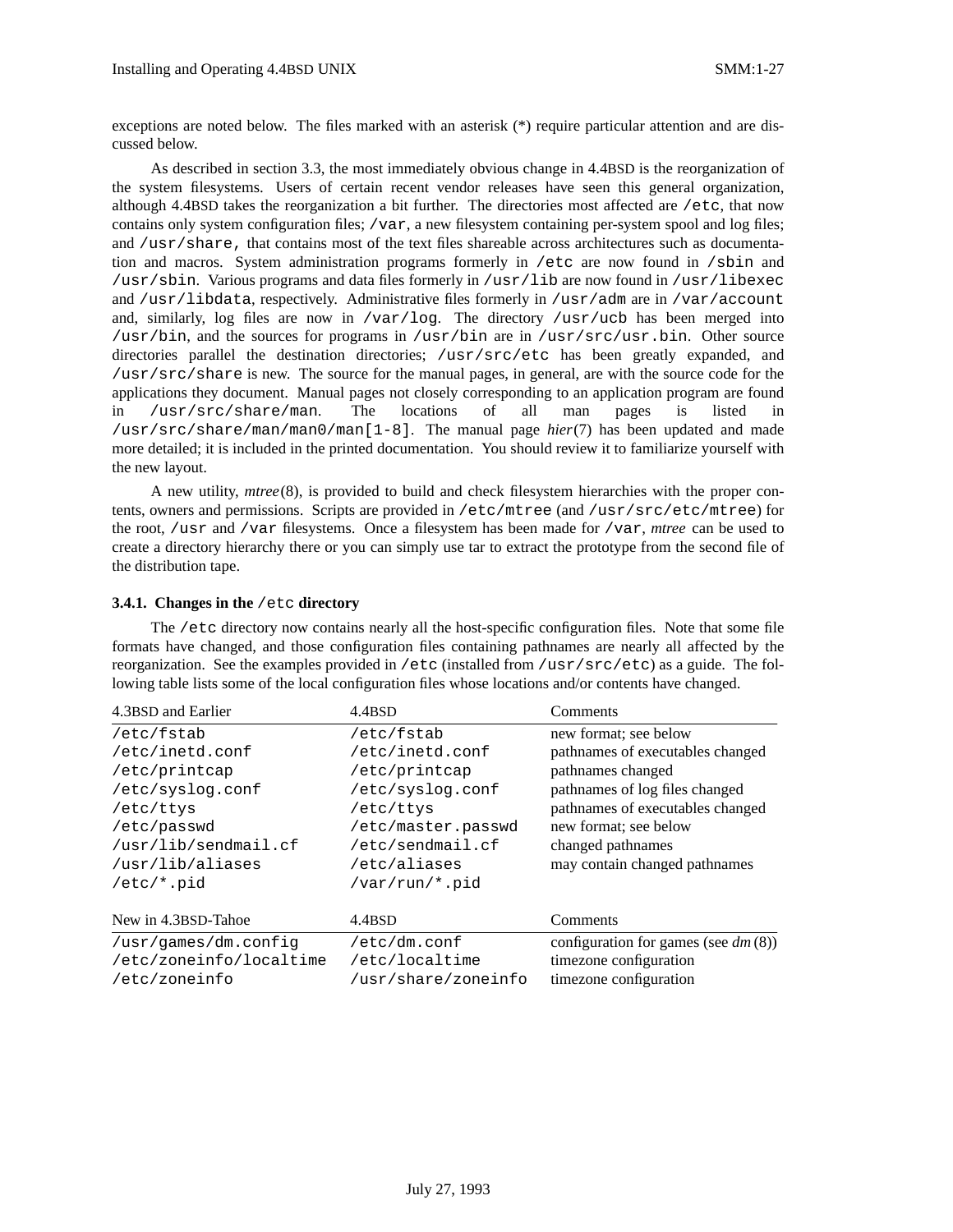exceptions are noted below. The files marked with an asterisk (\*) require particular attention and are discussed below.

As described in section 3.3, the most immediately obvious change in 4.4BSD is the reorganization of the system filesystems. Users of certain recent vendor releases have seen this general organization, although 4.4BSD takes the reorganization a bit further. The directories most affected are /etc, that now contains only system configuration files; /var, a new filesystem containing per-system spool and log files; and /usr/share, that contains most of the text files shareable across architectures such as documentation and macros. System administration programs formerly in /etc are now found in /sbin and /usr/sbin. Various programs and data files formerly in /usr/lib are now found in /usr/libexec and /usr/libdata, respectively. Administrative files formerly in /usr/adm are in /var/account and, similarly, log files are now in /var/log. The directory /usr/ucb has been merged into /usr/bin, and the sources for programs in /usr/bin are in /usr/src/usr.bin. Other source directories parallel the destination directories; /usr/src/etc has been greatly expanded, and /usr/src/share is new. The source for the manual pages, in general, are with the source code for the applications they document. Manual pages not closely corresponding to an application program are found in /usr/src/share/man. The locations of all man pages is listed in /usr/src/share/man/man0/man[1-8]. The manual page *hier*(7) has been updated and made more detailed; it is included in the printed documentation. You should review it to familiarize yourself with the new layout.

A new utility, *mtree*(8), is provided to build and check filesystem hierarchies with the proper contents, owners and permissions. Scripts are provided in /etc/mtree (and /usr/src/etc/mtree) for the root, /usr and /var filesystems. Once a filesystem has been made for /var, *mtree* can be used to create a directory hierarchy there or you can simply use tar to extract the prototype from the second file of the distribution tape.

### **3.4.1. Changes in the** /etc **directory**

The /etc directory now contains nearly all the host-specific configuration files. Note that some file formats have changed, and those configuration files containing pathnames are nearly all affected by the reorganization. See the examples provided in /etc (installed from /usr/src/etc) as a guide. The following table lists some of the local configuration files whose locations and/or contents have changed.

| 4.3BSD and Earlier      | 4.4BSD              | Comments                               |
|-------------------------|---------------------|----------------------------------------|
| /etc/fstab              | /etc/fstab          | new format; see below                  |
| /etc/inetd.conf         | /etc/inetd.conf     | pathnames of executables changed       |
| /etc/printcap           | /etc/printcap       | pathnames changed                      |
| /etc/syslog.conf        | /etc/syslog.conf    | pathnames of log files changed         |
| /etc/ttys               | /etc/ttys           | pathnames of executables changed       |
| /etc/passwd             | /etc/master.passwd  | new format; see below                  |
| /usr/lib/sendmail.cf    | /etc/sendmail.cf    | changed pathnames                      |
| /usr/lib/aliases        | /etc/aliases        | may contain changed pathnames          |
| $/etc/*.pid$            | /var/run/*.pid      |                                        |
| New in 4.3BSD-Tahoe     | 4.4BSD              | Comments                               |
| /usr/qames/dm.config    | /etc/dm.comf        | configuration for games (see $dm(8)$ ) |
| /etc/zoneinfo/localtime | /etc/localtime      | timezone configuration                 |
| /etc/zoneinfo           | /usr/share/zoneinfo | timezone configuration                 |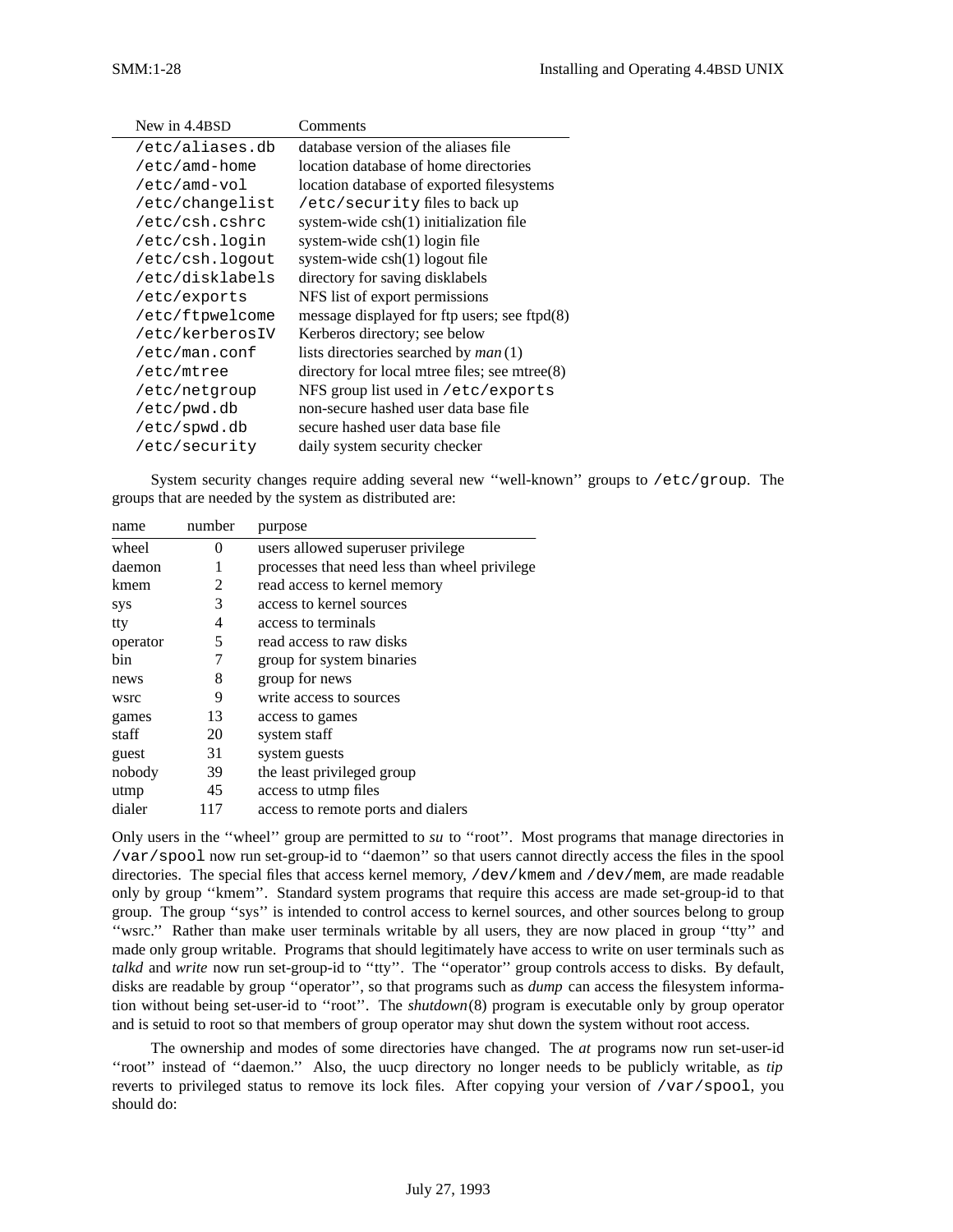| New in 4.4BSD   | Comments                                           |
|-----------------|----------------------------------------------------|
| /etc/aliases.db | database version of the aliases file               |
| /etc/amd-home   | location database of home directories              |
| /etc/amd-vol    | location database of exported filesystems          |
| /etc/changelist | /etc/security files to back up                     |
| /etc/csh.cshrc  | system-wide csh(1) initialization file             |
| /etc/csh.login  | system-wide csh(1) login file                      |
| /etc/csh.logout | system-wide csh(1) logout file                     |
| /etc/disklabels | directory for saving disklabels                    |
| /etc/exports    | NFS list of export permissions                     |
| /etc/ftpwelcome | message displayed for ftp users; see ftpd $(8)$    |
| /etc/kerberosIV | Kerberos directory; see below                      |
| /etc/man.conf   | lists directories searched by <i>man</i> (1)       |
| /etc/mtree      | directory for local mirree files; see mirree $(8)$ |
| /etc/netgroup   | NFS group list used in /etc/exports                |
| /etc/pwd.db     | non-secure hashed user data base file              |
| /etc/spwd.db    | secure hashed user data base file                  |
| /etc/security   | daily system security checker                      |

System security changes require adding several new ''well-known'' groups to /etc/group. The groups that are needed by the system as distributed are:

| number   | purpose                                       |
|----------|-----------------------------------------------|
| $\Omega$ | users allowed superuser privilege             |
| 1        | processes that need less than wheel privilege |
| 2        | read access to kernel memory                  |
| 3        | access to kernel sources                      |
| 4        | access to terminals                           |
| 5        | read access to raw disks                      |
| 7        | group for system binaries                     |
| 8        | group for news                                |
| 9        | write access to sources                       |
| 13       | access to games                               |
| 20       | system staff                                  |
| 31       | system guests                                 |
| 39       | the least privileged group                    |
| 45       | access to utmp files                          |
| 117      | access to remote ports and dialers            |
|          |                                               |

Only users in the ''wheel'' group are permitted to *su* to ''root''. Most programs that manage directories in /var/spool now run set-group-id to ''daemon'' so that users cannot directly access the files in the spool directories. The special files that access kernel memory, /dev/kmem and /dev/mem, are made readable only by group ''kmem''. Standard system programs that require this access are made set-group-id to that group. The group ''sys'' is intended to control access to kernel sources, and other sources belong to group ''wsrc.'' Rather than make user terminals writable by all users, they are now placed in group ''tty'' and made only group writable. Programs that should legitimately have access to write on user terminals such as *talkd* and *write* now run set-group-id to ''tty''. The ''operator'' group controls access to disks. By default, disks are readable by group ''operator'', so that programs such as *dump* can access the filesystem information without being set-user-id to ''root''. The *shutdown*(8) program is executable only by group operator and is setuid to root so that members of group operator may shut down the system without root access.

The ownership and modes of some directories have changed. The *at* programs now run set-user-id ''root'' instead of ''daemon.'' Also, the uucp directory no longer needs to be publicly writable, as *tip* reverts to privileged status to remove its lock files. After copying your version of /var/spool, you should do: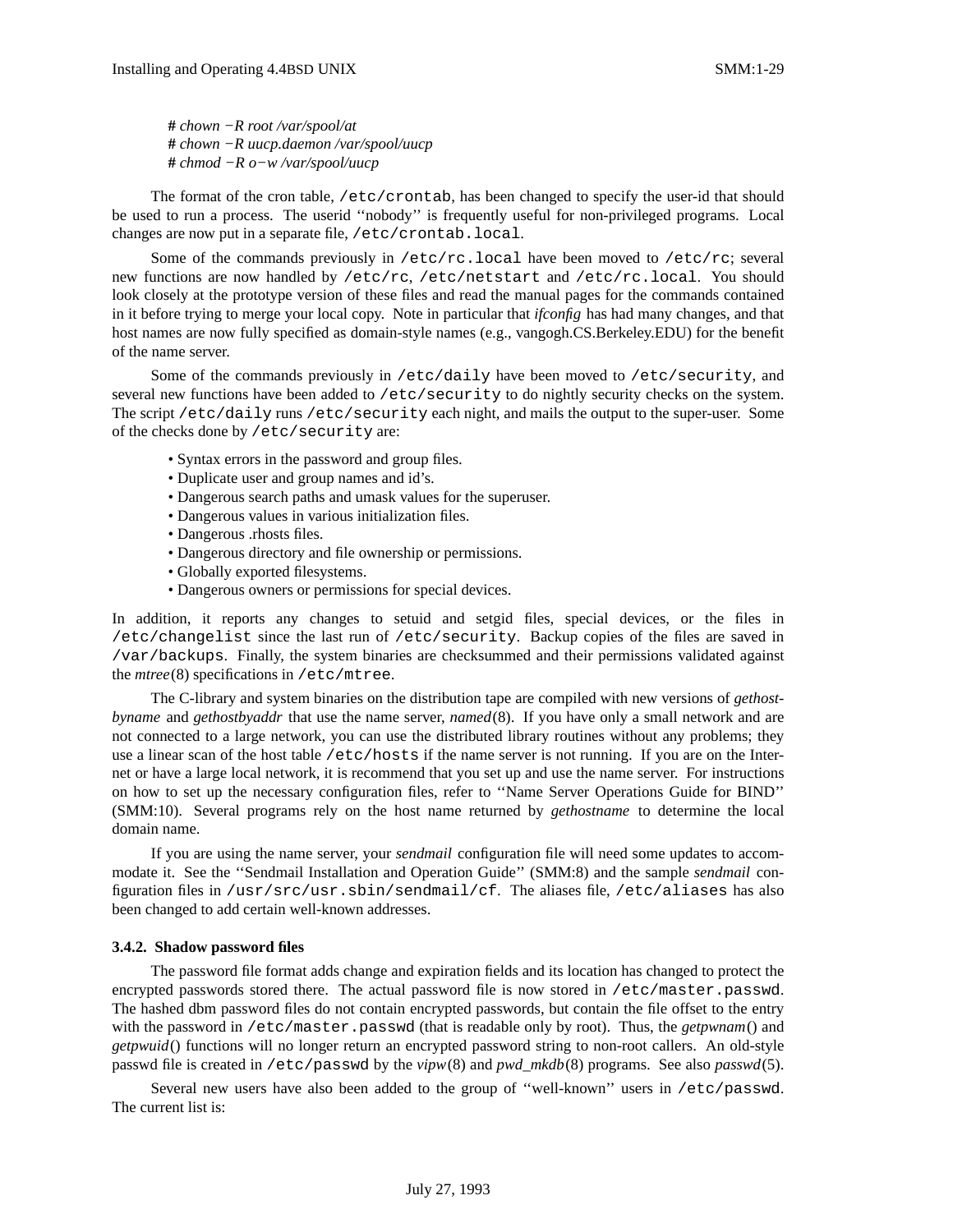**#** *chown −R root /var/spool/at* **#** *chown −R uucp.daemon /var/spool/uucp* **#** *chmod −R o−w /var/spool/uucp*

The format of the cron table, /etc/crontab, has been changed to specify the user-id that should be used to run a process. The userid ''nobody'' is frequently useful for non-privileged programs. Local changes are now put in a separate file, /etc/crontab.local.

Some of the commands previously in /etc/rc.local have been moved to /etc/rc; several new functions are now handled by /etc/rc, /etc/netstart and /etc/rc.local. You should look closely at the prototype version of these files and read the manual pages for the commands contained in it before trying to merge your local copy. Note in particular that *ifconfig* has had many changes, and that host names are now fully specified as domain-style names (e.g., vangogh.CS.Berkeley.EDU) for the benefit of the name server.

Some of the commands previously in /etc/daily have been moved to /etc/security, and several new functions have been added to /etc/security to do nightly security checks on the system. The script /etc/daily runs /etc/security each night, and mails the output to the super-user. Some of the checks done by /etc/security are:

- Syntax errors in the password and group files.
- Duplicate user and group names and id's.
- Dangerous search paths and umask values for the superuser.
- Dangerous values in various initialization files.
- Dangerous .rhosts files.
- Dangerous directory and file ownership or permissions.
- Globally exported filesystems.
- Dangerous owners or permissions for special devices.

In addition, it reports any changes to setuid and setgid files, special devices, or the files in /etc/changelist since the last run of /etc/security. Backup copies of the files are saved in /var/backups. Finally, the system binaries are checksummed and their permissions validated against the *mtree*(8) specifications in /etc/mtree.

The C-library and system binaries on the distribution tape are compiled with new versions of *gethostbyname* and *gethostbyaddr* that use the name server, *named*(8). If you have only a small network and are not connected to a large network, you can use the distributed library routines without any problems; they use a linear scan of the host table /etc/hosts if the name server is not running. If you are on the Internet or have a large local network, it is recommend that you set up and use the name server. For instructions on how to set up the necessary configuration files, refer to ''Name Server Operations Guide for BIND'' (SMM:10). Several programs rely on the host name returned by *gethostname* to determine the local domain name.

If you are using the name server, your *sendmail* configuration file will need some updates to accommodate it. See the ''Sendmail Installation and Operation Guide'' (SMM:8) and the sample *sendmail* configuration files in /usr/src/usr.sbin/sendmail/cf. The aliases file, /etc/aliases has also been changed to add certain well-known addresses.

#### **3.4.2. Shadow password files**

The password file format adds change and expiration fields and its location has changed to protect the encrypted passwords stored there. The actual password file is now stored in /etc/master.passwd. The hashed dbm password files do not contain encrypted passwords, but contain the file offset to the entry with the password in /etc/master.passwd (that is readable only by root). Thus, the *getpwnam*() and *getpwuid*() functions will no longer return an encrypted password string to non-root callers. An old-style passwd file is created in /etc/passwd by the *vipw*(8) and *pwd\_mkdb*(8) programs. See also *passwd*(5).

Several new users have also been added to the group of ''well-known'' users in /etc/passwd. The current list is: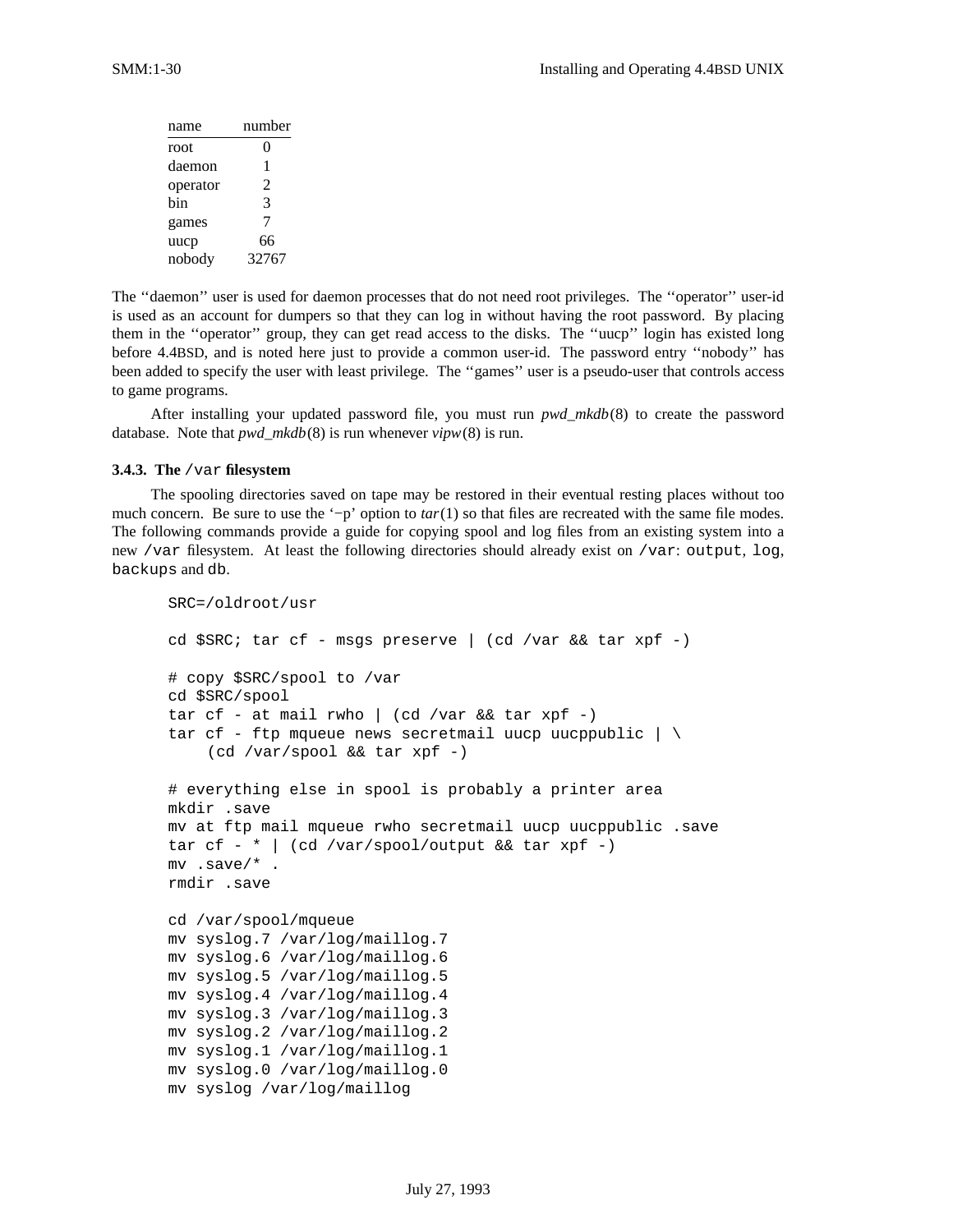| name     | number                   |
|----------|--------------------------|
| root     | 0                        |
| daemon   | 1                        |
| operator | $\overline{\mathcal{L}}$ |
| bin      | 3                        |
| games    | 7                        |
| uucp     | 66                       |
| nobody   | 32767                    |

The ''daemon'' user is used for daemon processes that do not need root privileges. The ''operator'' user-id is used as an account for dumpers so that they can log in without having the root password. By placing them in the ''operator'' group, they can get read access to the disks. The ''uucp'' login has existed long before 4.4BSD, and is noted here just to provide a common user-id. The password entry ''nobody'' has been added to specify the user with least privilege. The ''games'' user is a pseudo-user that controls access to game programs.

After installing your updated password file, you must run *pwd\_mkdb*(8) to create the password database. Note that *pwd\_mkdb*(8) is run whenever *vipw*(8) is run.

### **3.4.3. The** /var **filesystem**

The spooling directories saved on tape may be restored in their eventual resting places without too much concern. Be sure to use the '−p' option to *tar*(1) so that files are recreated with the same file modes. The following commands provide a guide for copying spool and log files from an existing system into a new /var filesystem. At least the following directories should already exist on /var: output, log, backups and db.

```
SRC=/oldroot/usr
cd $SRC; tar cf - msgs preserve | (cd /var && tar xpf -)
# copy $SRC/spool to /var
cd $SRC/spool
tar cf - at mail rwho | (cd /var && tar xpf -)
tar cf - ftp mqueue news secretmail uucp uucppublic |\ \ \rangle(cd /var/spool && tar xpf -)
# everything else in spool is probably a printer area
mkdir .save
mv at ftp mail mqueue rwho secretmail uucp uucppublic .save
tar cf - * | (cd /var/spool/output && tar xpf -)
mv .save/* .
rmdir .save
cd /var/spool/mqueue
mv syslog.7 /var/log/maillog.7
mv syslog.6 /var/log/maillog.6
mv syslog.5 /var/log/maillog.5
mv syslog.4 /var/log/maillog.4
mv syslog.3 /var/log/maillog.3
mv syslog.2 /var/log/maillog.2
mv syslog.1 /var/log/maillog.1
mv syslog.0 /var/log/maillog.0
mv syslog /var/log/maillog
```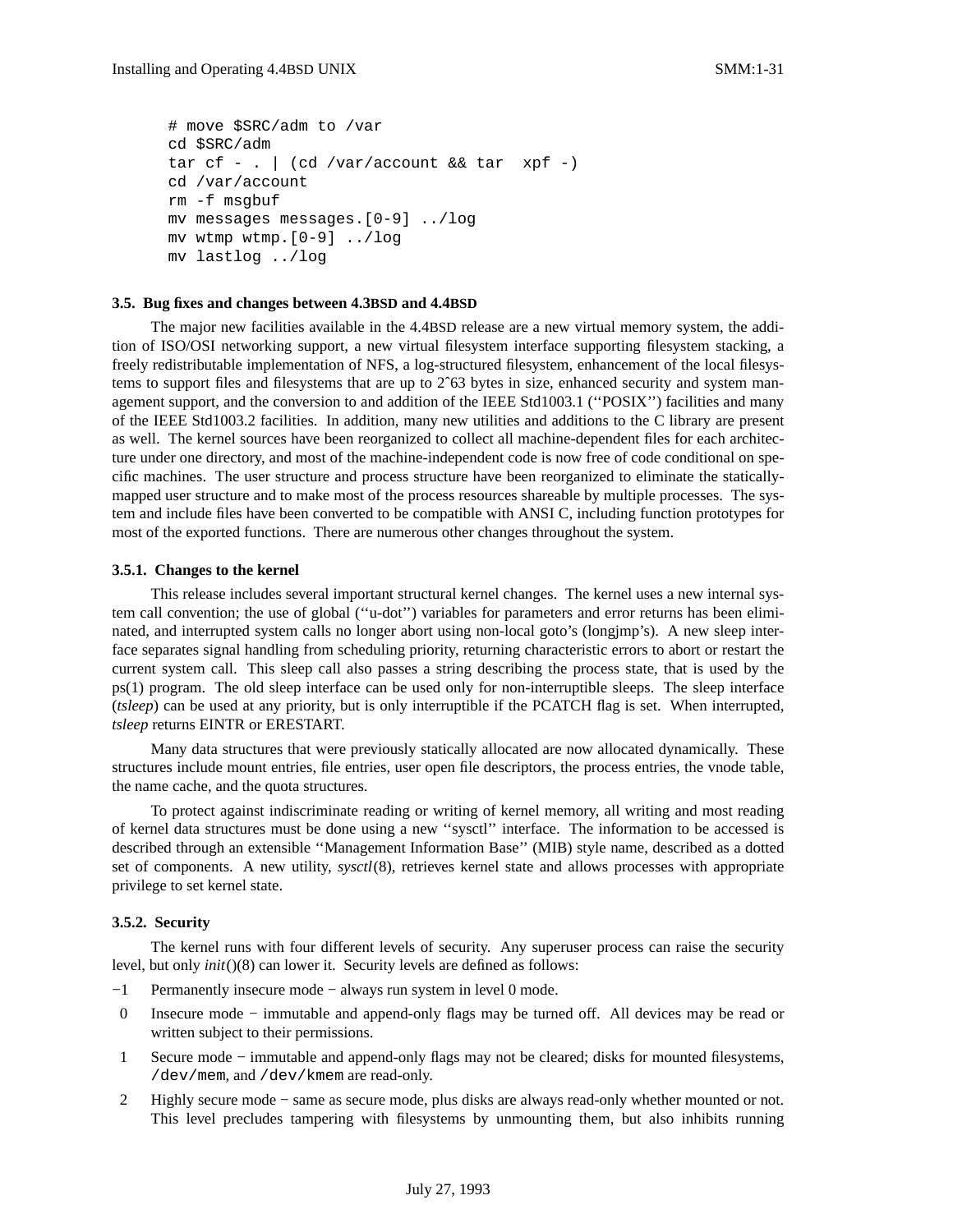```
# move $SRC/adm to /var
cd $SRC/adm
tar cf - . | (cd /var/account && tar xpf -)
cd /var/account
rm -f msgbuf
mv messages messages.[0-9] ../log
mv wtmp wtmp.[0-9] ../log
mv lastlog ../log
```
#### **3.5. Bug fixes and changes between 4.3BSD and 4.4BSD**

The major new facilities available in the 4.4BSD release are a new virtual memory system, the addition of ISO/OSI networking support, a new virtual filesystem interface supporting filesystem stacking, a freely redistributable implementation of NFS, a log-structured filesystem, enhancement of the local filesystems to support files and filesystems that are up to 2<sup>o</sup>63 bytes in size, enhanced security and system management support, and the conversion to and addition of the IEEE Std1003.1 (''POSIX'') facilities and many of the IEEE Std1003.2 facilities. In addition, many new utilities and additions to the C library are present as well. The kernel sources have been reorganized to collect all machine-dependent files for each architecture under one directory, and most of the machine-independent code is now free of code conditional on specific machines. The user structure and process structure have been reorganized to eliminate the staticallymapped user structure and to make most of the process resources shareable by multiple processes. The system and include files have been converted to be compatible with ANSI C, including function prototypes for most of the exported functions. There are numerous other changes throughout the system.

#### **3.5.1. Changes to the kernel**

This release includes several important structural kernel changes. The kernel uses a new internal system call convention; the use of global (''u-dot'') variables for parameters and error returns has been eliminated, and interrupted system calls no longer abort using non-local goto's (longjmp's). A new sleep interface separates signal handling from scheduling priority, returning characteristic errors to abort or restart the current system call. This sleep call also passes a string describing the process state, that is used by the ps(1) program. The old sleep interface can be used only for non-interruptible sleeps. The sleep interface (*tsleep*) can be used at any priority, but is only interruptible if the PCATCH flag is set. When interrupted, *tsleep* returns EINTR or ERESTART.

Many data structures that were previously statically allocated are now allocated dynamically. These structures include mount entries, file entries, user open file descriptors, the process entries, the vnode table, the name cache, and the quota structures.

To protect against indiscriminate reading or writing of kernel memory, all writing and most reading of kernel data structures must be done using a new ''sysctl'' interface. The information to be accessed is described through an extensible ''Management Information Base'' (MIB) style name, described as a dotted set of components. A new utility, *sysctl*(8), retrieves kernel state and allows processes with appropriate privilege to set kernel state.

#### **3.5.2. Security**

The kernel runs with four different levels of security. Any superuser process can raise the security level, but only *init*()(8) can lower it. Security levels are defined as follows:

- −1 Permanently insecure mode − always run system in level 0 mode.
- 0 Insecure mode − immutable and append-only flags may be turned off. All devices may be read or written subject to their permissions.
- 1 Secure mode − immutable and append-only flags may not be cleared; disks for mounted filesystems, /dev/mem, and /dev/kmem are read-only.
- 2 Highly secure mode − same as secure mode, plus disks are always read-only whether mounted or not. This level precludes tampering with filesystems by unmounting them, but also inhibits running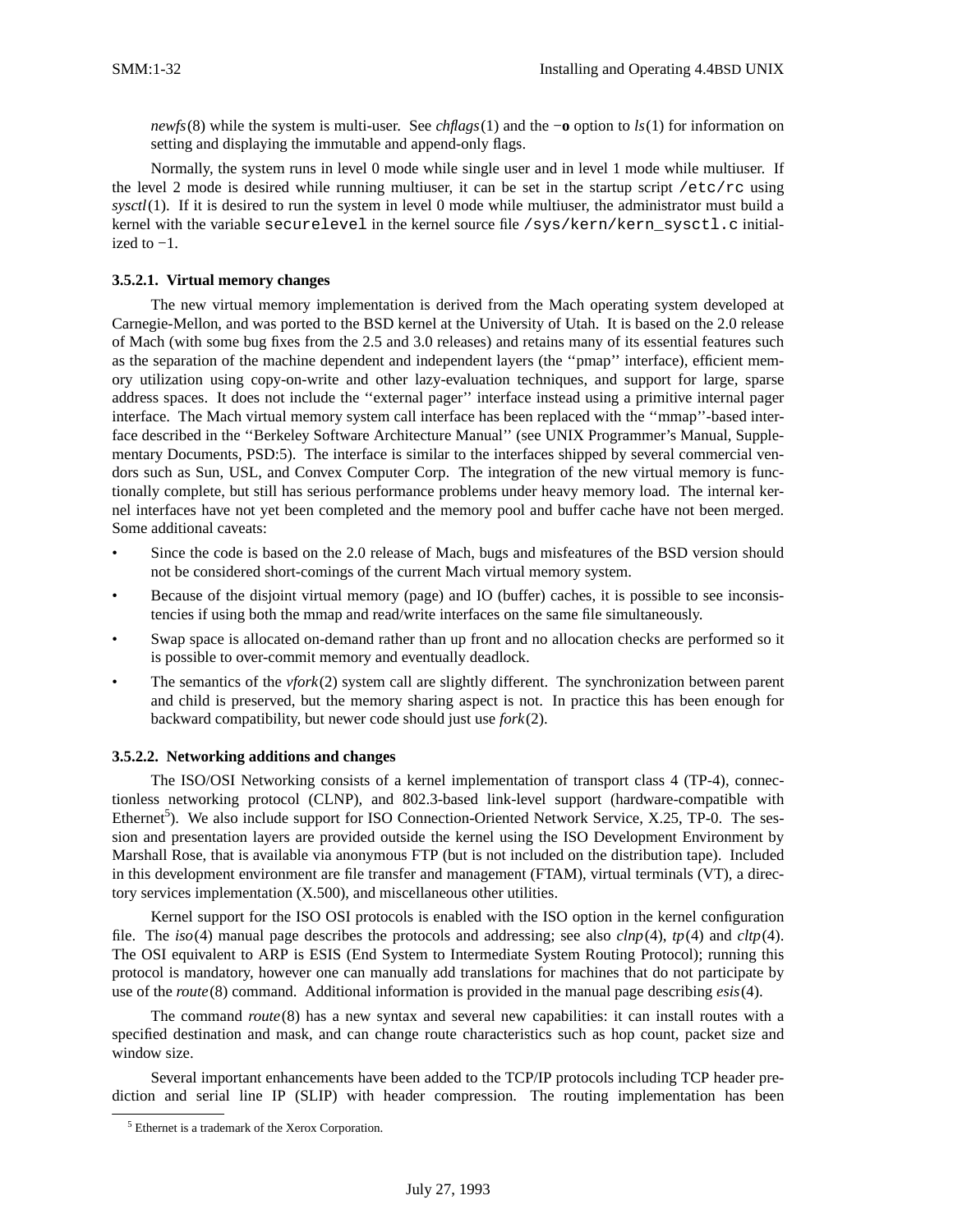*newfs*(8) while the system is multi-user. See *chflags*(1) and the −**o** option to *ls*(1) for information on setting and displaying the immutable and append-only flags.

Normally, the system runs in level 0 mode while single user and in level 1 mode while multiuser. If the level 2 mode is desired while running multiuser, it can be set in the startup script /etc/rc using *sysctl*(1). If it is desired to run the system in level 0 mode while multiuser, the administrator must build a kernel with the variable securelevel in the kernel source file /sys/kern/kern\_sysctl.c initialized to  $-1$ .

### **3.5.2.1. Virtual memory changes**

The new virtual memory implementation is derived from the Mach operating system developed at Carnegie-Mellon, and was ported to the BSD kernel at the University of Utah. It is based on the 2.0 release of Mach (with some bug fixes from the 2.5 and 3.0 releases) and retains many of its essential features such as the separation of the machine dependent and independent layers (the ''pmap'' interface), efficient memory utilization using copy-on-write and other lazy-evaluation techniques, and support for large, sparse address spaces. It does not include the ''external pager'' interface instead using a primitive internal pager interface. The Mach virtual memory system call interface has been replaced with the ''mmap''-based interface described in the ''Berkeley Software Architecture Manual'' (see UNIX Programmer's Manual, Supplementary Documents, PSD:5). The interface is similar to the interfaces shipped by several commercial vendors such as Sun, USL, and Convex Computer Corp. The integration of the new virtual memory is functionally complete, but still has serious performance problems under heavy memory load. The internal kernel interfaces have not yet been completed and the memory pool and buffer cache have not been merged. Some additional caveats:

- Since the code is based on the 2.0 release of Mach, bugs and misfeatures of the BSD version should not be considered short-comings of the current Mach virtual memory system.
- Because of the disjoint virtual memory (page) and IO (buffer) caches, it is possible to see inconsistencies if using both the mmap and read/write interfaces on the same file simultaneously.
- Swap space is allocated on-demand rather than up front and no allocation checks are performed so it is possible to over-commit memory and eventually deadlock.
- The semantics of the *vfork*(2) system call are slightly different. The synchronization between parent and child is preserved, but the memory sharing aspect is not. In practice this has been enough for backward compatibility, but newer code should just use *fork*(2).

#### **3.5.2.2. Networking additions and changes**

The ISO/OSI Networking consists of a kernel implementation of transport class 4 (TP-4), connectionless networking protocol (CLNP), and 802.3-based link-level support (hardware-compatible with Ethernet<sup>5</sup>). We also include support for ISO Connection-Oriented Network Service, X.25, TP-0. The session and presentation layers are provided outside the kernel using the ISO Development Environment by Marshall Rose, that is available via anonymous FTP (but is not included on the distribution tape). Included in this development environment are file transfer and management (FTAM), virtual terminals (VT), a directory services implementation (X.500), and miscellaneous other utilities.

Kernel support for the ISO OSI protocols is enabled with the ISO option in the kernel configuration file. The *iso*(4) manual page describes the protocols and addressing; see also *clnp*(4), *tp*(4) and *cltp*(4). The OSI equivalent to ARP is ESIS (End System to Intermediate System Routing Protocol); running this protocol is mandatory, however one can manually add translations for machines that do not participate by use of the *route*(8) command. Additional information is provided in the manual page describing *esis*(4).

The command *route*(8) has a new syntax and several new capabilities: it can install routes with a specified destination and mask, and can change route characteristics such as hop count, packet size and window size.

Several important enhancements have been added to the TCP/IP protocols including TCP header prediction and serial line IP (SLIP) with header compression. The routing implementation has been

<sup>5</sup> Ethernet is a trademark of the Xerox Corporation.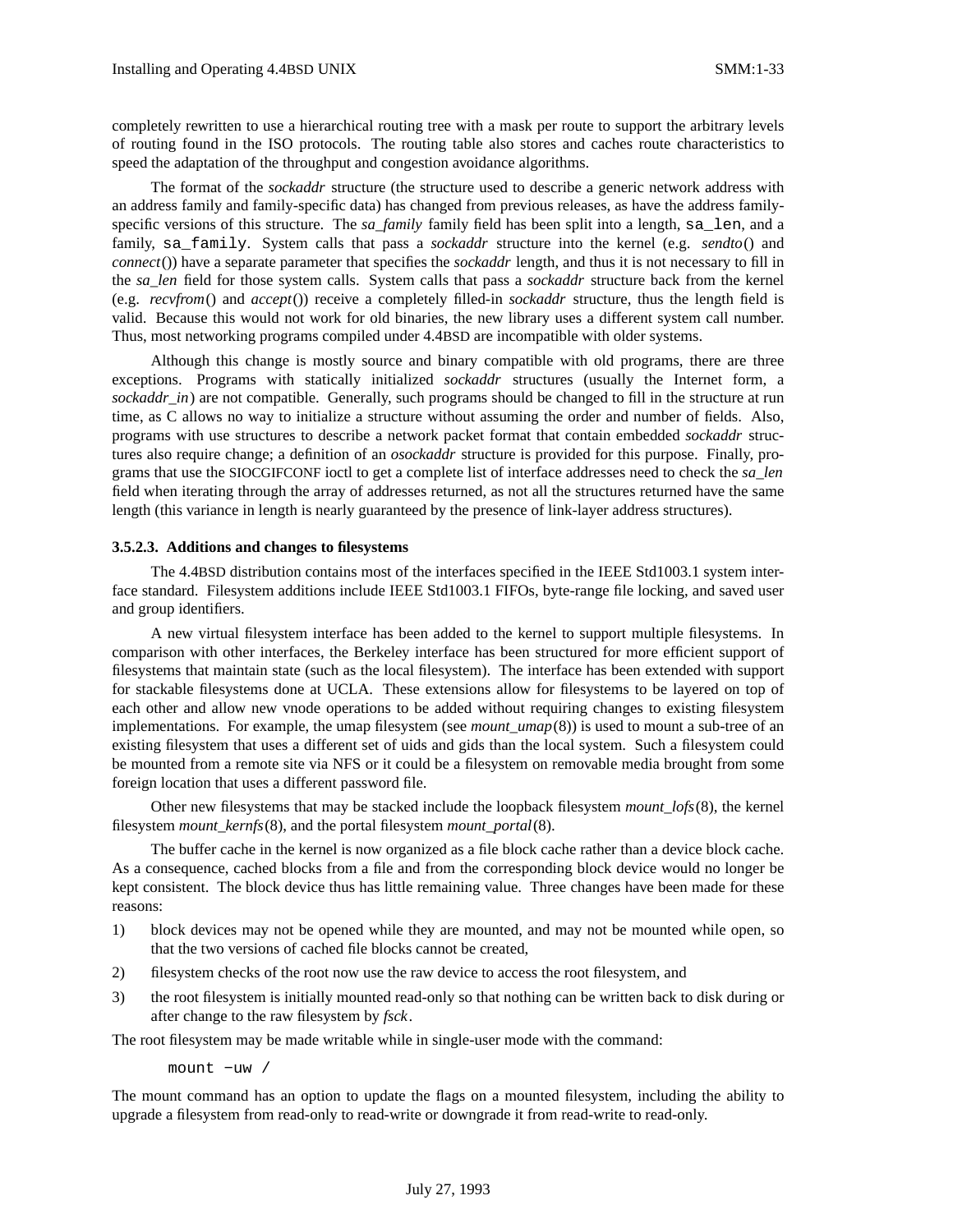completely rewritten to use a hierarchical routing tree with a mask per route to support the arbitrary levels of routing found in the ISO protocols. The routing table also stores and caches route characteristics to speed the adaptation of the throughput and congestion avoidance algorithms.

The format of the *sockaddr* structure (the structure used to describe a generic network address with an address family and family-specific data) has changed from previous releases, as have the address familyspecific versions of this structure. The *sa\_family* family field has been split into a length, sa\_len, and a family, sa\_family. System calls that pass a *sockaddr* structure into the kernel (e.g. *sendto*() and *connect*()) have a separate parameter that specifies the *sockaddr* length, and thus it is not necessary to fill in the *sa\_len* field for those system calls. System calls that pass a *sockaddr* structure back from the kernel (e.g. *recvfrom*() and *accept*()) receive a completely filled-in *sockaddr* structure, thus the length field is valid. Because this would not work for old binaries, the new library uses a different system call number. Thus, most networking programs compiled under 4.4BSD are incompatible with older systems.

Although this change is mostly source and binary compatible with old programs, there are three exceptions. Programs with statically initialized *sockaddr* structures (usually the Internet form, a *sockaddr\_in*) are not compatible. Generally, such programs should be changed to fill in the structure at run time, as C allows no way to initialize a structure without assuming the order and number of fields. Also, programs with use structures to describe a network packet format that contain embedded *sockaddr* structures also require change; a definition of an *osockaddr* structure is provided for this purpose. Finally, programs that use the SIOCGIFCONF ioctl to get a complete list of interface addresses need to check the *sa\_len* field when iterating through the array of addresses returned, as not all the structures returned have the same length (this variance in length is nearly guaranteed by the presence of link-layer address structures).

### **3.5.2.3. Additions and changes to filesystems**

The 4.4BSD distribution contains most of the interfaces specified in the IEEE Std1003.1 system interface standard. Filesystem additions include IEEE Std1003.1 FIFOs, byte-range file locking, and saved user and group identifiers.

A new virtual filesystem interface has been added to the kernel to support multiple filesystems. In comparison with other interfaces, the Berkeley interface has been structured for more efficient support of filesystems that maintain state (such as the local filesystem). The interface has been extended with support for stackable filesystems done at UCLA. These extensions allow for filesystems to be layered on top of each other and allow new vnode operations to be added without requiring changes to existing filesystem implementations. For example, the umap filesystem (see *mount\_umap*(8)) is used to mount a sub-tree of an existing filesystem that uses a different set of uids and gids than the local system. Such a filesystem could be mounted from a remote site via NFS or it could be a filesystem on removable media brought from some foreign location that uses a different password file.

Other new filesystems that may be stacked include the loopback filesystem *mount\_lofs*(8), the kernel filesystem *mount\_kernfs*(8), and the portal filesystem *mount\_portal*(8).

The buffer cache in the kernel is now organized as a file block cache rather than a device block cache. As a consequence, cached blocks from a file and from the corresponding block device would no longer be kept consistent. The block device thus has little remaining value. Three changes have been made for these reasons:

- 1) block devices may not be opened while they are mounted, and may not be mounted while open, so that the two versions of cached file blocks cannot be created,
- 2) filesystem checks of the root now use the raw device to access the root filesystem, and
- 3) the root filesystem is initially mounted read-only so that nothing can be written back to disk during or after change to the raw filesystem by *fsck*.

The root filesystem may be made writable while in single-user mode with the command:

mount −uw /

The mount command has an option to update the flags on a mounted filesystem, including the ability to upgrade a filesystem from read-only to read-write or downgrade it from read-write to read-only.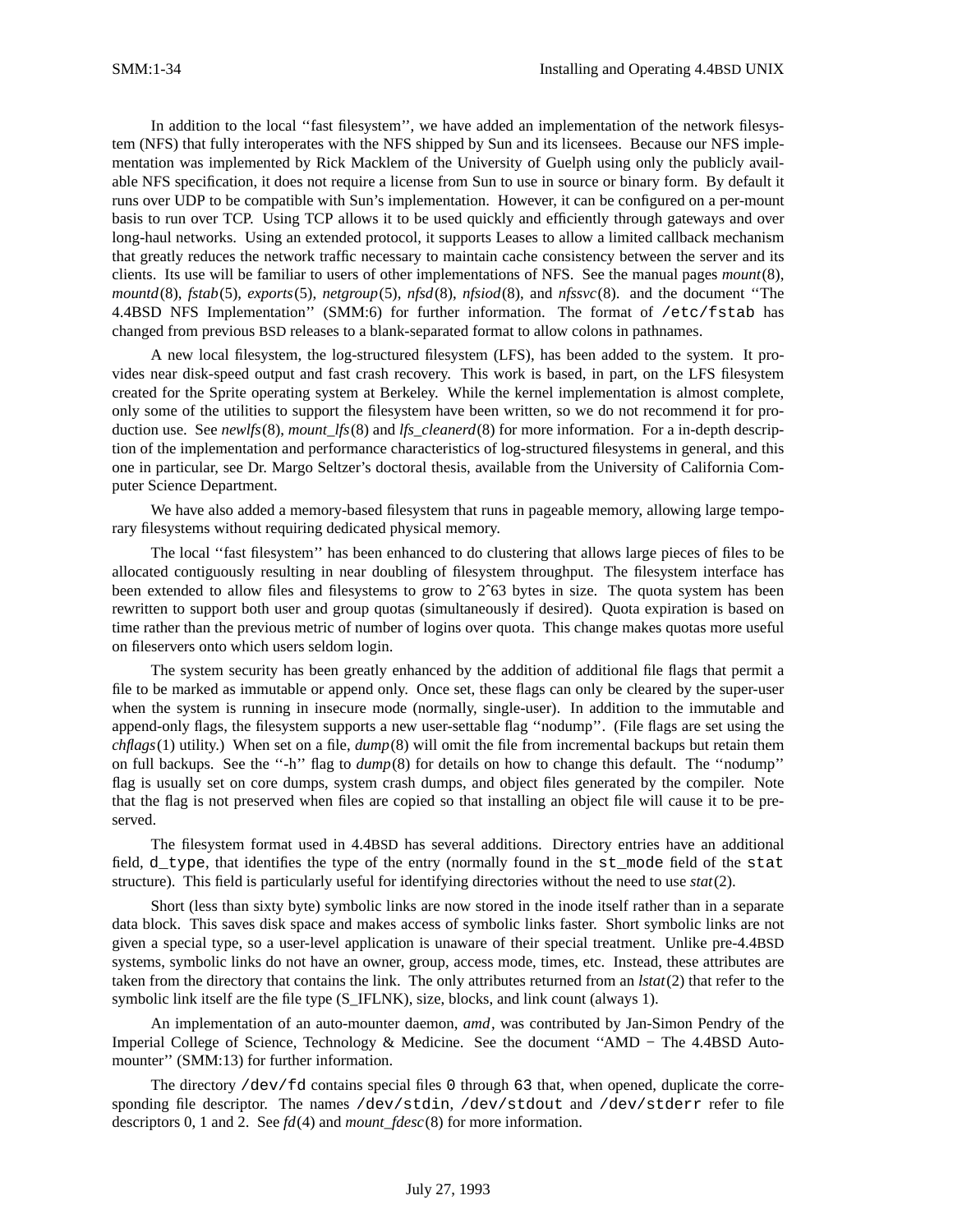In addition to the local ''fast filesystem'', we have added an implementation of the network filesystem (NFS) that fully interoperates with the NFS shipped by Sun and its licensees. Because our NFS implementation was implemented by Rick Macklem of the University of Guelph using only the publicly available NFS specification, it does not require a license from Sun to use in source or binary form. By default it runs over UDP to be compatible with Sun's implementation. However, it can be configured on a per-mount basis to run over TCP. Using TCP allows it to be used quickly and efficiently through gateways and over long-haul networks. Using an extended protocol, it supports Leases to allow a limited callback mechanism that greatly reduces the network traffic necessary to maintain cache consistency between the server and its clients. Its use will be familiar to users of other implementations of NFS. See the manual pages *mount*(8), *mountd*(8), *fstab*(5), *exports*(5), *netgroup*(5), *nfsd*(8), *nfsiod*(8), and *nfssvc*(8). and the document ''The 4.4BSD NFS Implementation'' (SMM:6) for further information. The format of /etc/fstab has changed from previous BSD releases to a blank-separated format to allow colons in pathnames.

A new local filesystem, the log-structured filesystem (LFS), has been added to the system. It provides near disk-speed output and fast crash recovery. This work is based, in part, on the LFS filesystem created for the Sprite operating system at Berkeley. While the kernel implementation is almost complete, only some of the utilities to support the filesystem have been written, so we do not recommend it for production use. See *newlfs*(8), *mount\_lfs*(8) and *lfs\_cleanerd*(8) for more information. For a in-depth description of the implementation and performance characteristics of log-structured filesystems in general, and this one in particular, see Dr. Margo Seltzer's doctoral thesis, available from the University of California Computer Science Department.

We have also added a memory-based filesystem that runs in pageable memory, allowing large temporary filesystems without requiring dedicated physical memory.

The local ''fast filesystem'' has been enhanced to do clustering that allows large pieces of files to be allocated contiguously resulting in near doubling of filesystem throughput. The filesystem interface has been extended to allow files and filesystems to grow to 2ˆ63 bytes in size. The quota system has been rewritten to support both user and group quotas (simultaneously if desired). Quota expiration is based on time rather than the previous metric of number of logins over quota. This change makes quotas more useful on fileservers onto which users seldom login.

The system security has been greatly enhanced by the addition of additional file flags that permit a file to be marked as immutable or append only. Once set, these flags can only be cleared by the super-user when the system is running in insecure mode (normally, single-user). In addition to the immutable and append-only flags, the filesystem supports a new user-settable flag ''nodump''. (File flags are set using the *chflags*(1) utility.) When set on a file, *dump*(8) will omit the file from incremental backups but retain them on full backups. See the ''-h'' flag to *dump*(8) for details on how to change this default. The ''nodump'' flag is usually set on core dumps, system crash dumps, and object files generated by the compiler. Note that the flag is not preserved when files are copied so that installing an object file will cause it to be preserved.

The filesystem format used in 4.4BSD has several additions. Directory entries have an additional field, d\_type, that identifies the type of the entry (normally found in the st\_mode field of the stat structure). This field is particularly useful for identifying directories without the need to use *stat*(2).

Short (less than sixty byte) symbolic links are now stored in the inode itself rather than in a separate data block. This saves disk space and makes access of symbolic links faster. Short symbolic links are not given a special type, so a user-level application is unaware of their special treatment. Unlike pre-4.4BSD systems, symbolic links do not have an owner, group, access mode, times, etc. Instead, these attributes are taken from the directory that contains the link. The only attributes returned from an *lstat*(2) that refer to the symbolic link itself are the file type (S\_IFLNK), size, blocks, and link count (always 1).

An implementation of an auto-mounter daemon, *amd*, was contributed by Jan-Simon Pendry of the Imperial College of Science, Technology & Medicine. See the document ''AMD − The 4.4BSD Automounter'' (SMM:13) for further information.

The directory  $\det f$  contains special files 0 through 63 that, when opened, duplicate the corresponding file descriptor. The names /dev/stdin, /dev/stdout and /dev/stderr refer to file descriptors 0, 1 and 2. See *fd*(4) and *mount\_fdesc*(8) for more information.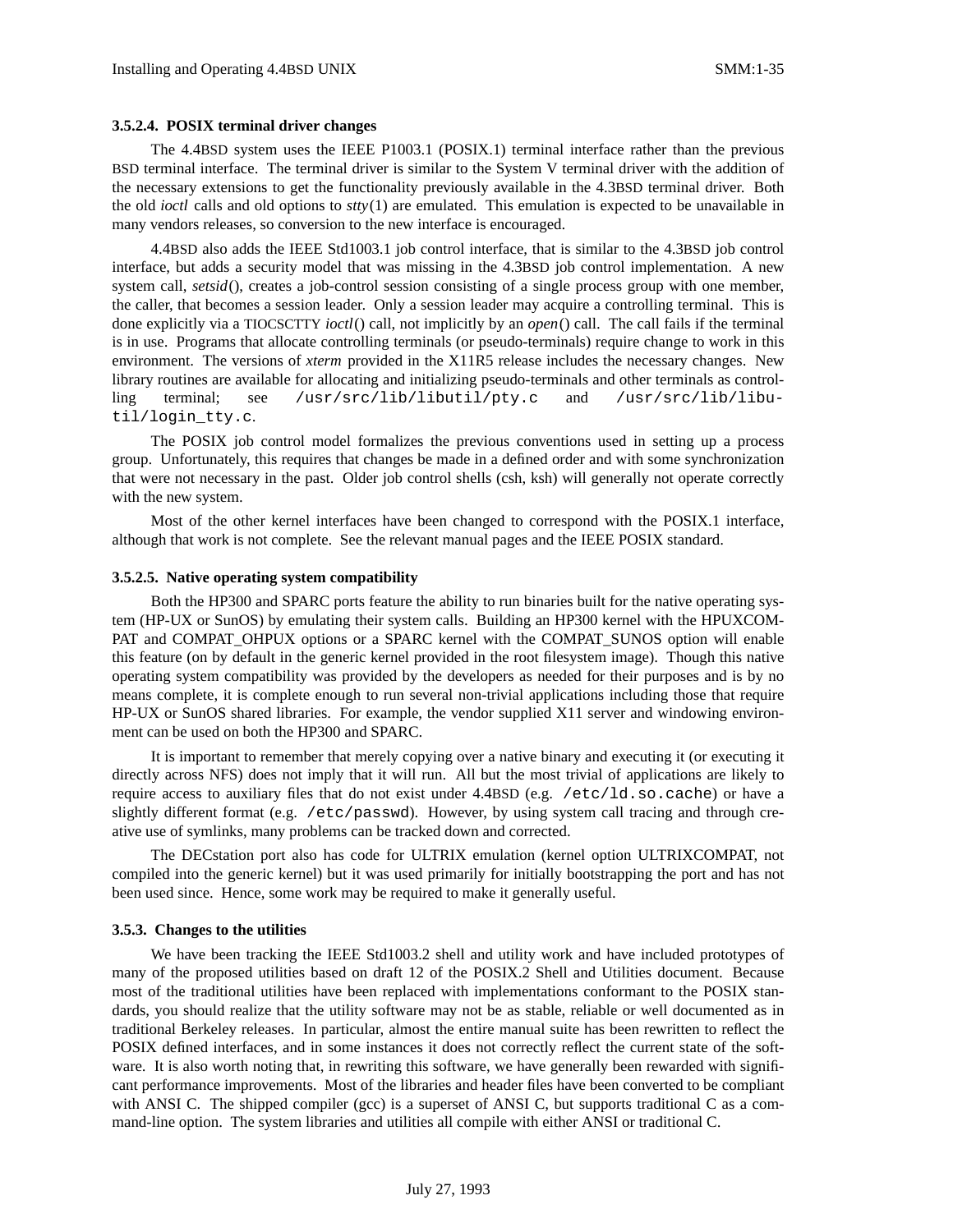### **3.5.2.4. POSIX terminal driver changes**

The 4.4BSD system uses the IEEE P1003.1 (POSIX.1) terminal interface rather than the previous BSD terminal interface. The terminal driver is similar to the System V terminal driver with the addition of the necessary extensions to get the functionality previously available in the 4.3BSD terminal driver. Both the old *ioctl* calls and old options to *stty*(1) are emulated. This emulation is expected to be unavailable in many vendors releases, so conversion to the new interface is encouraged.

4.4BSD also adds the IEEE Std1003.1 job control interface, that is similar to the 4.3BSD job control interface, but adds a security model that was missing in the 4.3BSD job control implementation. A new system call, *setsid*(), creates a job-control session consisting of a single process group with one member, the caller, that becomes a session leader. Only a session leader may acquire a controlling terminal. This is done explicitly via a TIOCSCTTY *ioctl*() call, not implicitly by an *open*() call. The call fails if the terminal is in use. Programs that allocate controlling terminals (or pseudo-terminals) require change to work in this environment. The versions of *xterm* provided in the X11R5 release includes the necessary changes. New library routines are available for allocating and initializing pseudo-terminals and other terminals as controlling terminal; see /usr/src/lib/libutil/pty.c and /usr/src/lib/libutil/login\_tty.c.

The POSIX job control model formalizes the previous conventions used in setting up a process group. Unfortunately, this requires that changes be made in a defined order and with some synchronization that were not necessary in the past. Older job control shells (csh, ksh) will generally not operate correctly with the new system.

Most of the other kernel interfaces have been changed to correspond with the POSIX.1 interface, although that work is not complete. See the relevant manual pages and the IEEE POSIX standard.

#### **3.5.2.5. Native operating system compatibility**

Both the HP300 and SPARC ports feature the ability to run binaries built for the native operating system (HP-UX or SunOS) by emulating their system calls. Building an HP300 kernel with the HPUXCOM-PAT and COMPAT\_OHPUX options or a SPARC kernel with the COMPAT\_SUNOS option will enable this feature (on by default in the generic kernel provided in the root filesystem image). Though this native operating system compatibility was provided by the developers as needed for their purposes and is by no means complete, it is complete enough to run several non-trivial applications including those that require HP-UX or SunOS shared libraries. For example, the vendor supplied X11 server and windowing environment can be used on both the HP300 and SPARC.

It is important to remember that merely copying over a native binary and executing it (or executing it directly across NFS) does not imply that it will run. All but the most trivial of applications are likely to require access to auxiliary files that do not exist under 4.4BSD (e.g. /etc/ld.so.cache) or have a slightly different format (e.g. /etc/passwd). However, by using system call tracing and through creative use of symlinks, many problems can be tracked down and corrected.

The DECstation port also has code for ULTRIX emulation (kernel option ULTRIXCOMPAT , not compiled into the generic kernel) but it was used primarily for initially bootstrapping the port and has not been used since. Hence, some work may be required to make it generally useful.

#### **3.5.3. Changes to the utilities**

We have been tracking the IEEE Std1003.2 shell and utility work and have included prototypes of many of the proposed utilities based on draft 12 of the POSIX.2 Shell and Utilities document. Because most of the traditional utilities have been replaced with implementations conformant to the POSIX standards, you should realize that the utility software may not be as stable, reliable or well documented as in traditional Berkeley releases. In particular, almost the entire manual suite has been rewritten to reflect the POSIX defined interfaces, and in some instances it does not correctly reflect the current state of the software. It is also worth noting that, in rewriting this software, we have generally been rewarded with significant performance improvements. Most of the libraries and header files have been converted to be compliant with ANSI C. The shipped compiler (gcc) is a superset of ANSI C, but supports traditional C as a command-line option. The system libraries and utilities all compile with either ANSI or traditional C.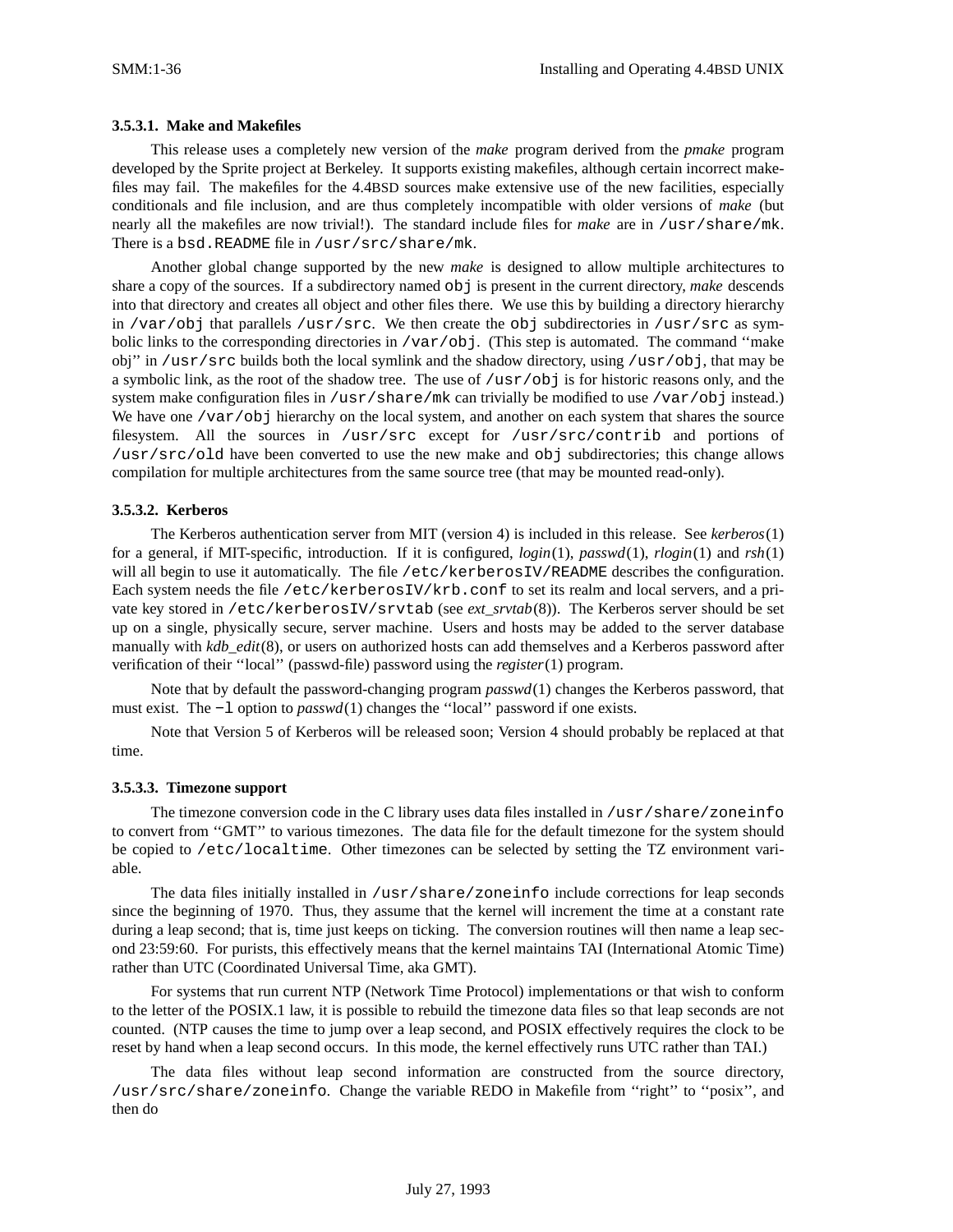### **3.5.3.1. Make and Makefiles**

This release uses a completely new version of the *make* program derived from the *pmake* program developed by the Sprite project at Berkeley. It supports existing makefiles, although certain incorrect makefiles may fail. The makefiles for the 4.4BSD sources make extensive use of the new facilities, especially conditionals and file inclusion, and are thus completely incompatible with older versions of *make* (but nearly all the makefiles are now trivial!). The standard include files for *make* are in /usr/share/mk. There is a bsd.README file in /usr/src/share/mk.

Another global change supported by the new *make* is designed to allow multiple architectures to share a copy of the sources. If a subdirectory named obj is present in the current directory, *make* descends into that directory and creates all object and other files there. We use this by building a directory hierarchy in /var/obj that parallels /usr/src. We then create the obj subdirectories in /usr/src as symbolic links to the corresponding directories in /var/obj. (This step is automated. The command ''make obj'' in /usr/src builds both the local symlink and the shadow directory, using /usr/obj, that may be a symbolic link, as the root of the shadow tree. The use of /usr/obj is for historic reasons only, and the system make configuration files in /usr/share/mk can trivially be modified to use /var/obj instead.) We have one /var/obj hierarchy on the local system, and another on each system that shares the source filesystem. All the sources in /usr/src except for /usr/src/contrib and portions of /usr/src/old have been converted to use the new make and obj subdirectories; this change allows compilation for multiple architectures from the same source tree (that may be mounted read-only).

### **3.5.3.2. Kerberos**

The Kerberos authentication server from MIT (version 4) is included in this release. See *kerberos*(1) for a general, if MIT-specific, introduction. If it is configured, *login*(1), *passwd*(1), *rlogin*(1) and *rsh*(1) will all begin to use it automatically. The file /etc/kerberosIV/README describes the configuration. Each system needs the file /etc/kerberosIV/krb.conf to set its realm and local servers, and a private key stored in /etc/kerberosIV/srvtab (see *ext\_srvtab*(8)). The Kerberos server should be set up on a single, physically secure, server machine. Users and hosts may be added to the server database manually with *kdb\_edit*(8), or users on authorized hosts can add themselves and a Kerberos password after verification of their ''local'' (passwd-file) password using the *register*(1) program.

Note that by default the password-changing program *passwd*(1) changes the Kerberos password, that must exist. The −l option to *passwd*(1) changes the ''local'' password if one exists.

Note that Version 5 of Kerberos will be released soon; Version 4 should probably be replaced at that time.

### **3.5.3.3. Timezone support**

The timezone conversion code in the C library uses data files installed in /usr/share/zoneinfo to convert from ''GMT'' to various timezones. The data file for the default timezone for the system should be copied to /etc/localtime. Other timezones can be selected by setting the TZ environment variable.

The data files initially installed in /usr/share/zoneinfo include corrections for leap seconds since the beginning of 1970. Thus, they assume that the kernel will increment the time at a constant rate during a leap second; that is, time just keeps on ticking. The conversion routines will then name a leap second 23:59:60. For purists, this effectively means that the kernel maintains TAI (International Atomic Time) rather than UTC (Coordinated Universal Time, aka GMT).

For systems that run current NTP (Network Time Protocol) implementations or that wish to conform to the letter of the POSIX.1 law, it is possible to rebuild the timezone data files so that leap seconds are not counted. (NTP causes the time to jump over a leap second, and POSIX effectively requires the clock to be reset by hand when a leap second occurs. In this mode, the kernel effectively runs UTC rather than TAI.)

The data files without leap second information are constructed from the source directory, /usr/src/share/zoneinfo. Change the variable REDO in Makefile from ''right'' to ''posix'', and then do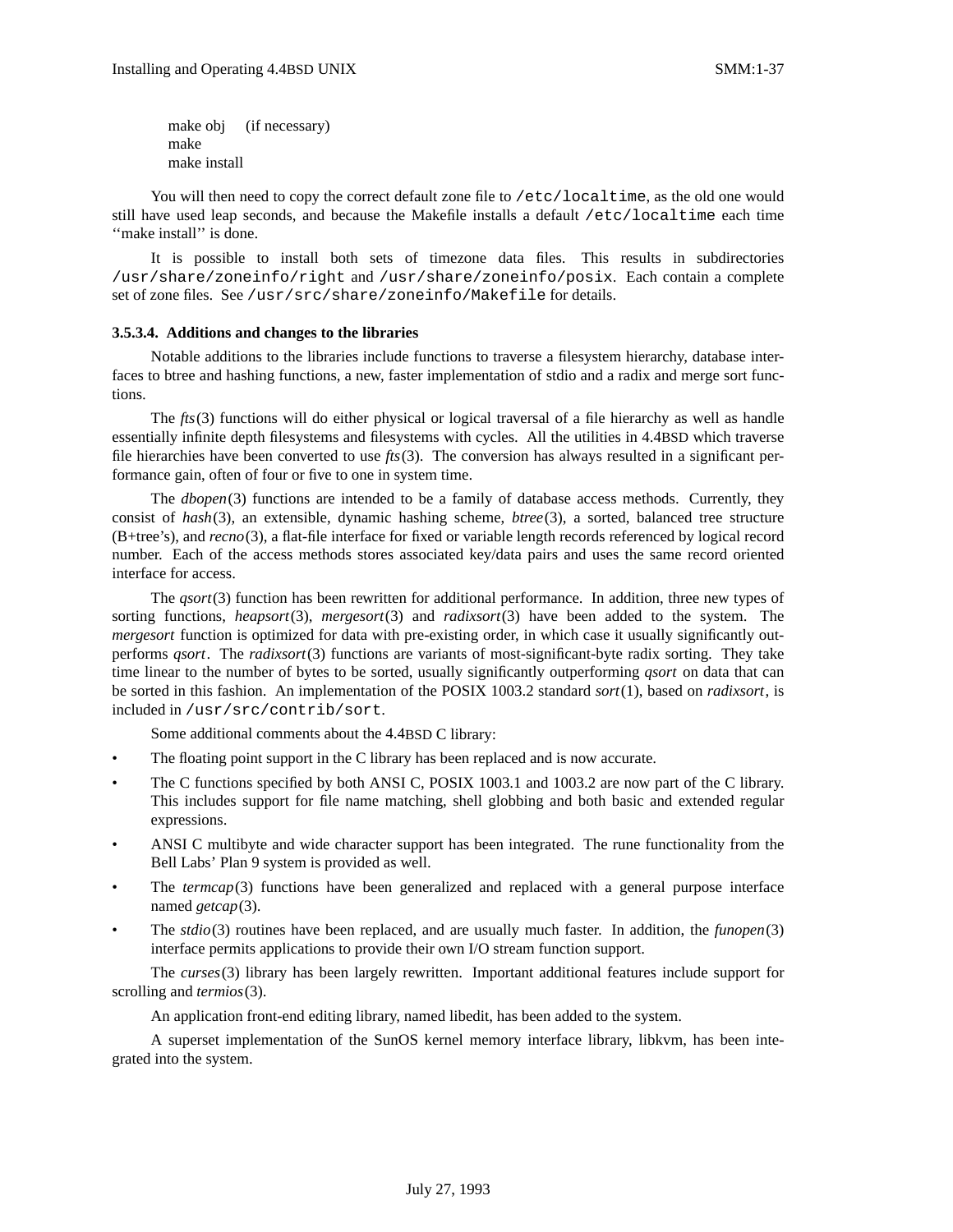make obj (if necessary) make make install

You will then need to copy the correct default zone file to /etc/localtime, as the old one would still have used leap seconds, and because the Makefile installs a default /etc/localtime each time "make install" is done.

It is possible to install both sets of timezone data files. This results in subdirectories /usr/share/zoneinfo/right and /usr/share/zoneinfo/posix. Each contain a complete set of zone files. See /usr/src/share/zoneinfo/Makefile for details.

### **3.5.3.4. Additions and changes to the libraries**

Notable additions to the libraries include functions to traverse a filesystem hierarchy, database interfaces to btree and hashing functions, a new, faster implementation of stdio and a radix and merge sort functions.

The *fts*(3) functions will do either physical or logical traversal of a file hierarchy as well as handle essentially infinite depth filesystems and filesystems with cycles. All the utilities in 4.4BSD which traverse file hierarchies have been converted to use *fts*(3). The conversion has always resulted in a significant performance gain, often of four or five to one in system time.

The *dbopen*(3) functions are intended to be a family of database access methods. Currently, they consist of *hash*(3), an extensible, dynamic hashing scheme, *btree*(3), a sorted, balanced tree structure (B+tree's), and *recno*(3), a flat-file interface for fixed or variable length records referenced by logical record number. Each of the access methods stores associated key/data pairs and uses the same record oriented interface for access.

The *qsort*(3) function has been rewritten for additional performance. In addition, three new types of sorting functions, *heapsort*(3), *mergesort*(3) and *radixsort*(3) have been added to the system. The *mergesort* function is optimized for data with pre-existing order, in which case it usually significantly outperforms *qsort*. The *radixsort*(3) functions are variants of most-significant-byte radix sorting. They take time linear to the number of bytes to be sorted, usually significantly outperforming *qsort* on data that can be sorted in this fashion. An implementation of the POSIX 1003.2 standard *sort*(1), based on *radixsort*, is included in /usr/src/contrib/sort.

Some additional comments about the 4.4BSD C library:

- The floating point support in the C library has been replaced and is now accurate.
- The C functions specified by both ANSI C, POSIX 1003.1 and 1003.2 are now part of the C library. This includes support for file name matching, shell globbing and both basic and extended regular expressions.
- ANSI C multibyte and wide character support has been integrated. The rune functionality from the Bell Labs' Plan 9 system is provided as well.
- The *termcap*(3) functions have been generalized and replaced with a general purpose interface named *getcap*(3).
- The *stdio*(3) routines have been replaced, and are usually much faster. In addition, the *funopen*(3) interface permits applications to provide their own I/O stream function support.

The *curses*(3) library has been largely rewritten. Important additional features include support for scrolling and *termios*(3).

An application front-end editing library, named libedit, has been added to the system.

A superset implementation of the SunOS kernel memory interface library, libkvm, has been integrated into the system.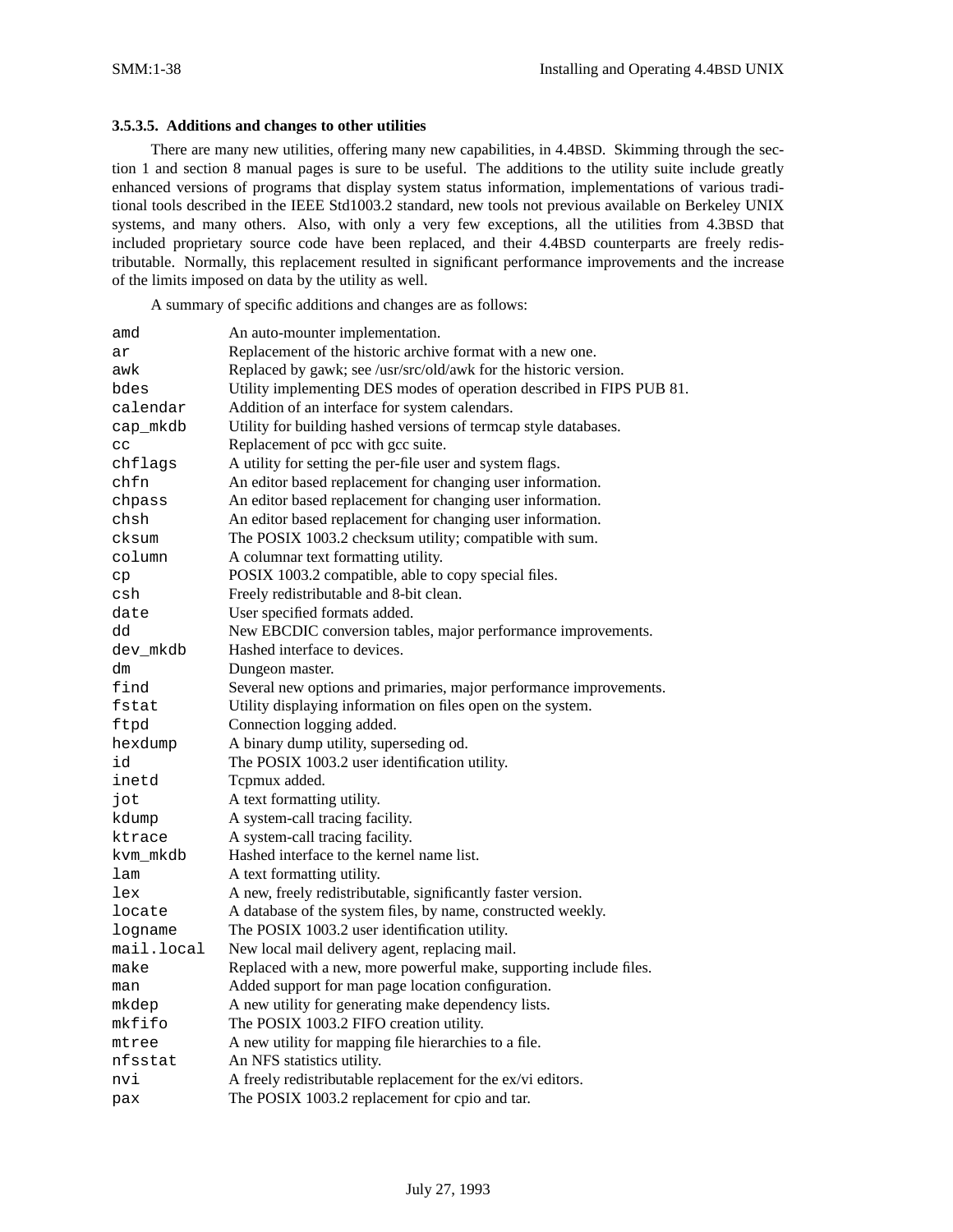### **3.5.3.5. Additions and changes to other utilities**

There are many new utilities, offering many new capabilities, in 4.4BSD. Skimming through the section 1 and section 8 manual pages is sure to be useful. The additions to the utility suite include greatly enhanced versions of programs that display system status information, implementations of various traditional tools described in the IEEE Std1003.2 standard, new tools not previous available on Berkeley UNIX systems, and many others. Also, with only a very few exceptions, all the utilities from 4.3BSD that included proprietary source code have been replaced, and their 4.4BSD counterparts are freely redistributable. Normally, this replacement resulted in significant performance improvements and the increase of the limits imposed on data by the utility as well.

A summary of specific additions and changes are as follows:

| amd        | An auto-mounter implementation.                                       |
|------------|-----------------------------------------------------------------------|
| ar         | Replacement of the historic archive format with a new one.            |
| awk        | Replaced by gawk; see /usr/src/old/awk for the historic version.      |
| bdes       | Utility implementing DES modes of operation described in FIPS PUB 81. |
| calendar   | Addition of an interface for system calendars.                        |
| cap_mkdb   | Utility for building hashed versions of termcap style databases.      |
| cc         | Replacement of pcc with gcc suite.                                    |
| chflags    | A utility for setting the per-file user and system flags.             |
| chfn       | An editor based replacement for changing user information.            |
| chpass     | An editor based replacement for changing user information.            |
| chsh       | An editor based replacement for changing user information.            |
| cksum      | The POSIX 1003.2 checksum utility; compatible with sum.               |
| column     | A columnar text formatting utility.                                   |
| cp         | POSIX 1003.2 compatible, able to copy special files.                  |
| csh        | Freely redistributable and 8-bit clean.                               |
| date       | User specified formats added.                                         |
| dd         | New EBCDIC conversion tables, major performance improvements.         |
| dev_mkdb   | Hashed interface to devices.                                          |
| dm         | Dungeon master.                                                       |
| find       | Several new options and primaries, major performance improvements.    |
| fstat      | Utility displaying information on files open on the system.           |
| ftpd       | Connection logging added.                                             |
| hexdump    | A binary dump utility, superseding od.                                |
| id         | The POSIX 1003.2 user identification utility.                         |
| inetd      | Tcpmux added.                                                         |
| jot        | A text formatting utility.                                            |
| kdump      | A system-call tracing facility.                                       |
| ktrace     | A system-call tracing facility.                                       |
| kvm_mkdb   | Hashed interface to the kernel name list.                             |
| lam        | A text formatting utility.                                            |
| lex        | A new, freely redistributable, significantly faster version.          |
| locate     | A database of the system files, by name, constructed weekly.          |
| logname    | The POSIX 1003.2 user identification utility.                         |
| mail.local | New local mail delivery agent, replacing mail.                        |
| make       | Replaced with a new, more powerful make, supporting include files.    |
| man        | Added support for man page location configuration.                    |
| mkdep      | A new utility for generating make dependency lists.                   |
| mkfifo     | The POSIX 1003.2 FIFO creation utility.                               |
| mtree      | A new utility for mapping file hierarchies to a file.                 |
| nfsstat    | An NFS statistics utility.                                            |
| nvi        | A freely redistributable replacement for the ex/vi editors.           |
| pax        | The POSIX 1003.2 replacement for cpio and tar.                        |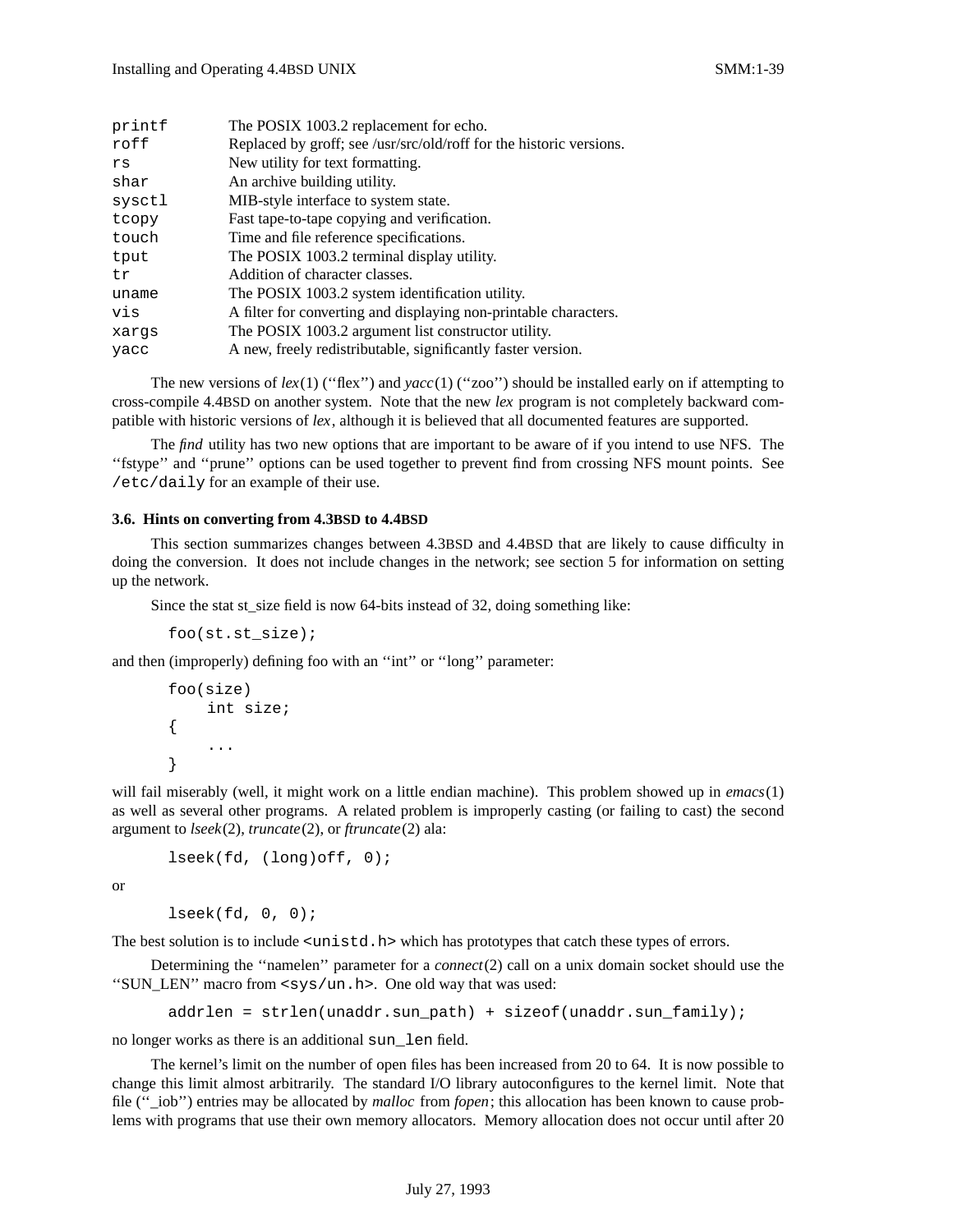| printf<br>roff | The POSIX 1003.2 replacement for echo.<br>Replaced by groff; see /usr/src/old/roff for the historic versions. |
|----------------|---------------------------------------------------------------------------------------------------------------|
| rs             | New utility for text formatting.                                                                              |
| shar           | An archive building utility.                                                                                  |
| sysctl         | MIB-style interface to system state.                                                                          |
| tcopy          | Fast tape-to-tape copying and verification.                                                                   |
| touch          | Time and file reference specifications.                                                                       |
| tput           | The POSIX 1003.2 terminal display utility.                                                                    |
| tr             | Addition of character classes.                                                                                |
| uname          | The POSIX 1003.2 system identification utility.                                                               |
| vis            | A filter for converting and displaying non-printable characters.                                              |
| xarqs          | The POSIX 1003.2 argument list constructor utility.                                                           |
| yacc           | A new, freely redistributable, significantly faster version.                                                  |

The new versions of  $lex(1)$  ("flex") and  $succ(1)$  ("zoo") should be installed early on if attempting to cross-compile 4.4BSD on another system. Note that the new *lex* program is not completely backward compatible with historic versions of *lex*, although it is believed that all documented features are supported.

The *find* utility has two new options that are important to be aware of if you intend to use NFS. The ''fstype'' and ''prune'' options can be used together to prevent find from crossing NFS mount points. See /etc/daily for an example of their use.

### **3.6. Hints on converting from 4.3BSD to 4.4BSD**

This section summarizes changes between 4.3BSD and 4.4BSD that are likely to cause difficulty in doing the conversion. It does not include changes in the network; see section 5 for information on setting up the network.

Since the stat st\_size field is now 64-bits instead of 32, doing something like:

```
foo(st.st_size);
```
and then (improperly) defining foo with an ''int'' or ''long'' parameter:

```
foo(size)
    int size;
{
     ...
}
```
will fail miserably (well, it might work on a little endian machine). This problem showed up in *emacs*(1) as well as several other programs. A related problem is improperly casting (or failing to cast) the second argument to *lseek*(2), *truncate*(2), or *ftruncate*(2) ala:

```
lseek(fd, (long)off, 0);
```
or

```
lseek(fd, 0, 0);
```
The best solution is to include <unistd.h> which has prototypes that catch these types of errors.

Determining the ''namelen'' parameter for a *connect*(2) call on a unix domain socket should use the ''SUN\_LEN'' macro from <sys/un.h>. One old way that was used:

```
addrlen = strlen(unaddr.sun_path) + sizeof(unaddr.sun_family);
```
no longer works as there is an additional sun\_len field.

The kernel's limit on the number of open files has been increased from 20 to 64. It is now possible to change this limit almost arbitrarily. The standard I/O library autoconfigures to the kernel limit. Note that file (''\_iob'') entries may be allocated by *malloc* from *fopen*; this allocation has been known to cause problems with programs that use their own memory allocators. Memory allocation does not occur until after 20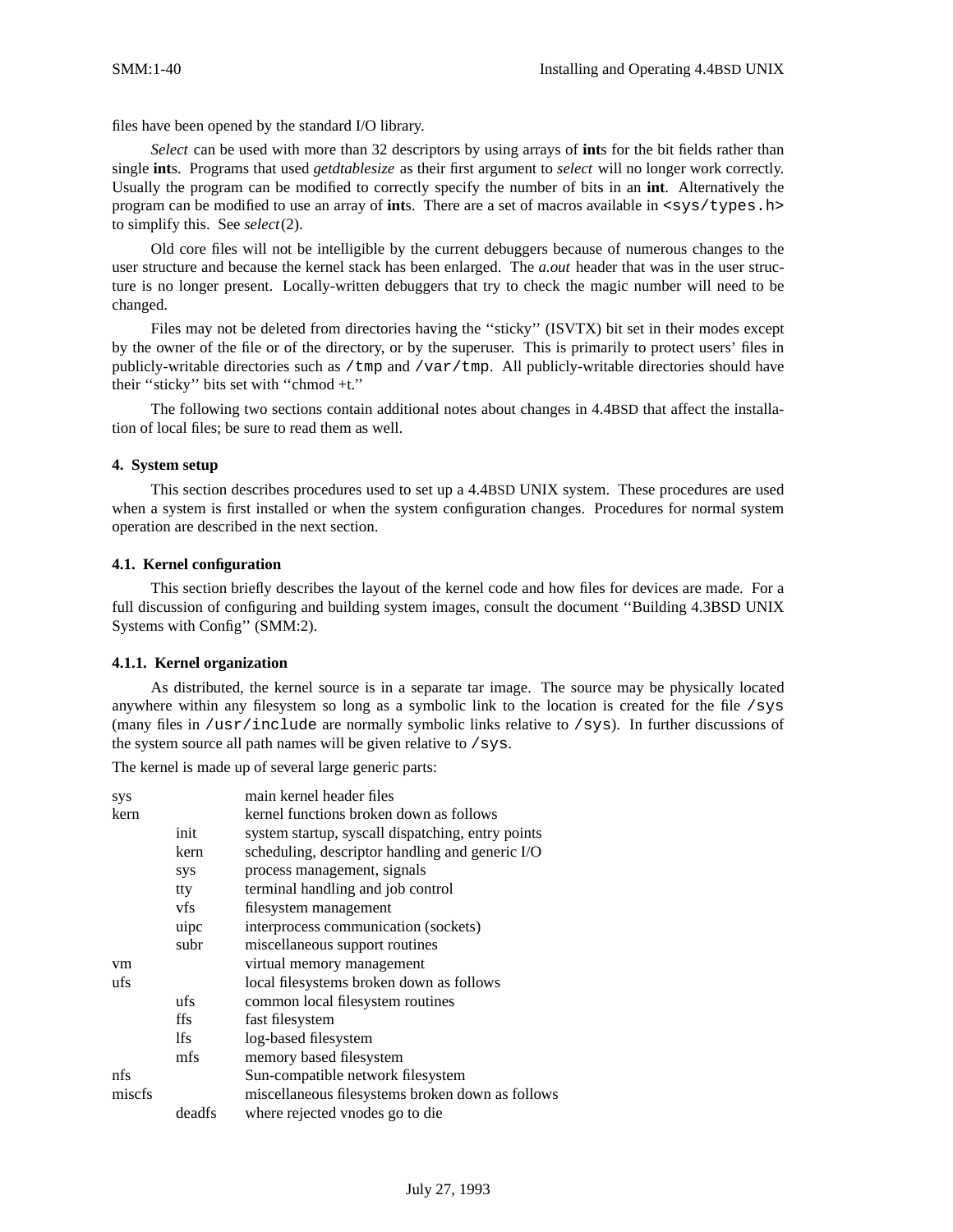files have been opened by the standard I/O library.

*Select* can be used with more than 32 descriptors by using arrays of **int**s for the bit fields rather than single **int**s. Programs that used *getdtablesize* as their first argument to *select* will no longer work correctly. Usually the program can be modified to correctly specify the number of bits in an **int**. Alternatively the program can be modified to use an array of ints. There are a set of macros available in <sys/types.h> to simplify this. See *select*(2).

Old core files will not be intelligible by the current debuggers because of numerous changes to the user structure and because the kernel stack has been enlarged. The *a.out* header that was in the user structure is no longer present. Locally-written debuggers that try to check the magic number will need to be changed.

Files may not be deleted from directories having the "sticky" (ISVTX) bit set in their modes except by the owner of the file or of the directory, or by the superuser. This is primarily to protect users' files in publicly-writable directories such as /tmp and /var/tmp. All publicly-writable directories should have their ''sticky'' bits set with ''chmod +t.''

The following two sections contain additional notes about changes in 4.4BSD that affect the installation of local files; be sure to read them as well.

### **4. System setup**

This section describes procedures used to set up a 4.4BSD UNIX system. These procedures are used when a system is first installed or when the system configuration changes. Procedures for normal system operation are described in the next section.

### **4.1. Kernel configuration**

This section briefly describes the layout of the kernel code and how files for devices are made. For a full discussion of configuring and building system images, consult the document "Building 4.3BSD UNIX Systems with Config'' (SMM:2).

#### **4.1.1. Kernel organization**

As distributed, the kernel source is in a separate tar image. The source may be physically located anywhere within any filesystem so long as a symbolic link to the location is created for the file  $/sys$ (many files in /usr/include are normally symbolic links relative to /sys). In further discussions of the system source all path names will be given relative to /sys.

The kernel is made up of several large generic parts:

| sys    |        | main kernel header files                          |
|--------|--------|---------------------------------------------------|
| kern   |        | kernel functions broken down as follows           |
|        | init   | system startup, syscall dispatching, entry points |
|        | kern   | scheduling, descriptor handling and generic I/O   |
|        | sys    | process management, signals                       |
|        | tty    | terminal handling and job control                 |
|        | vfs    | filesystem management                             |
|        | uipc   | interprocess communication (sockets)              |
|        | subr   | miscellaneous support routines                    |
| vm     |        | virtual memory management                         |
| ufs    |        | local filesystems broken down as follows          |
|        | ufs    | common local filesystem routines                  |
|        | ffs    | fast filesystem                                   |
|        | lfs    | log-based filesystem                              |
|        | mfs    | memory based filesystem                           |
| nfs    |        | Sun-compatible network filesystem                 |
| miscfs |        | miscellaneous filesystems broken down as follows  |
|        | deadfs | where rejected vnodes go to die                   |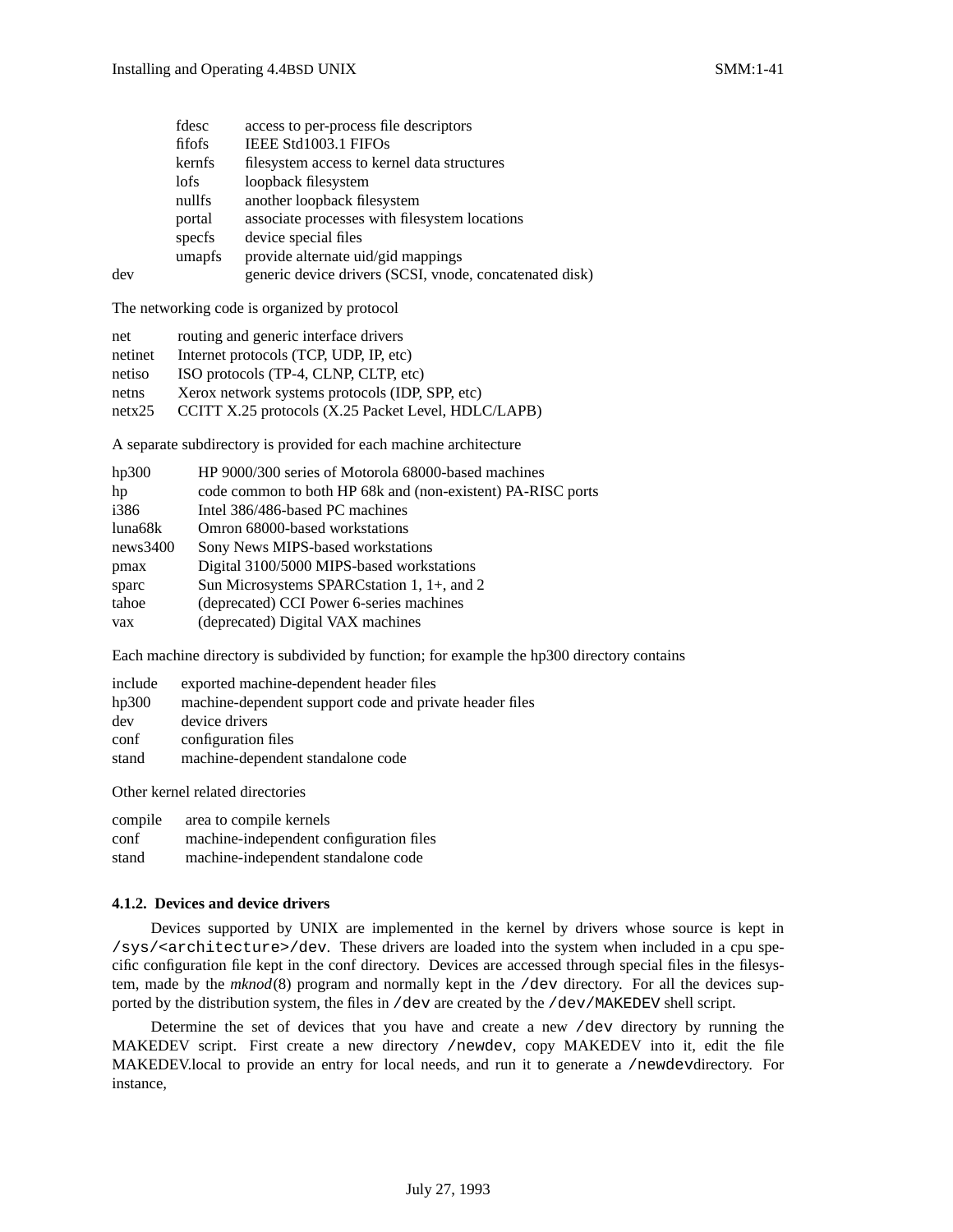|     | fdesc  | access to per-process file descriptors                  |
|-----|--------|---------------------------------------------------------|
|     | fifofs | IEEE Std1003.1 FIFOs                                    |
|     | kernfs | filesystem access to kernel data structures             |
|     | lofs   | loopback filesystem                                     |
|     | nullfs | another loopback filesystem                             |
|     | portal | associate processes with filesystem locations           |
|     | specfs | device special files                                    |
|     | umapfs | provide alternate uid/gid mappings                      |
| dev |        | generic device drivers (SCSI, vnode, concatenated disk) |

The networking code is organized by protocol

| net     | routing and generic interface drivers               |
|---------|-----------------------------------------------------|
| netinet | Internet protocols (TCP, UDP, IP, etc)              |
| netiso  | ISO protocols (TP-4, CLNP, CLTP, etc)               |
| netns   | Xerox network systems protocols (IDP, SPP, etc)     |
| netx25  | CCITT X.25 protocols (X.25 Packet Level, HDLC/LAPB) |
|         |                                                     |

A separate subdirectory is provided for each machine architecture

| hp300    | HP 9000/300 series of Motorola 68000-based machines         |
|----------|-------------------------------------------------------------|
| hp       | code common to both HP 68k and (non-existent) PA-RISC ports |
| i386     | Intel 386/486-based PC machines                             |
| luna68k  | Omron 68000-based workstations                              |
| news3400 | Sony News MIPS-based workstations                           |
| pmax     | Digital 3100/5000 MIPS-based workstations                   |
| sparc    | Sun Microsystems SPARCstation 1, 1+, and 2                  |
| tahoe    | (deprecated) CCI Power 6-series machines                    |
| vax      | (deprecated) Digital VAX machines                           |
|          |                                                             |

Each machine directory is subdivided by function; for example the hp300 directory contains

| include | exported machine-dependent header files                 |
|---------|---------------------------------------------------------|
| hp300   | machine-dependent support code and private header files |
| dev     | device drivers                                          |
| conf    | configuration files                                     |
| stand   | machine-dependent standalone code                       |

Other kernel related directories

| compile | area to compile kernels                 |
|---------|-----------------------------------------|
| conf    | machine-independent configuration files |
| stand   | machine-independent standalone code     |

#### **4.1.2. Devices and device drivers**

Devices supported by UNIX are implemented in the kernel by drivers whose source is kept in /sys/<architecture>/dev. These drivers are loaded into the system when included in a cpu specific configuration file kept in the conf directory. Devices are accessed through special files in the filesystem, made by the *mknod*(8) program and normally kept in the /dev directory. For all the devices supported by the distribution system, the files in /dev are created by the /dev/MAKEDEV shell script.

Determine the set of devices that you have and create a new /dev directory by running the MAKEDEV script. First create a new directory /newdev, copy MAKEDEV into it, edit the file MAKEDEV.local to provide an entry for local needs, and run it to generate a /newdevdirectory. For instance,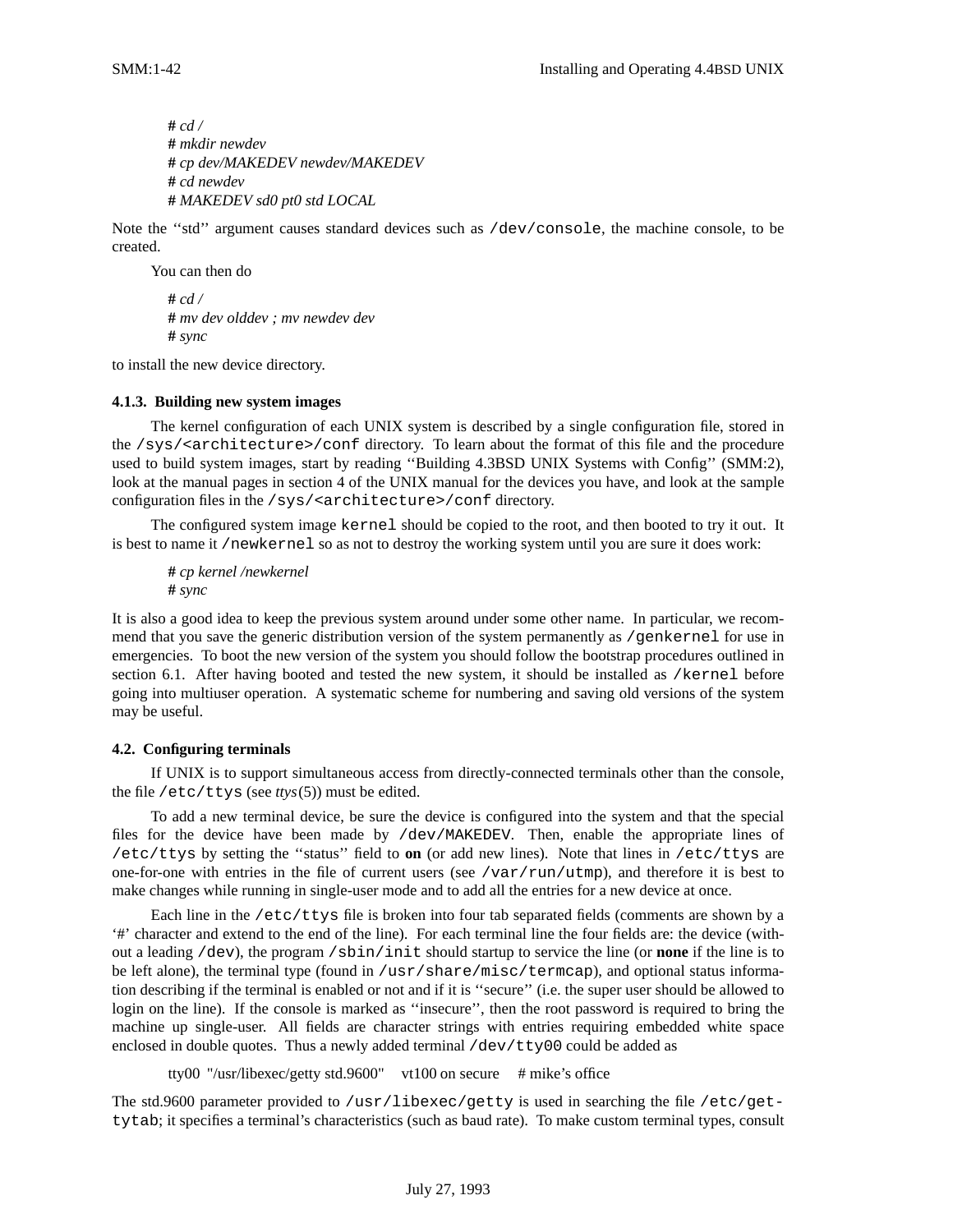**#** *cd /* **#** *mkdir newdev* **#** *cp dev/MAKEDEV newdev/MAKEDEV* **#** *cd newdev* **#** *MAKEDEV sd0 pt0 std LOCAL*

Note the ''std'' argument causes standard devices such as /dev/console, the machine console, to be created.

You can then do

**#** *cd /* **#** *mv dev olddev ; mv newdev dev* **#** *sync*

to install the new device directory.

## **4.1.3. Building new system images**

The kernel configuration of each UNIX system is described by a single configuration file, stored in the /sys/<architecture>/conf directory. To learn about the format of this file and the procedure used to build system images, start by reading ''Building 4.3BSD UNIX Systems with Config'' (SMM:2), look at the manual pages in section 4 of the UNIX manual for the devices you have, and look at the sample configuration files in the /sys/<architecture>/conf directory.

The configured system image kernel should be copied to the root, and then booted to try it out. It is best to name it /newkernel so as not to destroy the working system until you are sure it does work:

**#** *cp kernel /newkernel* **#** *sync*

It is also a good idea to keep the previous system around under some other name. In particular, we recommend that you save the generic distribution version of the system permanently as /genkernel for use in emergencies. To boot the new version of the system you should follow the bootstrap procedures outlined in section 6.1. After having booted and tested the new system, it should be installed as /kernel before going into multiuser operation. A systematic scheme for numbering and saving old versions of the system may be useful.

## **4.2. Configuring terminals**

If UNIX is to support simultaneous access from directly-connected terminals other than the console, the file /etc/ttys (see *ttys*(5)) must be edited.

To add a new terminal device, be sure the device is configured into the system and that the special files for the device have been made by /dev/MAKEDEV. Then, enable the appropriate lines of /etc/ttys by setting the ''status'' field to **on** (or add new lines). Note that lines in /etc/ttys are one-for-one with entries in the file of current users (see /var/run/utmp), and therefore it is best to make changes while running in single-user mode and to add all the entries for a new device at once.

Each line in the /etc/ttys file is broken into four tab separated fields (comments are shown by a '#' character and extend to the end of the line). For each terminal line the four fields are: the device (without a leading /dev), the program /sbin/init should startup to service the line (or **none** if the line is to be left alone), the terminal type (found in /usr/share/misc/termcap), and optional status information describing if the terminal is enabled or not and if it is ''secure'' (i.e. the super user should be allowed to login on the line). If the console is marked as ''insecure'', then the root password is required to bring the machine up single-user. All fields are character strings with entries requiring embedded white space enclosed in double quotes. Thus a newly added terminal  $/$ dev $/$ tty00 could be added as

tty00 "/usr/libexec/getty std.9600" vt100 on secure # mike's office

The std.9600 parameter provided to /usr/libexec/getty is used in searching the file /etc/gettytab; it specifies a terminal's characteristics (such as baud rate). To make custom terminal types, consult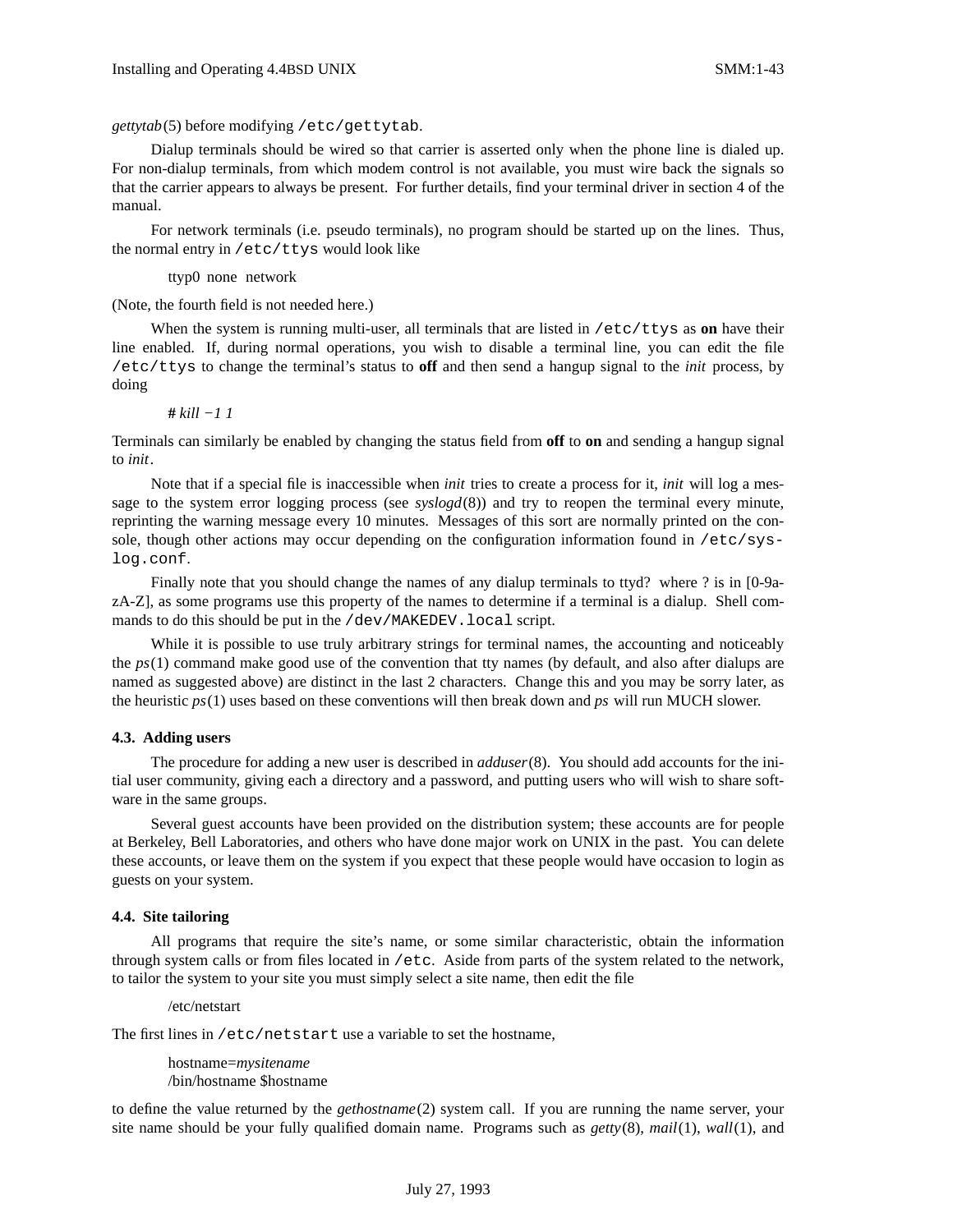*gettytab*(5) before modifying /etc/gettytab.

Dialup terminals should be wired so that carrier is asserted only when the phone line is dialed up. For non-dialup terminals, from which modem control is not available, you must wire back the signals so that the carrier appears to always be present. For further details, find your terminal driver in section 4 of the manual.

For network terminals (i.e. pseudo terminals), no program should be started up on the lines. Thus, the normal entry in /etc/ttys would look like

ttyp0 none network

(Note, the fourth field is not needed here.)

When the system is running multi-user, all terminals that are listed in /etc/ttys as **on** have their line enabled. If, during normal operations, you wish to disable a terminal line, you can edit the file /etc/ttys to change the terminal's status to **off** and then send a hangup signal to the *init* process, by doing

**#** *kill −1 1*

Terminals can similarly be enabled by changing the status field from **off** to **on** and sending a hangup signal to *init*.

Note that if a special file is inaccessible when *init* tries to create a process for it, *init* will log a message to the system error logging process (see *syslogd*(8)) and try to reopen the terminal every minute, reprinting the warning message every 10 minutes. Messages of this sort are normally printed on the console, though other actions may occur depending on the configuration information found in /etc/syslog.conf.

Finally note that you should change the names of any dialup terminals to ttyd? where ? is in [0-9azA-Z], as some programs use this property of the names to determine if a terminal is a dialup. Shell commands to do this should be put in the /dev/MAKEDEV.local script.

While it is possible to use truly arbitrary strings for terminal names, the accounting and noticeably the *ps*(1) command make good use of the convention that tty names (by default, and also after dialups are named as suggested above) are distinct in the last 2 characters. Change this and you may be sorry later, as the heuristic *ps*(1) uses based on these conventions will then break down and *ps* will run MUCH slower.

#### **4.3. Adding users**

The procedure for adding a new user is described in *adduser*(8). You should add accounts for the initial user community, giving each a directory and a password, and putting users who will wish to share software in the same groups.

Several guest accounts have been provided on the distribution system; these accounts are for people at Berkeley, Bell Laboratories, and others who have done major work on UNIX in the past. You can delete these accounts, or leave them on the system if you expect that these people would have occasion to login as guests on your system.

#### **4.4. Site tailoring**

All programs that require the site's name, or some similar characteristic, obtain the information through system calls or from files located in /etc. Aside from parts of the system related to the network, to tailor the system to your site you must simply select a site name, then edit the file

/etc/netstart

The first lines in /etc/netstart use a variable to set the hostname,

hostname=*mysitename* /bin/hostname \$hostname

to define the value returned by the *gethostname*(2) system call. If you are running the name server, your site name should be your fully qualified domain name. Programs such as *getty*(8), *mail*(1), *wall*(1), and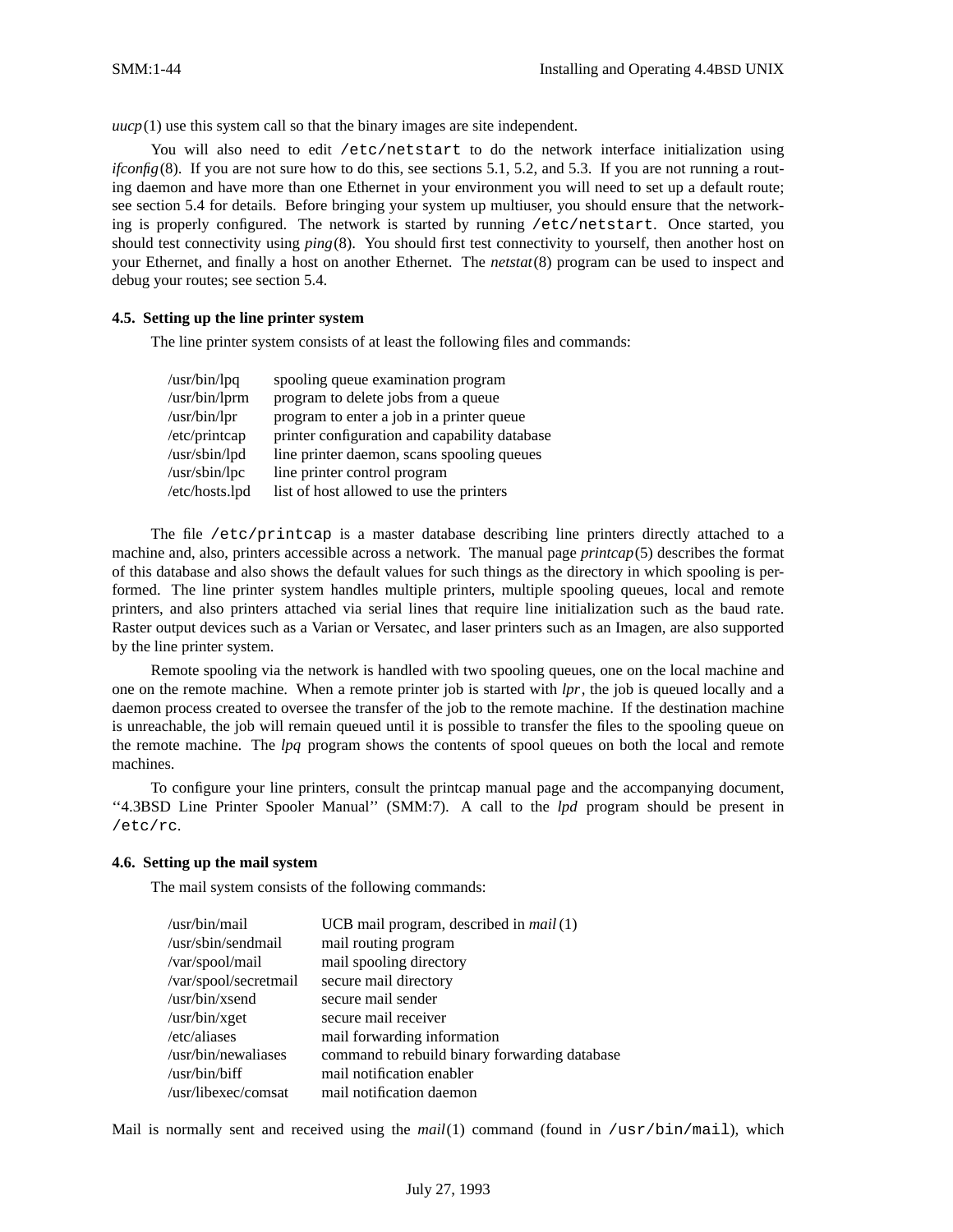*uucp*(1) use this system call so that the binary images are site independent.

You will also need to edit /etc/netstart to do the network interface initialization using *ifconfig*(8). If you are not sure how to do this, see sections 5.1, 5.2, and 5.3. If you are not running a routing daemon and have more than one Ethernet in your environment you will need to set up a default route; see section 5.4 for details. Before bringing your system up multiuser, you should ensure that the networking is properly configured. The network is started by running /etc/netstart. Once started, you should test connectivity using *ping*(8). You should first test connectivity to yourself, then another host on your Ethernet, and finally a host on another Ethernet. The *netstat*(8) program can be used to inspect and debug your routes; see section 5.4.

### **4.5. Setting up the line printer system**

The line printer system consists of at least the following files and commands:

| /usr/bin/lpq          | spooling queue examination program            |
|-----------------------|-----------------------------------------------|
| /usr/bin/lprm         | program to delete jobs from a queue           |
| $\sqrt{usr/bin/lpr}$  | program to enter a job in a printer queue     |
| /etc/printcap         | printer configuration and capability database |
| /usr/sbin/lpd         | line printer daemon, scans spooling queues    |
| $\sqrt{usr/sbin/lpc}$ | line printer control program                  |
| /etc/hosts.lpd        | list of host allowed to use the printers      |

The file /etc/printcap is a master database describing line printers directly attached to a machine and, also, printers accessible across a network. The manual page *printcap*(5) describes the format of this database and also shows the default values for such things as the directory in which spooling is performed. The line printer system handles multiple printers, multiple spooling queues, local and remote printers, and also printers attached via serial lines that require line initialization such as the baud rate. Raster output devices such as a Varian or Versatec, and laser printers such as an Imagen, are also supported by the line printer system.

Remote spooling via the network is handled with two spooling queues, one on the local machine and one on the remote machine. When a remote printer job is started with *lpr*, the job is queued locally and a daemon process created to oversee the transfer of the job to the remote machine. If the destination machine is unreachable, the job will remain queued until it is possible to transfer the files to the spooling queue on the remote machine. The *lpq* program shows the contents of spool queues on both the local and remote machines.

To configure your line printers, consult the printcap manual page and the accompanying document, ''4.3BSD Line Printer Spooler Manual'' (SMM:7). A call to the *lpd* program should be present in /etc/rc.

### **4.6. Setting up the mail system**

The mail system consists of the following commands:

| /usr/bin/mail         | UCB mail program, described in <i>mail</i> (1) |
|-----------------------|------------------------------------------------|
| /usr/sbin/sendmail    | mail routing program                           |
| /var/spool/mail       | mail spooling directory                        |
| /var/spool/secretmail | secure mail directory                          |
| /usr/bin/xsend        | secure mail sender                             |
| /usr/bin/xget         | secure mail receiver                           |
| /etc/aliases          | mail forwarding information                    |
| /usr/bin/newaliases   | command to rebuild binary forwarding database  |
| /usr/bin/biff         | mail notification enabler                      |
| /usr/libexec/comsat   | mail notification daemon                       |

Mail is normally sent and received using the *mail*(1) command (found in /usr/bin/mail), which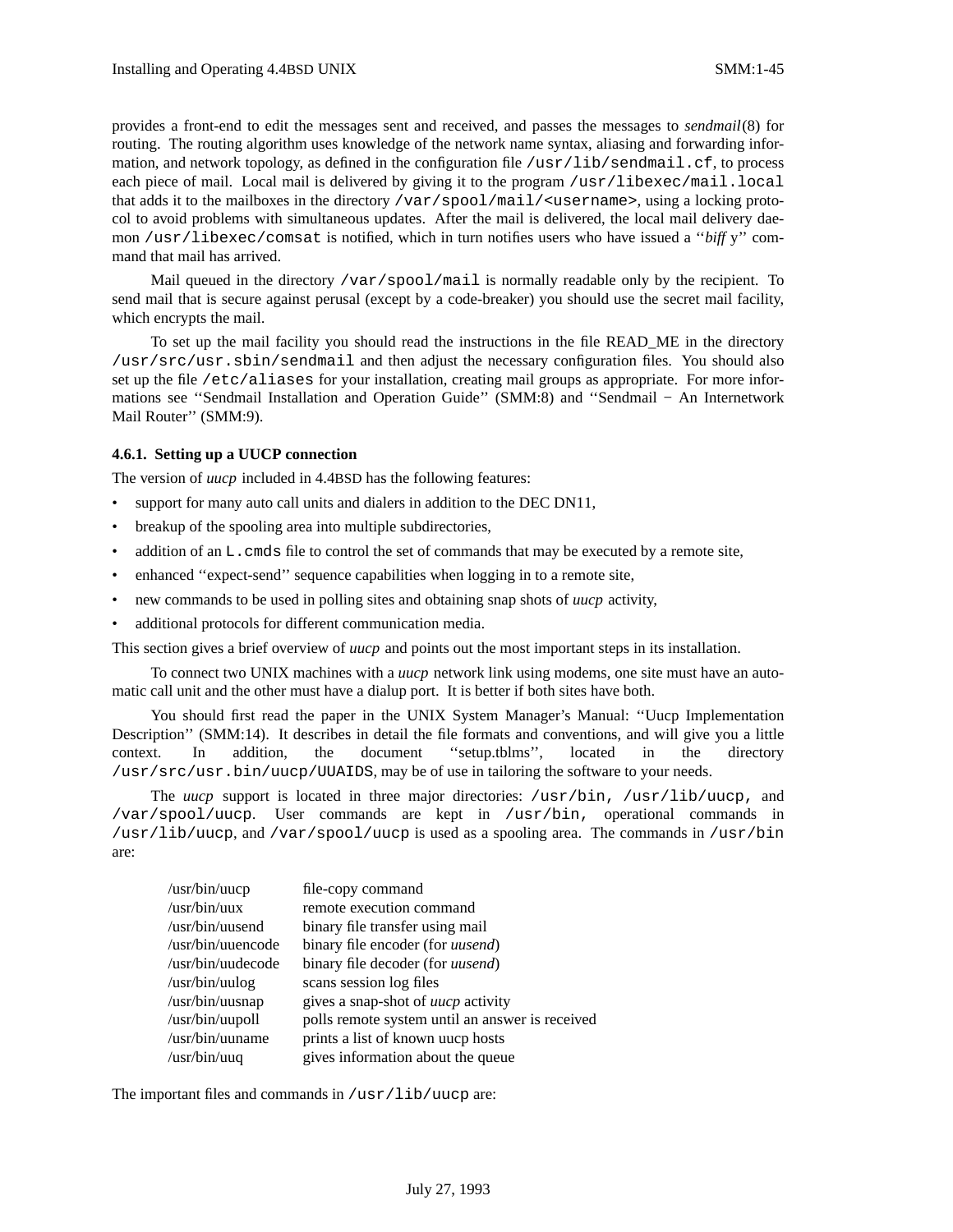provides a front-end to edit the messages sent and received, and passes the messages to *sendmail*(8) for routing. The routing algorithm uses knowledge of the network name syntax, aliasing and forwarding information, and network topology, as defined in the configuration file  $/usr/lib/sendmail.cf$ , to process each piece of mail. Local mail is delivered by giving it to the program /usr/libexec/mail.local that adds it to the mailboxes in the directory /var/spool/mail/<username>, using a locking protocol to avoid problems with simultaneous updates. After the mail is delivered, the local mail delivery daemon /usr/libexec/comsat is notified, which in turn notifies users who have issued a "*biff* y" command that mail has arrived.

Mail queued in the directory /var/spool/mail is normally readable only by the recipient. To send mail that is secure against perusal (except by a code-breaker) you should use the secret mail facility, which encrypts the mail.

To set up the mail facility you should read the instructions in the file READ\_ME in the directory /usr/src/usr.sbin/sendmail and then adjust the necessary configuration files. You should also set up the file /etc/aliases for your installation, creating mail groups as appropriate. For more informations see ''Sendmail Installation and Operation Guide'' (SMM:8) and ''Sendmail − An Internetwork Mail Router'' (SMM:9).

### **4.6.1. Setting up a UUCP connection**

The version of *uucp* included in 4.4BSD has the following features:

- support for many auto call units and dialers in addition to the DEC DN11,
- breakup of the spooling area into multiple subdirectories,
- addition of an L. cmds file to control the set of commands that may be executed by a remote site,
- enhanced "expect-send" sequence capabilities when logging in to a remote site,
- new commands to be used in polling sites and obtaining snap shots of *uucp* activity,
- additional protocols for different communication media.

This section gives a brief overview of *uucp* and points out the most important steps in its installation.

To connect two UNIX machines with a *uucp* network link using modems, one site must have an automatic call unit and the other must have a dialup port. It is better if both sites have both.

You should first read the paper in the UNIX System Manager's Manual: ''Uucp Implementation Description'' (SMM:14). It describes in detail the file formats and conventions, and will give you a little context. In addition, the document ''setup.tblms'', located in the directory /usr/src/usr.bin/uucp/UUAIDS, may be of use in tailoring the software to your needs.

The *uucp* support is located in three major directories: /usr/bin, /usr/lib/uucp, and /var/spool/uucp. User commands are kept in /usr/bin, operational commands in  $\mu$ usr/lib/uucp, and  $\mu$ ar/spool/uucp is used as a spooling area. The commands in  $\mu$ usr/bin are:

| $\sqrt{usr/bin/uucp}$   | file-copy command                               |
|-------------------------|-------------------------------------------------|
| $\sqrt{usr/bin/uux}$    | remote execution command                        |
| /usr/bin/uusend         | binary file transfer using mail                 |
| /usr/bin/uuencode       | binary file encoder (for <i>uusend</i> )        |
| /usr/bin/uudecode       | binary file decoder (for <i>uusend</i> )        |
| $\sqrt{usr/bin/uulog}$  | scans session log files                         |
| $\sqrt{usr/bin/uusnap}$ | gives a snap-shot of <i>uucp</i> activity       |
| $\sqrt{usr/bin/uupoll}$ | polls remote system until an answer is received |
| /usr/bin/uuname         | prints a list of known uucp hosts               |
| $\sqrt{usr/bin/uuq}$    | gives information about the queue               |

The important files and commands in /usr/lib/uucp are: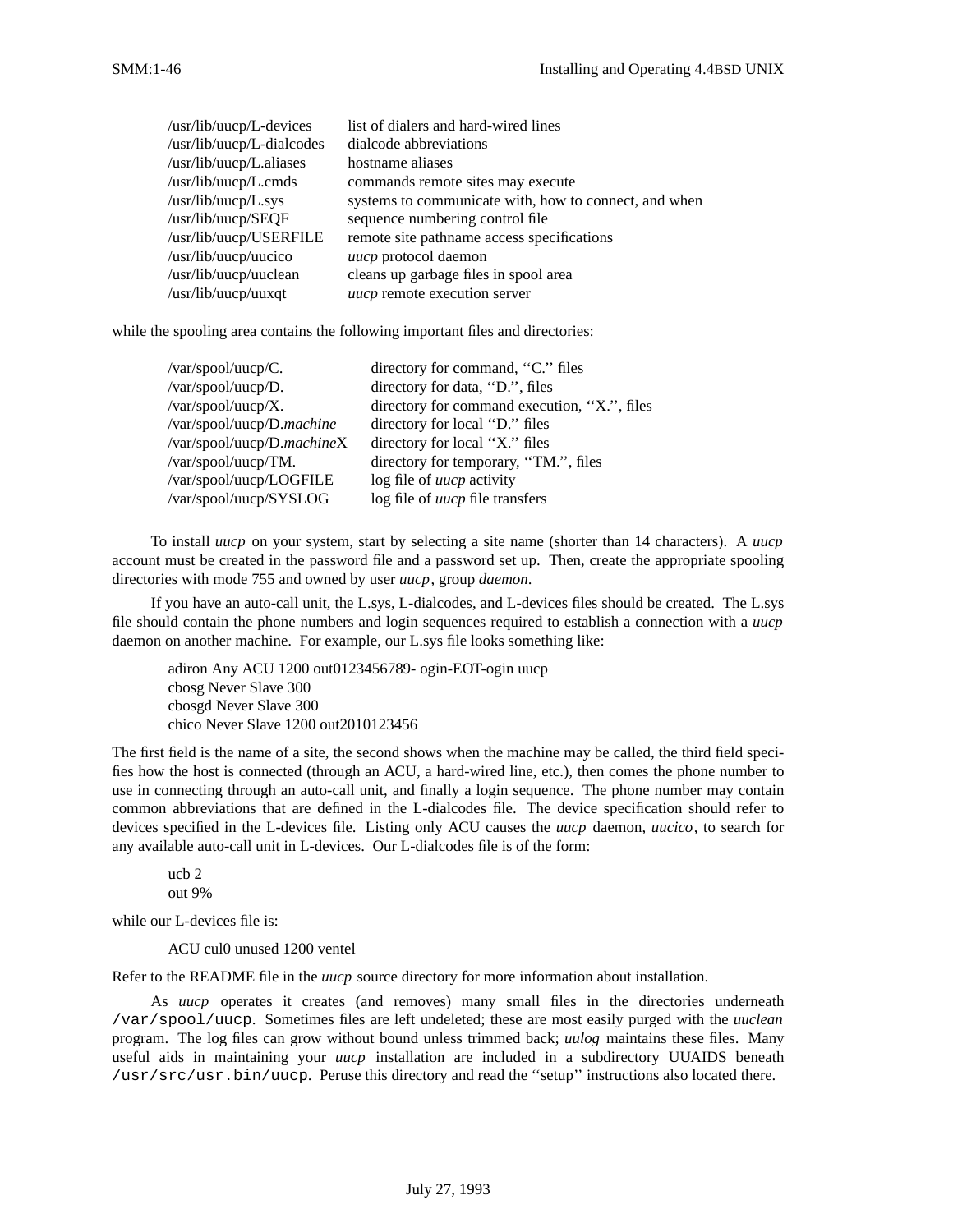| /usr/lib/uucp/L-devices   | list of dialers and hard-wired lines                  |
|---------------------------|-------------------------------------------------------|
| /usr/lib/uucp/L-dialcodes | dialcode abbreviations                                |
| /usr/lib/uucp/L.aliases   | hostname aliases                                      |
| /usr/lib/uucp/L.cmds      | commands remote sites may execute                     |
| /usr/lib/uucp/L.sys       | systems to communicate with, how to connect, and when |
| /usr/lib/uucp/SEQF        | sequence numbering control file                       |
| /usr/lib/uucp/USERFILE    | remote site pathname access specifications            |
| /usr/lib/uucp/uucico      | <i>uucp</i> protocol daemon                           |
| /usr/lib/uucp/uuclean     | cleans up garbage files in spool area                 |
| /usr/lib/uucp/uuxqt       | uucp remote execution server                          |

while the spooling area contains the following important files and directories:

| /var/spool/uucp/C.                | directory for command, "C." files           |
|-----------------------------------|---------------------------------------------|
| /var/spool/uucp/D.                | directory for data, "D.", files             |
| $\sqrt{var/spool/uucp/X}$ .       | directory for command execution, "X", files |
| /var/spool/uucp/D. <i>machine</i> | directory for local "D." files              |
| /var/spool/uucp/D.machineX        | directory for local "X" files               |
| /var/spool/uucp/TM.               | directory for temporary, "TM.", files       |
| /var/spool/uucp/LOGFILE           | log file of <i>uucp</i> activity            |
| /var/spool/uucp/SYSLOG            | log file of <i>uucp</i> file transfers      |

To install *uucp* on your system, start by selecting a site name (shorter than 14 characters). A *uucp* account must be created in the password file and a password set up. Then, create the appropriate spooling directories with mode 755 and owned by user *uucp*, group *daemon*.

If you have an auto-call unit, the L.sys, L-dialcodes, and L-devices files should be created. The L.sys file should contain the phone numbers and login sequences required to establish a connection with a *uucp* daemon on another machine. For example, our L.sys file looks something like:

adiron Any ACU 1200 out0123456789- ogin-EOT-ogin uucp cbosg Never Slave 300 cbosgd Never Slave 300 chico Never Slave 1200 out2010123456

The first field is the name of a site, the second shows when the machine may be called, the third field specifies how the host is connected (through an ACU, a hard-wired line, etc.), then comes the phone number to use in connecting through an auto-call unit, and finally a login sequence. The phone number may contain common abbreviations that are defined in the L-dialcodes file. The device specification should refer to devices specified in the L-devices file. Listing only ACU causes the *uucp* daemon, *uucico*, to search for any available auto-call unit in L-devices. Our L-dialcodes file is of the form:

ucb 2 out 9%

while our L-devices file is:

ACU cul0 unused 1200 ventel

Refer to the README file in the *uucp* source directory for more information about installation.

As *uucp* operates it creates (and removes) many small files in the directories underneath /var/spool/uucp. Sometimes files are left undeleted; these are most easily purged with the *uuclean* program. The log files can grow without bound unless trimmed back; *uulog* maintains these files. Many useful aids in maintaining your *uucp* installation are included in a subdirectory UUAIDS beneath /usr/src/usr.bin/uucp. Peruse this directory and read the ''setup'' instructions also located there.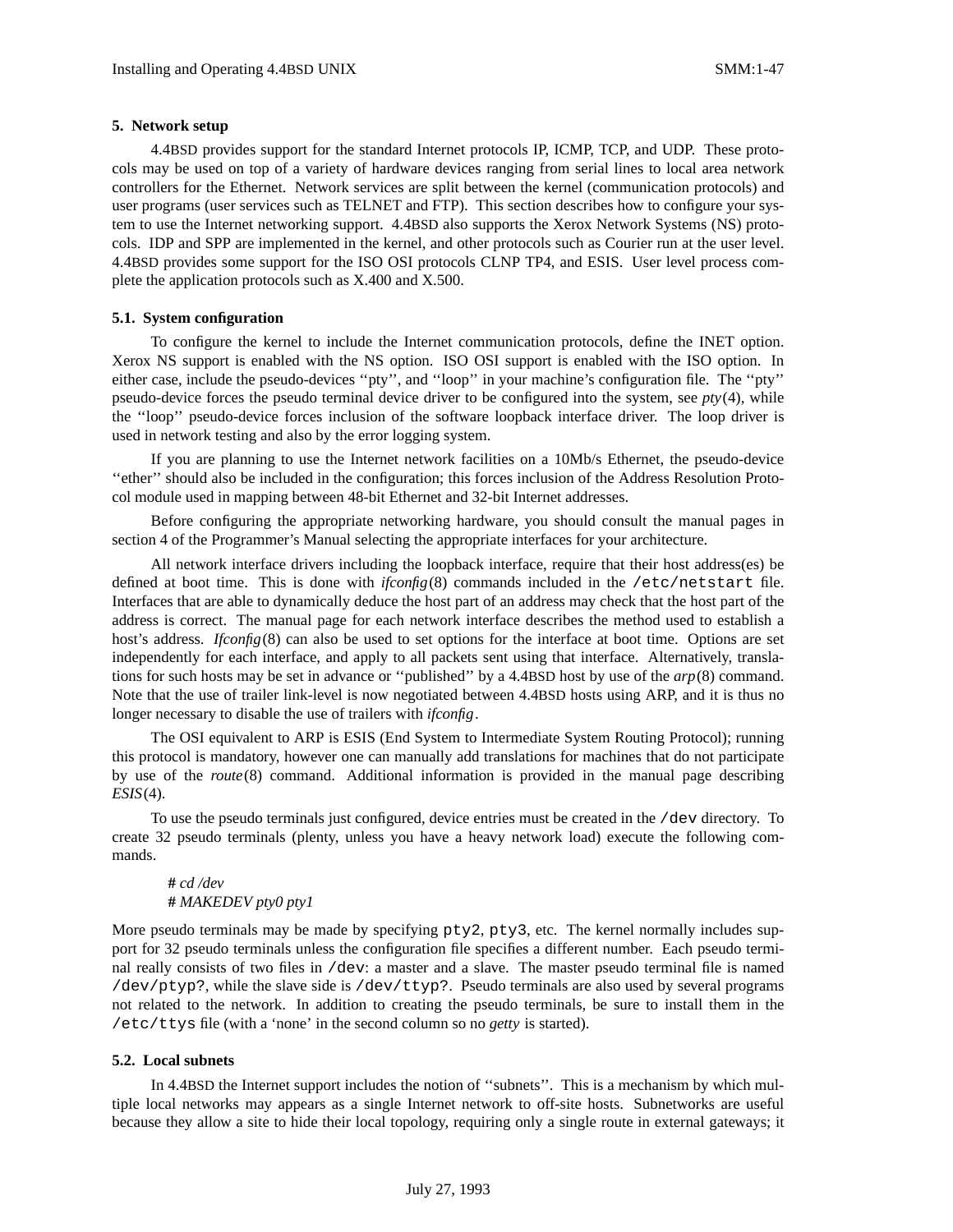### **5. Network setup**

4.4BSD provides support for the standard Internet protocols IP, ICMP, TCP, and UDP. These protocols may be used on top of a variety of hardware devices ranging from serial lines to local area network controllers for the Ethernet. Network services are split between the kernel (communication protocols) and user programs (user services such as TELNET and FTP). This section describes how to configure your system to use the Internet networking support. 4.4BSD also supports the Xerox Network Systems (NS) protocols. IDP and SPP are implemented in the kernel, and other protocols such as Courier run at the user level. 4.4BSD provides some support for the ISO OSI protocols CLNP TP4, and ESIS. User level process complete the application protocols such as X.400 and X.500.

### **5.1. System configuration**

To configure the kernel to include the Internet communication protocols, define the INET option. Xerox NS support is enabled with the NS option. ISO OSI support is enabled with the ISO option. In either case, include the pseudo-devices ''pty'', and ''loop'' in your machine's configuration file. The ''pty'' pseudo-device forces the pseudo terminal device driver to be configured into the system, see *pty*(4), while the ''loop'' pseudo-device forces inclusion of the software loopback interface driver. The loop driver is used in network testing and also by the error logging system.

If you are planning to use the Internet network facilities on a 10Mb/s Ethernet, the pseudo-device ''ether'' should also be included in the configuration; this forces inclusion of the Address Resolution Protocol module used in mapping between 48-bit Ethernet and 32-bit Internet addresses.

Before configuring the appropriate networking hardware, you should consult the manual pages in section 4 of the Programmer's Manual selecting the appropriate interfaces for your architecture.

All network interface drivers including the loopback interface, require that their host address(es) be defined at boot time. This is done with *ifconfig*(8) commands included in the /etc/netstart file. Interfaces that are able to dynamically deduce the host part of an address may check that the host part of the address is correct. The manual page for each network interface describes the method used to establish a host's address. *Ifconfig*(8) can also be used to set options for the interface at boot time. Options are set independently for each interface, and apply to all packets sent using that interface. Alternatively, translations for such hosts may be set in advance or ''published'' by a 4.4BSD host by use of the *arp*(8) command. Note that the use of trailer link-level is now negotiated between 4.4BSD hosts using ARP, and it is thus no longer necessary to disable the use of trailers with *ifconfig*.

The OSI equivalent to ARP is ESIS (End System to Intermediate System Routing Protocol); running this protocol is mandatory, however one can manually add translations for machines that do not participate by use of the *route*(8) command. Additional information is provided in the manual page describing *ESIS*(4).

To use the pseudo terminals just configured, device entries must be created in the /dev directory. To create 32 pseudo terminals (plenty, unless you have a heavy network load) execute the following commands.

**#** *cd /dev* **#** *MAKEDEV pty0 pty1*

More pseudo terminals may be made by specifying  $pty2$ ,  $pty3$ , etc. The kernel normally includes support for 32 pseudo terminals unless the configuration file specifies a different number. Each pseudo terminal really consists of two files in /dev: a master and a slave. The master pseudo terminal file is named /dev/ptyp?, while the slave side is /dev/ttyp?. Pseudo terminals are also used by several programs not related to the network. In addition to creating the pseudo terminals, be sure to install them in the /etc/ttys file (with a 'none' in the second column so no *getty* is started).

### **5.2. Local subnets**

In 4.4BSD the Internet support includes the notion of ''subnets''. This is a mechanism by which multiple local networks may appears as a single Internet network to off-site hosts. Subnetworks are useful because they allow a site to hide their local topology, requiring only a single route in external gateways; it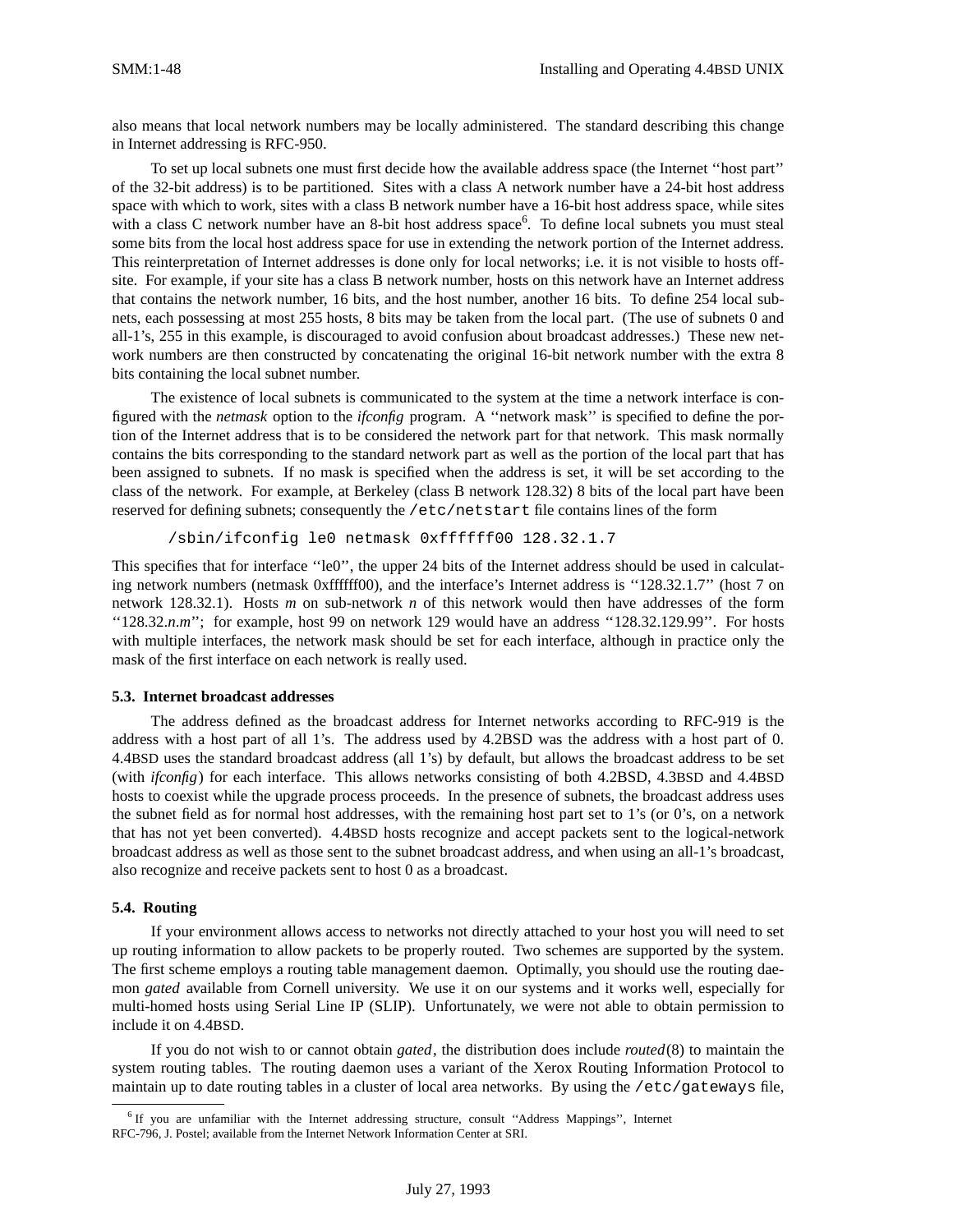also means that local network numbers may be locally administered. The standard describing this change in Internet addressing is RFC-950.

To set up local subnets one must first decide how the available address space (the Internet ''host part'' of the 32-bit address) is to be partitioned. Sites with a class A network number have a 24-bit host address space with which to work, sites with a class B network number have a 16-bit host address space, while sites with a class C network number have an 8-bit host address space<sup>6</sup>. To define local subnets you must steal some bits from the local host address space for use in extending the network portion of the Internet address. This reinterpretation of Internet addresses is done only for local networks; i.e. it is not visible to hosts offsite. For example, if your site has a class B network number, hosts on this network have an Internet address that contains the network number, 16 bits, and the host number, another 16 bits. To define 254 local subnets, each possessing at most 255 hosts, 8 bits may be taken from the local part. (The use of subnets 0 and all-1's, 255 in this example, is discouraged to avoid confusion about broadcast addresses.) These new network numbers are then constructed by concatenating the original 16-bit network number with the extra 8 bits containing the local subnet number.

The existence of local subnets is communicated to the system at the time a network interface is configured with the *netmask* option to the *ifconfig* program. A ''network mask'' is specified to define the portion of the Internet address that is to be considered the network part for that network. This mask normally contains the bits corresponding to the standard network part as well as the portion of the local part that has been assigned to subnets. If no mask is specified when the address is set, it will be set according to the class of the network. For example, at Berkeley (class B network 128.32) 8 bits of the local part have been reserved for defining subnets; consequently the /etc/netstart file contains lines of the form

/sbin/ifconfig le0 netmask 0xffffff00 128.32.1.7

This specifies that for interface "le0", the upper 24 bits of the Internet address should be used in calculating network numbers (netmask 0xffffff00), and the interface's Internet address is ''128.32.1.7'' (host 7 on network 128.32.1). Hosts *m* on sub-network *n* of this network would then have addresses of the form "128.32.*n.m*"; for example, host 99 on network 129 would have an address "128.32.129.99". For hosts with multiple interfaces, the network mask should be set for each interface, although in practice only the mask of the first interface on each network is really used.

#### **5.3. Internet broadcast addresses**

The address defined as the broadcast address for Internet networks according to RFC-919 is the address with a host part of all 1's. The address used by 4.2BSD was the address with a host part of 0. 4.4BSD uses the standard broadcast address (all 1's) by default, but allows the broadcast address to be set (with *ifconfig*) for each interface. This allows networks consisting of both 4.2BSD, 4.3BSD and 4.4BSD hosts to coexist while the upgrade process proceeds. In the presence of subnets, the broadcast address uses the subnet field as for normal host addresses, with the remaining host part set to 1's (or 0's, on a network that has not yet been converted). 4.4BSD hosts recognize and accept packets sent to the logical-network broadcast address as well as those sent to the subnet broadcast address, and when using an all-1's broadcast, also recognize and receive packets sent to host 0 as a broadcast.

### **5.4. Routing**

If your environment allows access to networks not directly attached to your host you will need to set up routing information to allow packets to be properly routed. Two schemes are supported by the system. The first scheme employs a routing table management daemon. Optimally, you should use the routing daemon *gated* available from Cornell university. We use it on our systems and it works well, especially for multi-homed hosts using Serial Line IP (SLIP). Unfortunately, we were not able to obtain permission to include it on 4.4BSD.

If you do not wish to or cannot obtain *gated*, the distribution does include *routed*(8) to maintain the system routing tables. The routing daemon uses a variant of the Xerox Routing Information Protocol to maintain up to date routing tables in a cluster of local area networks. By using the /etc/gateways file,

<sup>6</sup> If you are unfamiliar with the Internet addressing structure, consult ''Address Mappings'', Internet RFC-796, J. Postel; available from the Internet Network Information Center at SRI.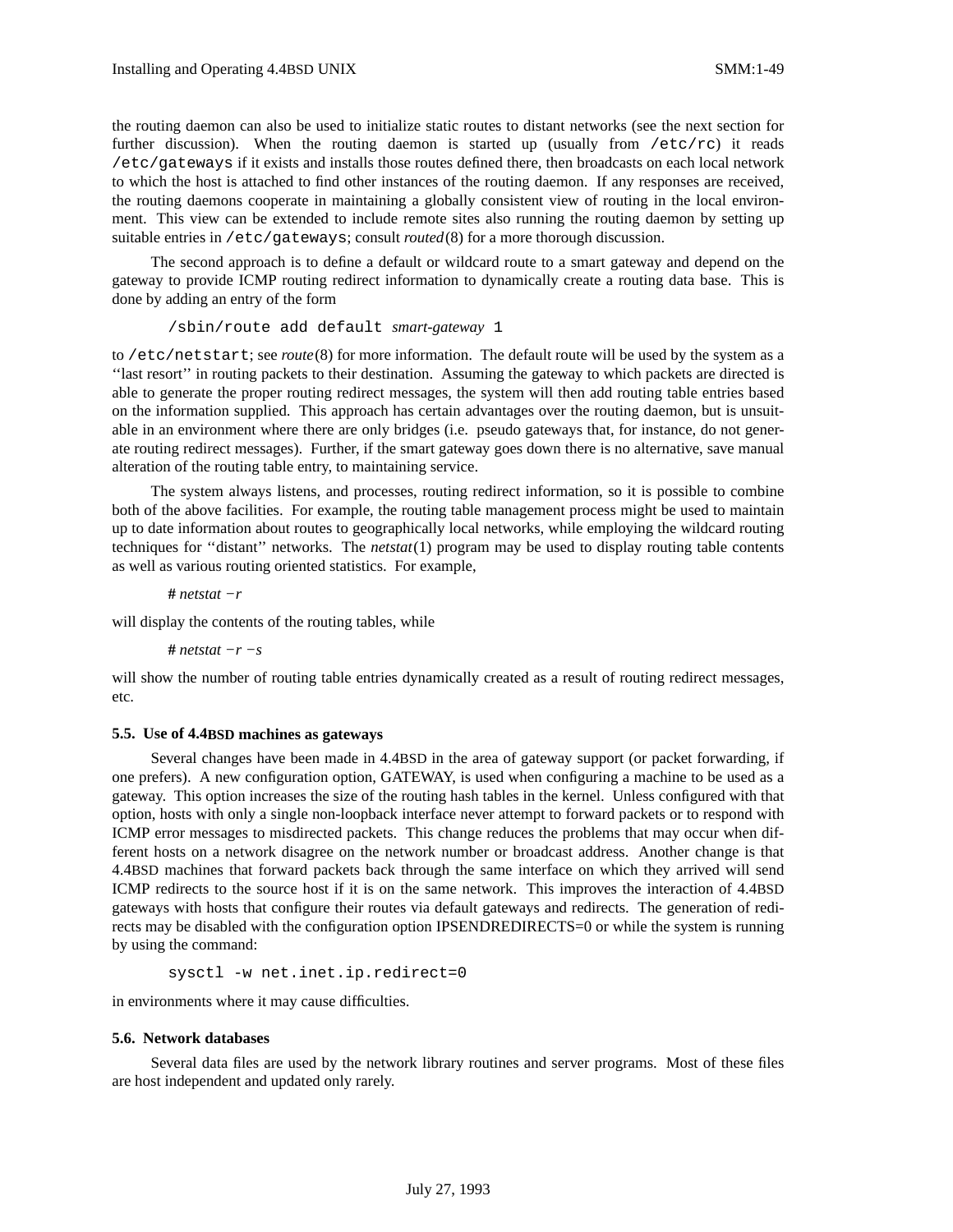the routing daemon can also be used to initialize static routes to distant networks (see the next section for further discussion). When the routing daemon is started up (usually from  $/etc/rc$ ) it reads /etc/gateways if it exists and installs those routes defined there, then broadcasts on each local network to which the host is attached to find other instances of the routing daemon. If any responses are received, the routing daemons cooperate in maintaining a globally consistent view of routing in the local environment. This view can be extended to include remote sites also running the routing daemon by setting up suitable entries in /etc/gateways; consult *routed*(8) for a more thorough discussion.

The second approach is to define a default or wildcard route to a smart gateway and depend on the gateway to provide ICMP routing redirect information to dynamically create a routing data base. This is done by adding an entry of the form

```
/sbin/route add default smart-gateway 1
```
to /etc/netstart; see *route*(8) for more information. The default route will be used by the system as a ''last resort'' in routing packets to their destination. Assuming the gateway to which packets are directed is able to generate the proper routing redirect messages, the system will then add routing table entries based on the information supplied. This approach has certain advantages over the routing daemon, but is unsuitable in an environment where there are only bridges (i.e. pseudo gateways that, for instance, do not generate routing redirect messages). Further, if the smart gateway goes down there is no alternative, save manual alteration of the routing table entry, to maintaining service.

The system always listens, and processes, routing redirect information, so it is possible to combine both of the above facilities. For example, the routing table management process might be used to maintain up to date information about routes to geographically local networks, while employing the wildcard routing techniques for ''distant'' networks. The *netstat*(1) program may be used to display routing table contents as well as various routing oriented statistics. For example,

**#** *netstat −r*

will display the contents of the routing tables, while

**#** *netstat −r −s*

will show the number of routing table entries dynamically created as a result of routing redirect messages, etc.

### **5.5. Use of 4.4BSD machines as gateways**

Several changes have been made in 4.4BSD in the area of gateway support (or packet forwarding, if one prefers). A new configuration option, GATEWAY, is used when configuring a machine to be used as a gateway. This option increases the size of the routing hash tables in the kernel. Unless configured with that option, hosts with only a single non-loopback interface never attempt to forward packets or to respond with ICMP error messages to misdirected packets. This change reduces the problems that may occur when different hosts on a network disagree on the network number or broadcast address. Another change is that 4.4BSD machines that forward packets back through the same interface on which they arrived will send ICMP redirects to the source host if it is on the same network. This improves the interaction of 4.4BSD gateways with hosts that configure their routes via default gateways and redirects. The generation of redirects may be disabled with the configuration option IPSENDREDIRECTS=0 or while the system is running by using the command:

sysctl -w net.inet.ip.redirect=0

in environments where it may cause difficulties.

#### **5.6. Network databases**

Several data files are used by the network library routines and server programs. Most of these files are host independent and updated only rarely.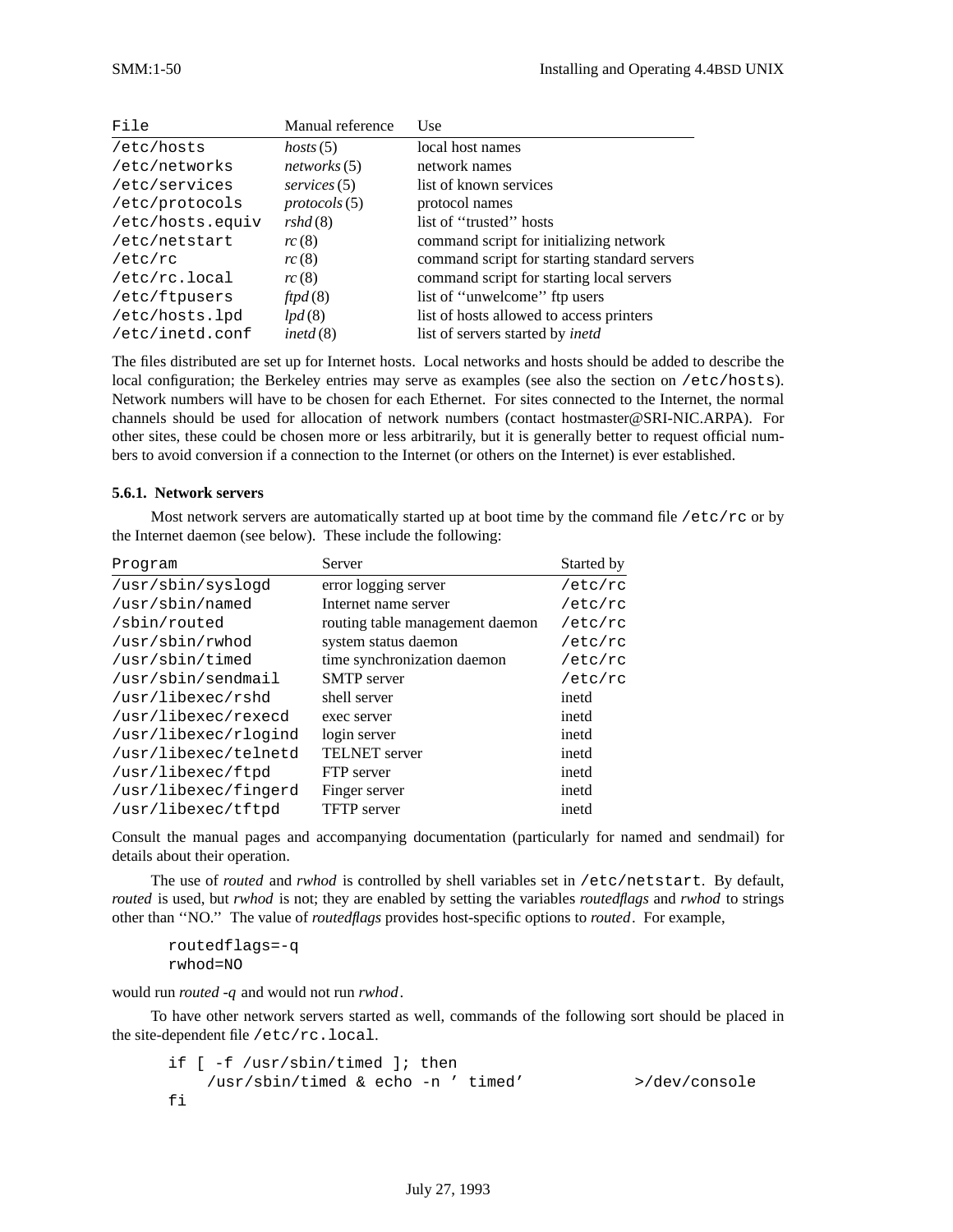| File             | Manual reference       | Use                                          |
|------------------|------------------------|----------------------------------------------|
| /etc/hosts       | hosts(5)               | local host names                             |
| /etc/networks    | networks (5)           | network names                                |
| /etc/services    | $s$ ervices $(5)$      | list of known services                       |
| /etc/protocols   | $proto \text{cols}(5)$ | protocol names                               |
| /etc/hosts.equiv | rshd(8)                | list of "trusted" hosts                      |
| /etc/netstart    | rc(8)                  | command script for initializing network      |
| /etc/rc          | rc(8)                  | command script for starting standard servers |
| /etc/rc.local    | rc(8)                  | command script for starting local servers    |
| /etc/ftpusers    | ftpd(8)                | list of "unwelcome" ftp users                |
| /etc/hosts.lpd   | lpd(8)                 | list of hosts allowed to access printers     |
| /etc/inetd.conf  | inetd $(8)$            | list of servers started by <i>inetd</i>      |

The files distributed are set up for Internet hosts. Local networks and hosts should be added to describe the local configuration; the Berkeley entries may serve as examples (see also the section on /etc/hosts). Network numbers will have to be chosen for each Ethernet. For sites connected to the Internet, the normal channels should be used for allocation of network numbers (contact hostmaster@SRI-NIC.ARPA). For other sites, these could be chosen more or less arbitrarily, but it is generally better to request official numbers to avoid conversion if a connection to the Internet (or others on the Internet) is ever established.

### **5.6.1. Network servers**

Most network servers are automatically started up at boot time by the command file  $/etc/rc$  or by the Internet daemon (see below). These include the following:

| Program              | Server                          | Started by |  |  |  |
|----------------------|---------------------------------|------------|--|--|--|
| /usr/sbin/syslogd    | error logging server            | /etc/rc    |  |  |  |
| /usr/sbin/named      | Internet name server            | /etc/rc    |  |  |  |
| /sbin/routed         | routing table management daemon | /etc/rc    |  |  |  |
| /usr/sbin/rwhod      | system status daemon            | /etc/rc    |  |  |  |
| /usr/sbin/timed      | time synchronization daemon     | /etc/rc    |  |  |  |
| /usr/sbin/sendmail   | <b>SMTP</b> server              | /etc/rc    |  |  |  |
| /usr/libexec/rshd    | shell server                    | inetd      |  |  |  |
| /usr/libexec/rexecd  | exec server                     | inetd      |  |  |  |
| /usr/libexec/rlogind | login server                    | inetd      |  |  |  |
| /usr/libexec/telnetd | <b>TELNET</b> server            | inetd      |  |  |  |
| /usr/libexec/ftpd    | FTP server                      | inetd      |  |  |  |
| /usr/libexec/fingerd | Finger server                   | inetd      |  |  |  |
| /usr/libexec/tftpd   | <b>TFTP</b> server              | inetd      |  |  |  |

Consult the manual pages and accompanying documentation (particularly for named and sendmail) for details about their operation.

The use of *routed* and *rwhod* is controlled by shell variables set in /etc/netstart. By default, *routed* is used, but *rwhod* is not; they are enabled by setting the variables *routedflags* and *rwhod* to strings other than ''NO.'' The value of *routedflags* provides host-specific options to *routed*. For example,

```
routedflags=-q
rwhod=NO
```
would run *routed -q* and would not run *rwhod*.

To have other network servers started as well, commands of the following sort should be placed in the site-dependent file /etc/rc.local.

```
if [ -f /usr/sbin/timed ]; then
   /usr/sbin/timed & echo -n ' timed' >/dev/console
fi
```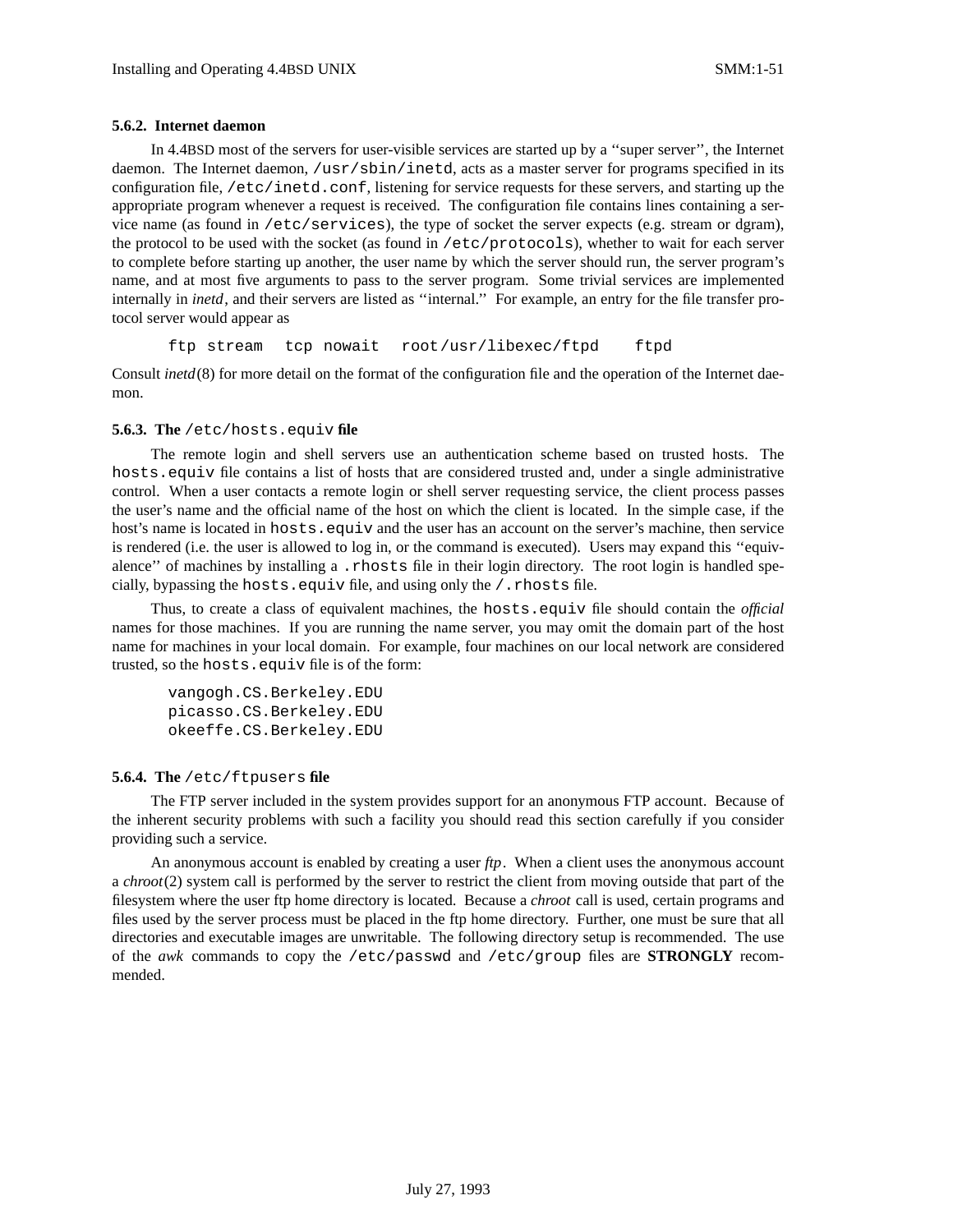### **5.6.2. Internet daemon**

In 4.4BSD most of the servers for user-visible services are started up by a ''super server'', the Internet daemon. The Internet daemon, /usr/sbin/inetd, acts as a master server for programs specified in its configuration file, /etc/inetd.conf, listening for service requests for these servers, and starting up the appropriate program whenever a request is received. The configuration file contains lines containing a service name (as found in /etc/services), the type of socket the server expects (e.g. stream or dgram), the protocol to be used with the socket (as found in /etc/protocols), whether to wait for each server to complete before starting up another, the user name by which the server should run, the server program's name, and at most five arguments to pass to the server program. Some trivial services are implemented internally in *inetd*, and their servers are listed as "internal." For example, an entry for the file transfer protocol server would appear as

ftp stream tcp nowait root /usr/libexec/ftpd ftpd

Consult *inetd*(8) for more detail on the format of the configuration file and the operation of the Internet daemon.

#### **5.6.3. The** /etc/hosts.equiv **file**

The remote login and shell servers use an authentication scheme based on trusted hosts. The hosts.equiv file contains a list of hosts that are considered trusted and, under a single administrative control. When a user contacts a remote login or shell server requesting service, the client process passes the user's name and the official name of the host on which the client is located. In the simple case, if the host's name is located in hosts.equiv and the user has an account on the server's machine, then service is rendered (i.e. the user is allowed to log in, or the command is executed). Users may expand this ''equivalence" of machines by installing a .rhosts file in their login directory. The root login is handled specially, bypassing the hosts.equiv file, and using only the /.rhosts file.

Thus, to create a class of equivalent machines, the hosts.equiv file should contain the *official* names for those machines. If you are running the name server, you may omit the domain part of the host name for machines in your local domain. For example, four machines on our local network are considered trusted, so the hosts.equiv file is of the form:

vangogh.CS.Berkeley.EDU picasso.CS.Berkeley.EDU okeeffe.CS.Berkeley.EDU

#### **5.6.4. The** /etc/ftpusers **file**

The FTP server included in the system provides support for an anonymous FTP account. Because of the inherent security problems with such a facility you should read this section carefully if you consider providing such a service.

An anonymous account is enabled by creating a user *ftp*. When a client uses the anonymous account a *chroot*(2) system call is performed by the server to restrict the client from moving outside that part of the filesystem where the user ftp home directory is located. Because a *chroot* call is used, certain programs and files used by the server process must be placed in the ftp home directory. Further, one must be sure that all directories and executable images are unwritable. The following directory setup is recommended. The use of the *awk* commands to copy the /etc/passwd and /etc/group files are **STRONGLY** recommended.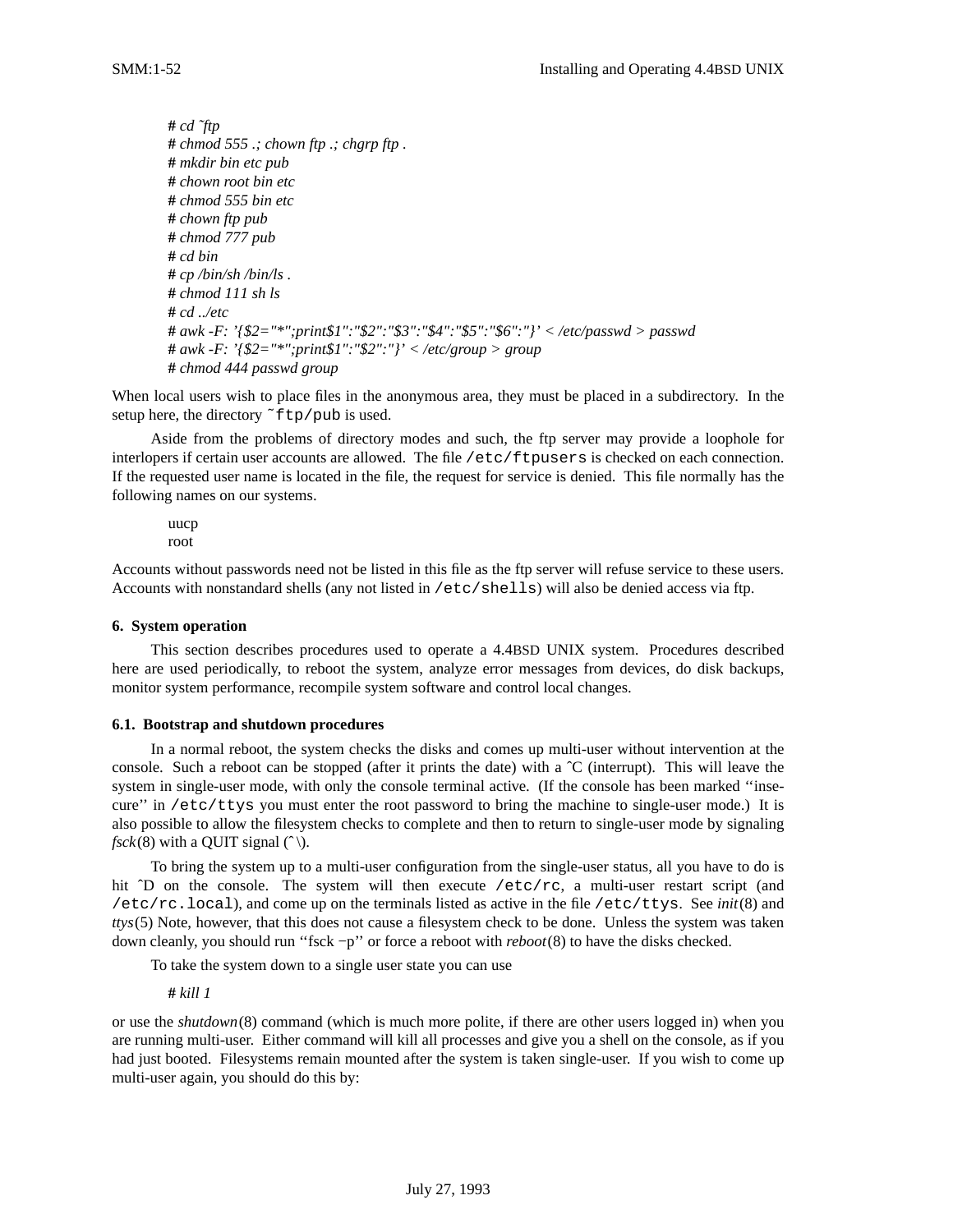**#** *cd ˜ftp* **#** *chmod 555 .; chown ftp .; chgrp ftp .* **#** *mkdir bin etc pub* **#** *chown root bin etc* **#** *chmod 555 bin etc* **#** *chown ftp pub* **#** *chmod 777 pub* **#** *cd bin* **#** *cp /bin/sh /bin/ls .* **#** *chmod 111 sh ls* **#** *cd ../etc* **#** *awk -F: '{\$2="\*";print\$1":"\$2":"\$3":"\$4":"\$5":"\$6":"}' < /etc/passwd > passwd* **#** *awk -F: '{\$2="\*";print\$1":"\$2":"}' < /etc/group > group* **#** *chmod 444 passwd group*

When local users wish to place files in the anonymous area, they must be placed in a subdirectory. In the setup here, the directory ~ftp/pub is used.

Aside from the problems of directory modes and such, the ftp server may provide a loophole for interlopers if certain user accounts are allowed. The file /etc/ftpusers is checked on each connection. If the requested user name is located in the file, the request for service is denied. This file normally has the following names on our systems.

uucp root

Accounts without passwords need not be listed in this file as the ftp server will refuse service to these users. Accounts with nonstandard shells (any not listed in /etc/shells) will also be denied access via ftp.

### **6. System operation**

This section describes procedures used to operate a 4.4BSD UNIX system. Procedures described here are used periodically, to reboot the system, analyze error messages from devices, do disk backups, monitor system performance, recompile system software and control local changes.

### **6.1. Bootstrap and shutdown procedures**

In a normal reboot, the system checks the disks and comes up multi-user without intervention at the console. Such a reboot can be stopped (after it prints the date) with a  $\hat{C}$  (interrupt). This will leave the system in single-user mode, with only the console terminal active. (If the console has been marked ''insecure'' in /etc/ttys you must enter the root password to bring the machine to single-user mode.) It is also possible to allow the filesystem checks to complete and then to return to single-user mode by signaling *fsck*(8) with a OUIT signal  $(\hat{\ })$ .

To bring the system up to a multi-user configuration from the single-user status, all you have to do is hit <sup> $\circ$ </sup>D on the console. The system will then execute /etc/rc, a multi-user restart script (and /etc/rc.local), and come up on the terminals listed as active in the file /etc/ttys. See *init*(8) and *ttys*(5) Note, however, that this does not cause a filesystem check to be done. Unless the system was taken down cleanly, you should run ''fsck −p'' or force a reboot with *reboot*(8) to have the disks checked.

To take the system down to a single user state you can use

**#** *kill 1*

or use the *shutdown*(8) command (which is much more polite, if there are other users logged in) when you are running multi-user. Either command will kill all processes and give you a shell on the console, as if you had just booted. Filesystems remain mounted after the system is taken single-user. If you wish to come up multi-user again, you should do this by: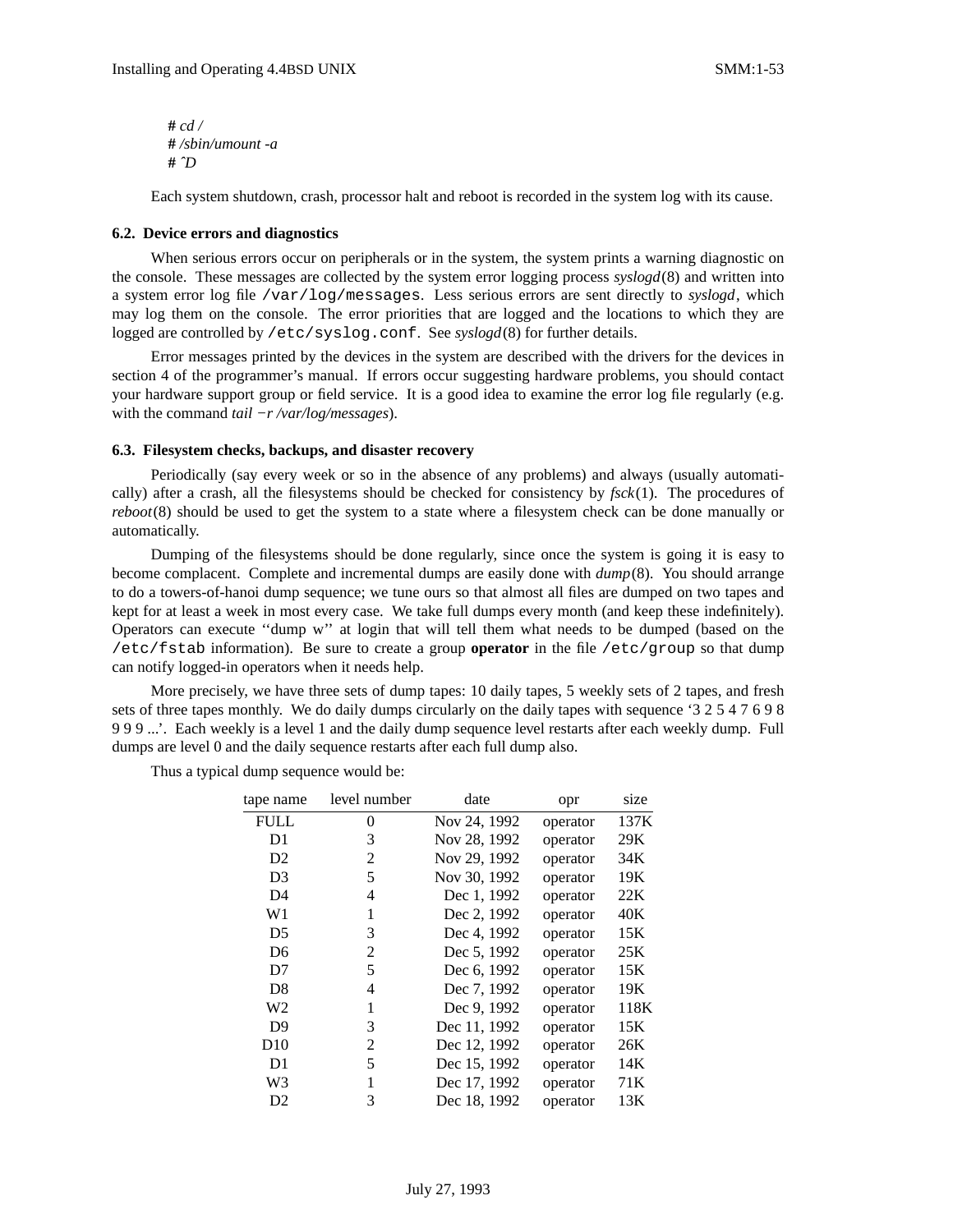**#** *cd /* **#** */sbin/umount -a* **#** *ˆD*

Each system shutdown, crash, processor halt and reboot is recorded in the system log with its cause.

### **6.2. Device errors and diagnostics**

When serious errors occur on peripherals or in the system, the system prints a warning diagnostic on the console. These messages are collected by the system error logging process *syslogd*(8) and written into a system error log file /var/log/messages. Less serious errors are sent directly to *syslogd*, which may log them on the console. The error priorities that are logged and the locations to which they are logged are controlled by /etc/syslog.conf. See *syslogd*(8) for further details.

Error messages printed by the devices in the system are described with the drivers for the devices in section 4 of the programmer's manual. If errors occur suggesting hardware problems, you should contact your hardware support group or field service. It is a good idea to examine the error log file regularly (e.g. with the command *tail −r /var/log/messages*).

### **6.3. Filesystem checks, backups, and disaster recovery**

Periodically (say every week or so in the absence of any problems) and always (usually automatically) after a crash, all the filesystems should be checked for consistency by *fsck*(1). The procedures of *reboot*(8) should be used to get the system to a state where a filesystem check can be done manually or automatically.

Dumping of the filesystems should be done regularly, since once the system is going it is easy to become complacent. Complete and incremental dumps are easily done with *dump*(8). You should arrange to do a towers-of-hanoi dump sequence; we tune ours so that almost all files are dumped on two tapes and kept for at least a week in most every case. We take full dumps every month (and keep these indefinitely). Operators can execute ''dump w'' at login that will tell them what needs to be dumped (based on the /etc/fstab information). Be sure to create a group **operator** in the file /etc/group so that dump can notify logged-in operators when it needs help.

More precisely, we have three sets of dump tapes: 10 daily tapes, 5 weekly sets of 2 tapes, and fresh sets of three tapes monthly. We do daily dumps circularly on the daily tapes with sequence '3 2 5 4 7 6 9 8 9 9 9 ...'. Each weekly is a level 1 and the daily dump sequence level restarts after each weekly dump. Full dumps are level 0 and the daily sequence restarts after each full dump also.

Thus a typical dump sequence would be:

| tape name      | level number | date         | opr      | size |
|----------------|--------------|--------------|----------|------|
| <b>FULL</b>    | 0            | Nov 24, 1992 | operator | 137K |
| D1             | 3            | Nov 28, 1992 | operator | 29K  |
| D <sub>2</sub> | 2            | Nov 29, 1992 | operator | 34K  |
| D <sub>3</sub> | 5            | Nov 30, 1992 | operator | 19K  |
| D4             | 4            | Dec 1, 1992  | operator | 22K  |
| W1             | 1            | Dec 2, 1992  | operator | 40K  |
| D <sub>5</sub> | 3            | Dec 4, 1992  | operator | 15K  |
| D <sub>6</sub> | 2            | Dec 5, 1992  | operator | 25K  |
| D7             | 5            | Dec 6, 1992  | operator | 15K  |
| D <sub>8</sub> | 4            | Dec 7, 1992  | operator | 19K  |
| W2             | 1            | Dec 9, 1992  | operator | 118K |
| D <sub>9</sub> | 3            | Dec 11, 1992 | operator | 15K  |
| D10            | 2            | Dec 12, 1992 | operator | 26K  |
| D1             | 5            | Dec 15, 1992 | operator | 14K  |
| W3             |              | Dec 17, 1992 | operator | 71K  |
| D2             | 3            | Dec 18, 1992 | operator | 13K  |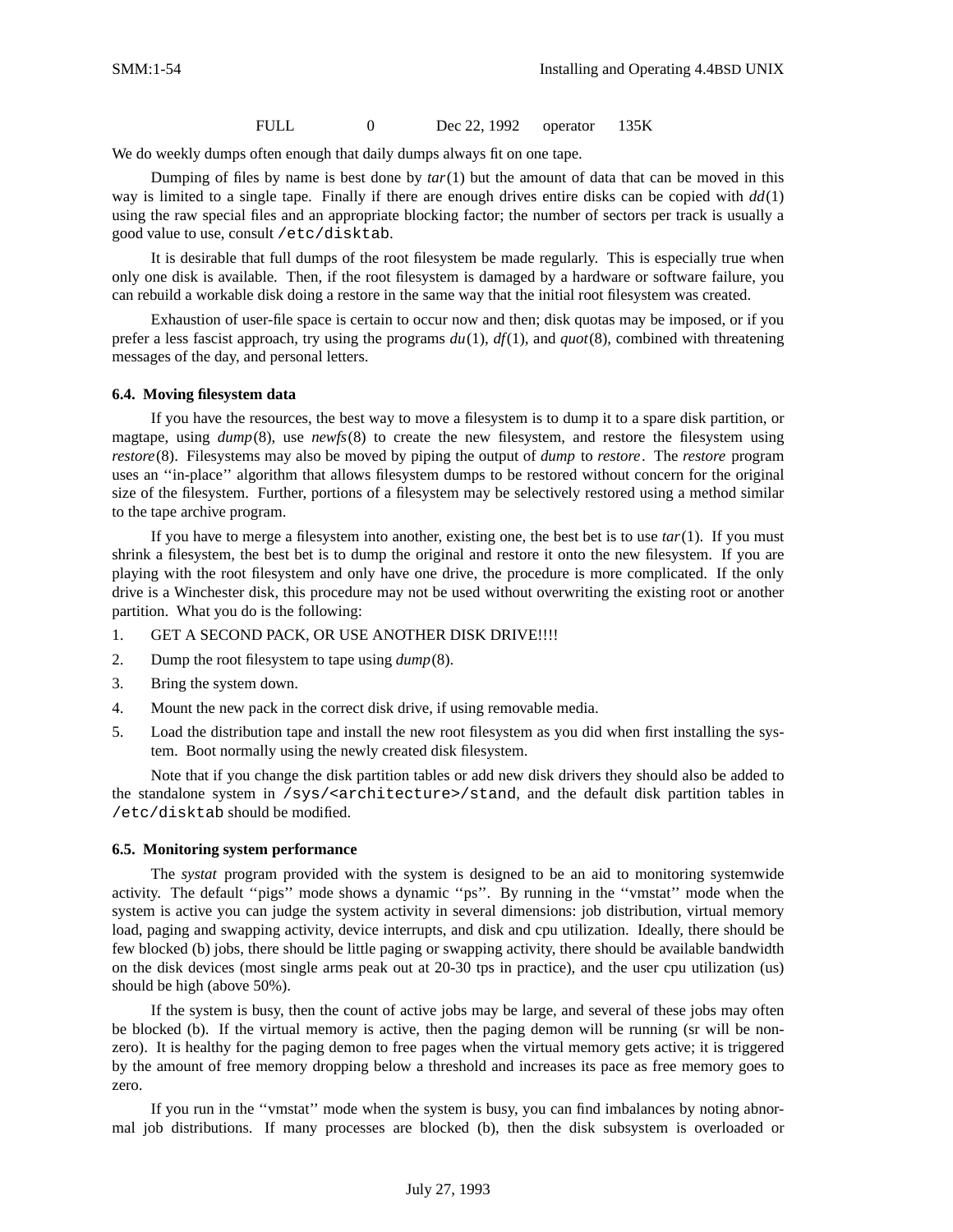FULL 0 Dec 22, 1992 operator 135K

We do weekly dumps often enough that daily dumps always fit on one tape.

Dumping of files by name is best done by *tar*(1) but the amount of data that can be moved in this way is limited to a single tape. Finally if there are enough drives entire disks can be copied with *dd*(1) using the raw special files and an appropriate blocking factor; the number of sectors per track is usually a good value to use, consult /etc/disktab.

It is desirable that full dumps of the root filesystem be made regularly. This is especially true when only one disk is available. Then, if the root filesystem is damaged by a hardware or software failure, you can rebuild a workable disk doing a restore in the same way that the initial root filesystem was created.

Exhaustion of user-file space is certain to occur now and then; disk quotas may be imposed, or if you prefer a less fascist approach, try using the programs *du*(1), *df*(1), and *quot*(8), combined with threatening messages of the day, and personal letters.

### **6.4. Moving filesystem data**

If you have the resources, the best way to move a filesystem is to dump it to a spare disk partition, or magtape, using *dump*(8), use *newfs*(8) to create the new filesystem, and restore the filesystem using *restore*(8). Filesystems may also be moved by piping the output of *dump* to *restore*. The *restore* program uses an ''in-place'' algorithm that allows filesystem dumps to be restored without concern for the original size of the filesystem. Further, portions of a filesystem may be selectively restored using a method similar to the tape archive program.

If you have to merge a filesystem into another, existing one, the best bet is to use *tar*(1). If you must shrink a filesystem, the best bet is to dump the original and restore it onto the new filesystem. If you are playing with the root filesystem and only have one drive, the procedure is more complicated. If the only drive is a Winchester disk, this procedure may not be used without overwriting the existing root or another partition. What you do is the following:

- 1. GET A SECOND PACK, OR USE ANOTHER DISK DRIVE!!!!
- 2. Dump the root filesystem to tape using *dump*(8).
- 3. Bring the system down.
- 4. Mount the new pack in the correct disk drive, if using removable media.
- 5. Load the distribution tape and install the new root filesystem as you did when first installing the system. Boot normally using the newly created disk filesystem.

Note that if you change the disk partition tables or add new disk drivers they should also be added to the standalone system in /sys/<architecture>/stand, and the default disk partition tables in /etc/disktab should be modified.

### **6.5. Monitoring system performance**

The *systat* program provided with the system is designed to be an aid to monitoring systemwide activity. The default "pigs" mode shows a dynamic "ps". By running in the "vmstat" mode when the system is active you can judge the system activity in several dimensions: job distribution, virtual memory load, paging and swapping activity, device interrupts, and disk and cpu utilization. Ideally, there should be few blocked (b) jobs, there should be little paging or swapping activity, there should be available bandwidth on the disk devices (most single arms peak out at 20-30 tps in practice), and the user cpu utilization (us) should be high (above 50%).

If the system is busy, then the count of active jobs may be large, and several of these jobs may often be blocked (b). If the virtual memory is active, then the paging demon will be running (sr will be nonzero). It is healthy for the paging demon to free pages when the virtual memory gets active; it is triggered by the amount of free memory dropping below a threshold and increases its pace as free memory goes to zero.

If you run in the ''vmstat'' mode when the system is busy, you can find imbalances by noting abnormal job distributions. If many processes are blocked (b), then the disk subsystem is overloaded or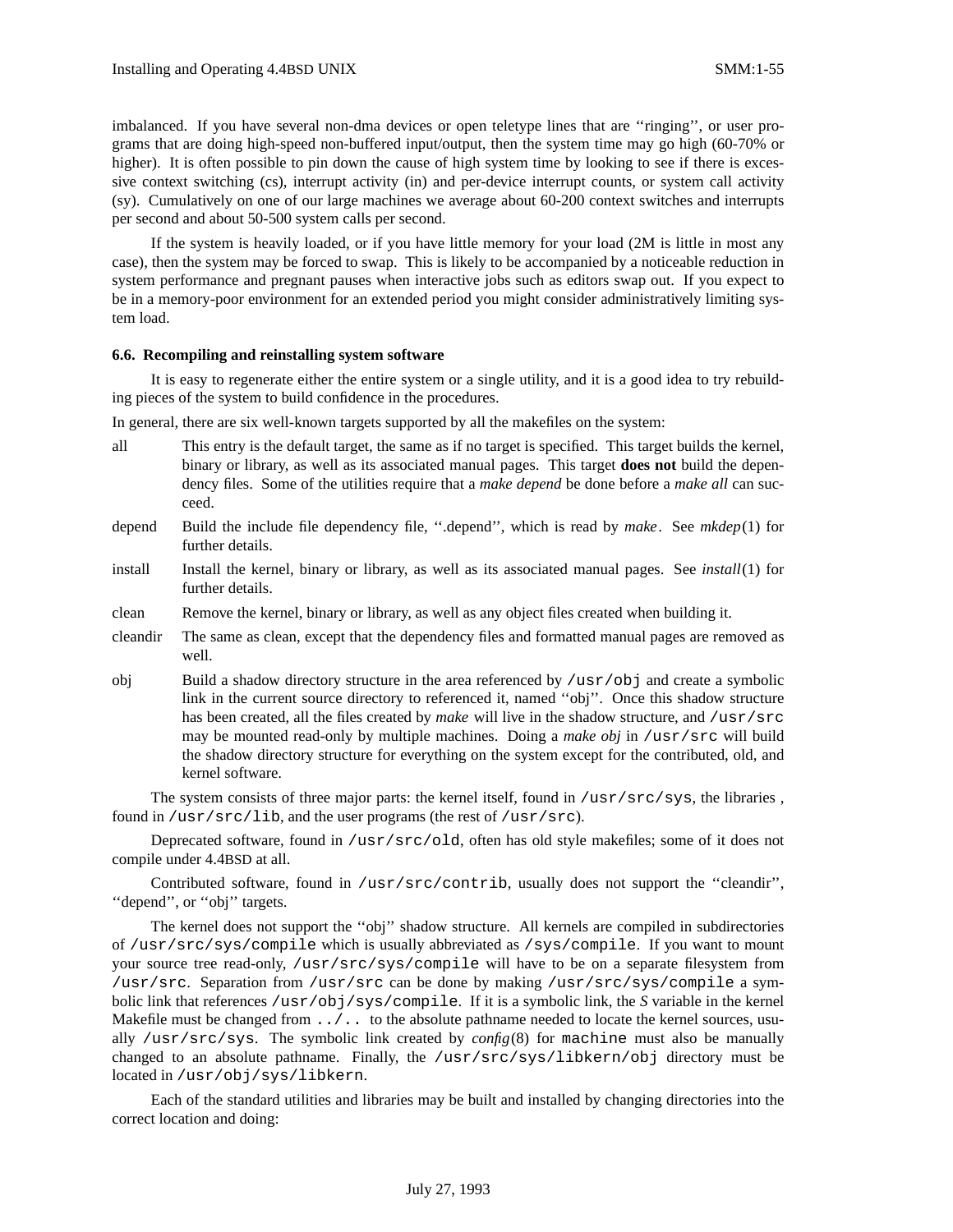imbalanced. If you have several non-dma devices or open teletype lines that are "ringing", or user programs that are doing high-speed non-buffered input/output, then the system time may go high (60-70% or higher). It is often possible to pin down the cause of high system time by looking to see if there is excessive context switching (cs), interrupt activity (in) and per-device interrupt counts, or system call activity (sy). Cumulatively on one of our large machines we average about 60-200 context switches and interrupts per second and about 50-500 system calls per second.

If the system is heavily loaded, or if you have little memory for your load (2M is little in most any case), then the system may be forced to swap. This is likely to be accompanied by a noticeable reduction in system performance and pregnant pauses when interactive jobs such as editors swap out. If you expect to be in a memory-poor environment for an extended period you might consider administratively limiting system load.

#### **6.6. Recompiling and reinstalling system software**

It is easy to regenerate either the entire system or a single utility, and it is a good idea to try rebuilding pieces of the system to build confidence in the procedures.

In general, there are six well-known targets supported by all the makefiles on the system:

- all This entry is the default target, the same as if no target is specified. This target builds the kernel, binary or library, as well as its associated manual pages. This target **does not** build the dependency files. Some of the utilities require that a *make depend* be done before a *make all* can succeed.
- depend Build the include file dependency file, ''.depend'', which is read by *make*. See *mkdep*(1) for further details.
- install Install the kernel, binary or library, as well as its associated manual pages. See *install*(1) for further details.
- clean Remove the kernel, binary or library, as well as any object files created when building it.
- cleandir The same as clean, except that the dependency files and formatted manual pages are removed as well.
- obj Build a shadow directory structure in the area referenced by /usr/obj and create a symbolic link in the current source directory to referenced it, named ''obj''. Once this shadow structure has been created, all the files created by *make* will live in the shadow structure, and /usr/src may be mounted read-only by multiple machines. Doing a *make obj* in /usr/src will build the shadow directory structure for everything on the system except for the contributed, old, and kernel software.

The system consists of three major parts: the kernel itself, found in /usr/src/sys, the libraries, found in  $/\text{usr}/\text{src}/\text{lib}$ , and the user programs (the rest of  $/\text{usr}/\text{src}$ ).

Deprecated software, found in /usr/src/old, often has old style makefiles; some of it does not compile under 4.4BSD at all.

Contributed software, found in /usr/src/contrib, usually does not support the ''cleandir'', "depend", or "obj" targets.

The kernel does not support the ''obj'' shadow structure. All kernels are compiled in subdirectories of /usr/src/sys/compile which is usually abbreviated as /sys/compile. If you want to mount your source tree read-only, /usr/src/sys/compile will have to be on a separate filesystem from /usr/src. Separation from /usr/src can be done by making /usr/src/sys/compile a symbolic link that references /usr/obj/sys/compile. If it is a symbolic link, the *S* variable in the kernel Makefile must be changed from  $\ldots$  ... to the absolute pathname needed to locate the kernel sources, usually /usr/src/sys. The symbolic link created by *config*(8) for machine must also be manually changed to an absolute pathname. Finally, the /usr/src/sys/libkern/obj directory must be located in /usr/obj/sys/libkern.

Each of the standard utilities and libraries may be built and installed by changing directories into the correct location and doing: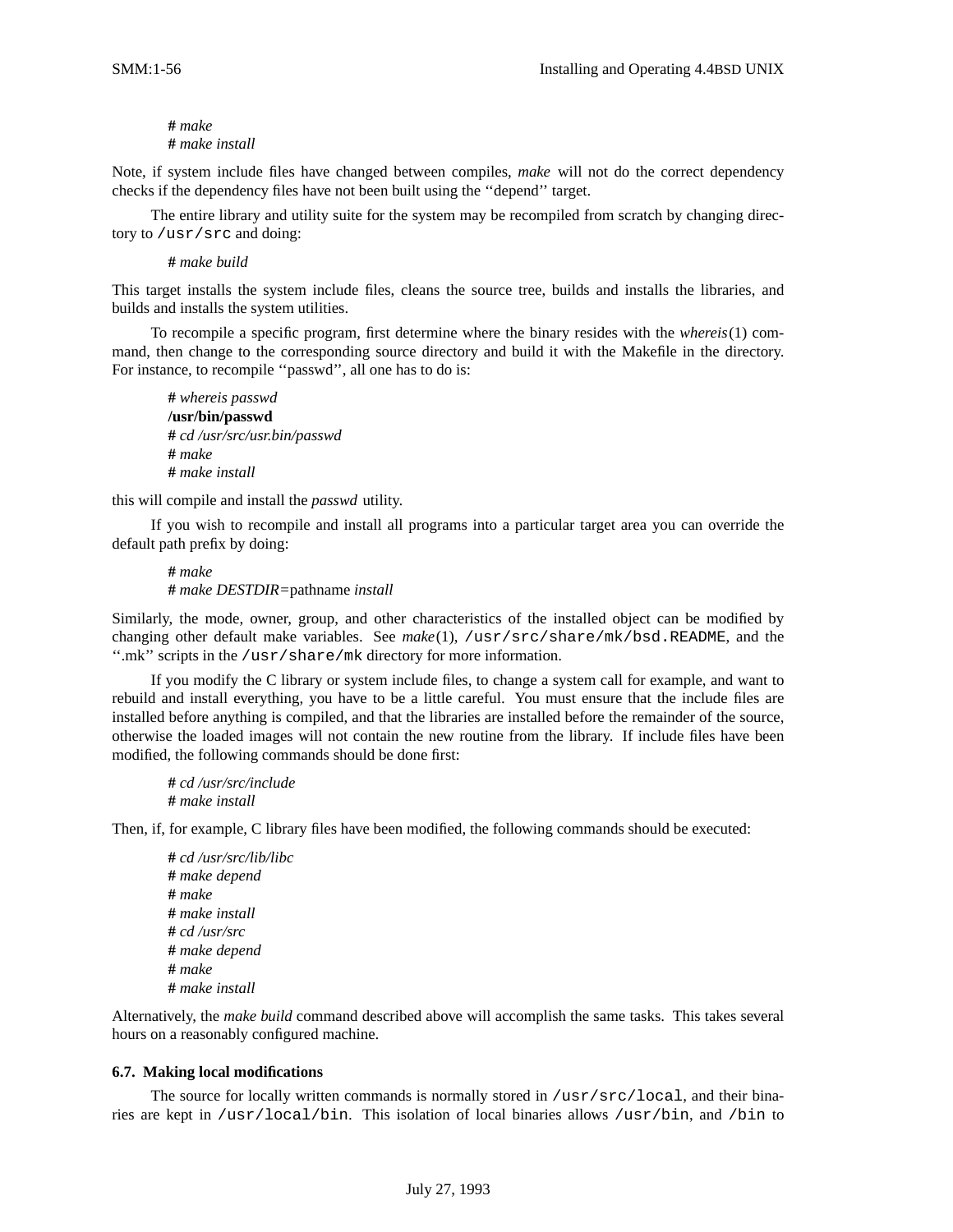### **#** *make* **#** *make install*

Note, if system include files have changed between compiles, *make* will not do the correct dependency checks if the dependency files have not been built using the ''depend'' target.

The entire library and utility suite for the system may be recompiled from scratch by changing directory to /usr/src and doing:

### **#** *make build*

This target installs the system include files, cleans the source tree, builds and installs the libraries, and builds and installs the system utilities.

To recompile a specific program, first determine where the binary resides with the *whereis*(1) command, then change to the corresponding source directory and build it with the Makefile in the directory. For instance, to recompile ''passwd'', all one has to do is:

**#** *whereis passwd* **/usr/bin/passwd #** *cd /usr/src/usr.bin/passwd* **#** *make* **#** *make install*

this will compile and install the *passwd* utility.

If you wish to recompile and install all programs into a particular target area you can override the default path prefix by doing:

**#** *make* **#** *make DESTDIR=*pathname *install*

Similarly, the mode, owner, group, and other characteristics of the installed object can be modified by changing other default make variables. See *make*(1), /usr/src/share/mk/bsd.README, and the ''.mk'' scripts in the /usr/share/mk directory for more information.

If you modify the C library or system include files, to change a system call for example, and want to rebuild and install everything, you have to be a little careful. You must ensure that the include files are installed before anything is compiled, and that the libraries are installed before the remainder of the source, otherwise the loaded images will not contain the new routine from the library. If include files have been modified, the following commands should be done first:

**#** *cd /usr/src/include* **#** *make install*

Then, if, for example, C library files have been modified, the following commands should be executed:

**#** *cd /usr/src/lib/libc* **#** *make depend* **#** *make* **#** *make install* **#** *cd /usr/src* **#** *make depend* **#** *make* **#** *make install*

Alternatively, the *make build* command described above will accomplish the same tasks. This takes several hours on a reasonably configured machine.

### **6.7. Making local modifications**

The source for locally written commands is normally stored in /usr/src/local, and their binaries are kept in /usr/local/bin. This isolation of local binaries allows /usr/bin, and /bin to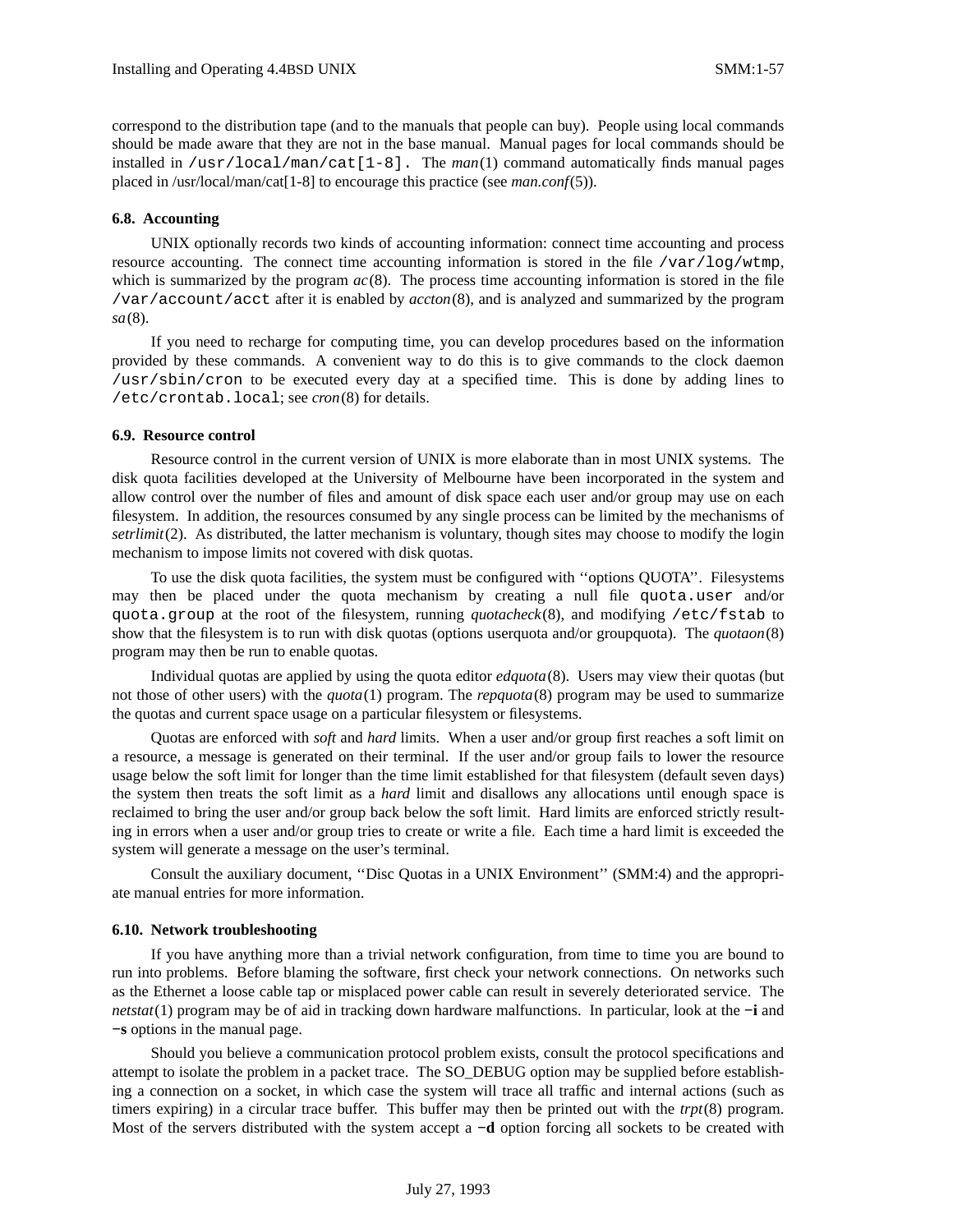correspond to the distribution tape (and to the manuals that people can buy). People using local commands should be made aware that they are not in the base manual. Manual pages for local commands should be installed in /usr/local/man/cat[1-8]. The *man*(1) command automatically finds manual pages placed in /usr/local/man/cat[1-8] to encourage this practice (see *man.conf*(5)).

#### **6.8. Accounting**

UNIX optionally records two kinds of accounting information: connect time accounting and process resource accounting. The connect time accounting information is stored in the file  $/\text{var}/\text{log}/\text{wtmp}$ , which is summarized by the program  $ac(8)$ . The process time accounting information is stored in the file /var/account/acct after it is enabled by *accton*(8), and is analyzed and summarized by the program *sa*(8).

If you need to recharge for computing time, you can develop procedures based on the information provided by these commands. A convenient way to do this is to give commands to the clock daemon /usr/sbin/cron to be executed every day at a specified time. This is done by adding lines to /etc/crontab.local; see *cron*(8) for details.

### **6.9. Resource control**

Resource control in the current version of UNIX is more elaborate than in most UNIX systems. The disk quota facilities developed at the University of Melbourne have been incorporated in the system and allow control over the number of files and amount of disk space each user and/or group may use on each filesystem. In addition, the resources consumed by any single process can be limited by the mechanisms of *setrlimit*(2). As distributed, the latter mechanism is voluntary, though sites may choose to modify the login mechanism to impose limits not covered with disk quotas.

To use the disk quota facilities, the system must be configured with ''options QUOTA''. Filesystems may then be placed under the quota mechanism by creating a null file quota.user and/or quota.group at the root of the filesystem, running *quotacheck*(8), and modifying /etc/fstab to show that the filesystem is to run with disk quotas (options userquota and/or groupquota). The *quotaon*(8) program may then be run to enable quotas.

Individual quotas are applied by using the quota editor *edquota*(8). Users may view their quotas (but not those of other users) with the *quota*(1) program. The *repquota*(8) program may be used to summarize the quotas and current space usage on a particular filesystem or filesystems.

Quotas are enforced with *soft* and *hard* limits. When a user and/or group first reaches a soft limit on a resource, a message is generated on their terminal. If the user and/or group fails to lower the resource usage below the soft limit for longer than the time limit established for that filesystem (default seven days) the system then treats the soft limit as a *hard* limit and disallows any allocations until enough space is reclaimed to bring the user and/or group back below the soft limit. Hard limits are enforced strictly resulting in errors when a user and/or group tries to create or write a file. Each time a hard limit is exceeded the system will generate a message on the user's terminal.

Consult the auxiliary document, ''Disc Quotas in a UNIX Environment'' (SMM:4) and the appropriate manual entries for more information.

#### **6.10. Network troubleshooting**

If you have anything more than a trivial network configuration, from time to time you are bound to run into problems. Before blaming the software, first check your network connections. On networks such as the Ethernet a loose cable tap or misplaced power cable can result in severely deteriorated service. The *netstat*(1) program may be of aid in tracking down hardware malfunctions. In particular, look at the **−i** and **−s** options in the manual page.

Should you believe a communication protocol problem exists, consult the protocol specifications and attempt to isolate the problem in a packet trace. The SO\_DEBUG option may be supplied before establishing a connection on a socket, in which case the system will trace all traffic and internal actions (such as timers expiring) in a circular trace buffer. This buffer may then be printed out with the *trpt*(8) program. Most of the servers distributed with the system accept a **−d** option forcing all sockets to be created with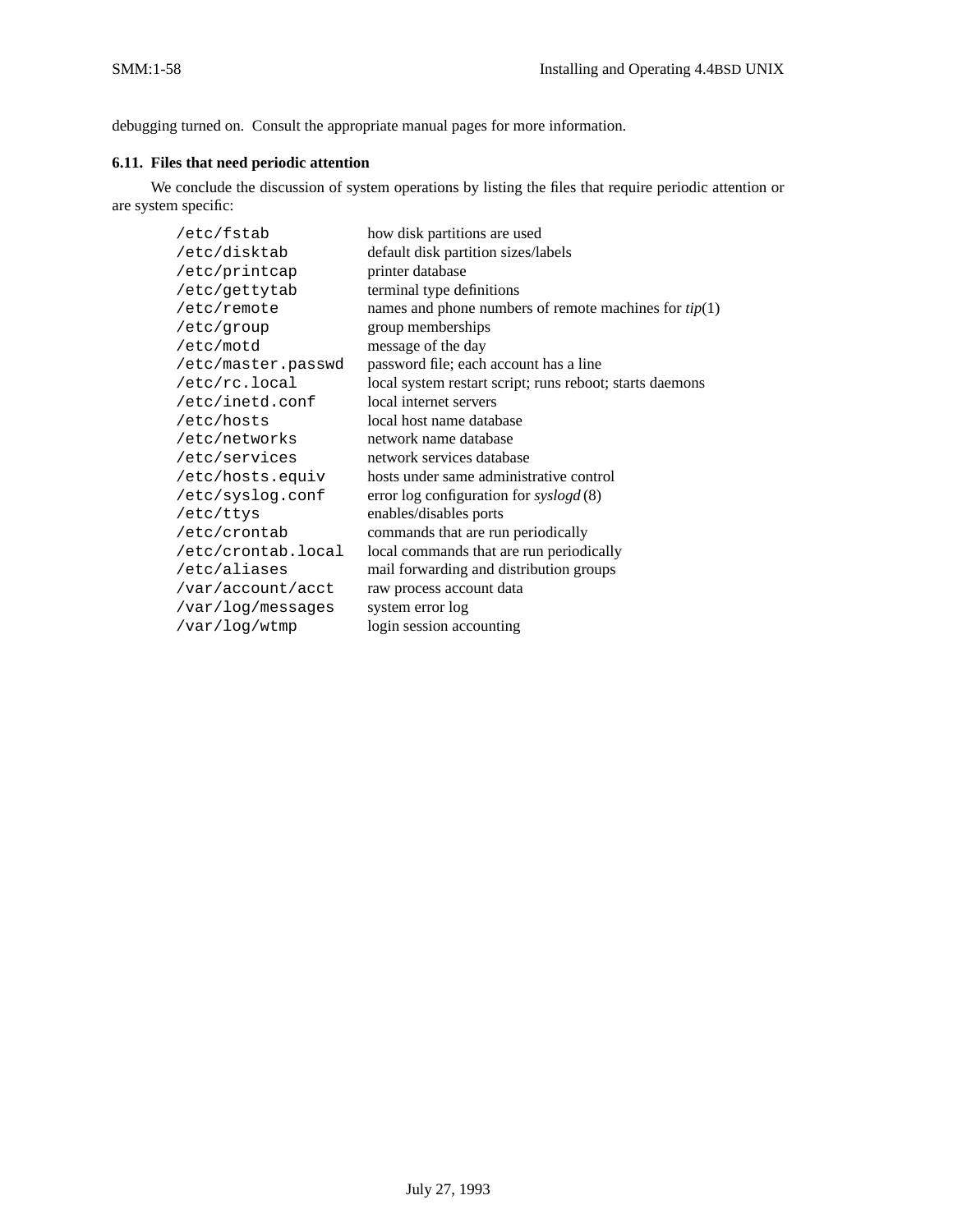debugging turned on. Consult the appropriate manual pages for more information.

## **6.11. Files that need periodic attention**

We conclude the discussion of system operations by listing the files that require periodic attention or are system specific:

| /etc/fstab         | how disk partitions are used                             |
|--------------------|----------------------------------------------------------|
| /etc/disktab       | default disk partition sizes/labels                      |
| /etc/printcap      | printer database                                         |
| /etc/gettytab      | terminal type definitions                                |
| /etc/remote        | names and phone numbers of remote machines for $tip(1)$  |
| /etc/group         | group memberships                                        |
| /etc/motd          | message of the day                                       |
| /etc/master.passwd | password file; each account has a line                   |
| /etc/rc.local      | local system restart script; runs reboot; starts daemons |
| /etc/inetd.conf    | local internet servers                                   |
| /etc/hosts         | local host name database                                 |
| /etc/networks      | network name database                                    |
| /etc/services      | network services database                                |
| /etc/hosts.equiv   | hosts under same administrative control                  |
| /etc/syslog.conf   | error log configuration for $syslogd(8)$                 |
| /etc/ttys          | enables/disables ports                                   |
| /etc/crontab       | commands that are run periodically                       |
| /etc/crontab.local | local commands that are run periodically                 |
| /etc/aliases       | mail forwarding and distribution groups                  |
| /var/account/acct  | raw process account data                                 |
| /var/log/messages  | system error log                                         |
| /var/log/wtmp      | login session accounting                                 |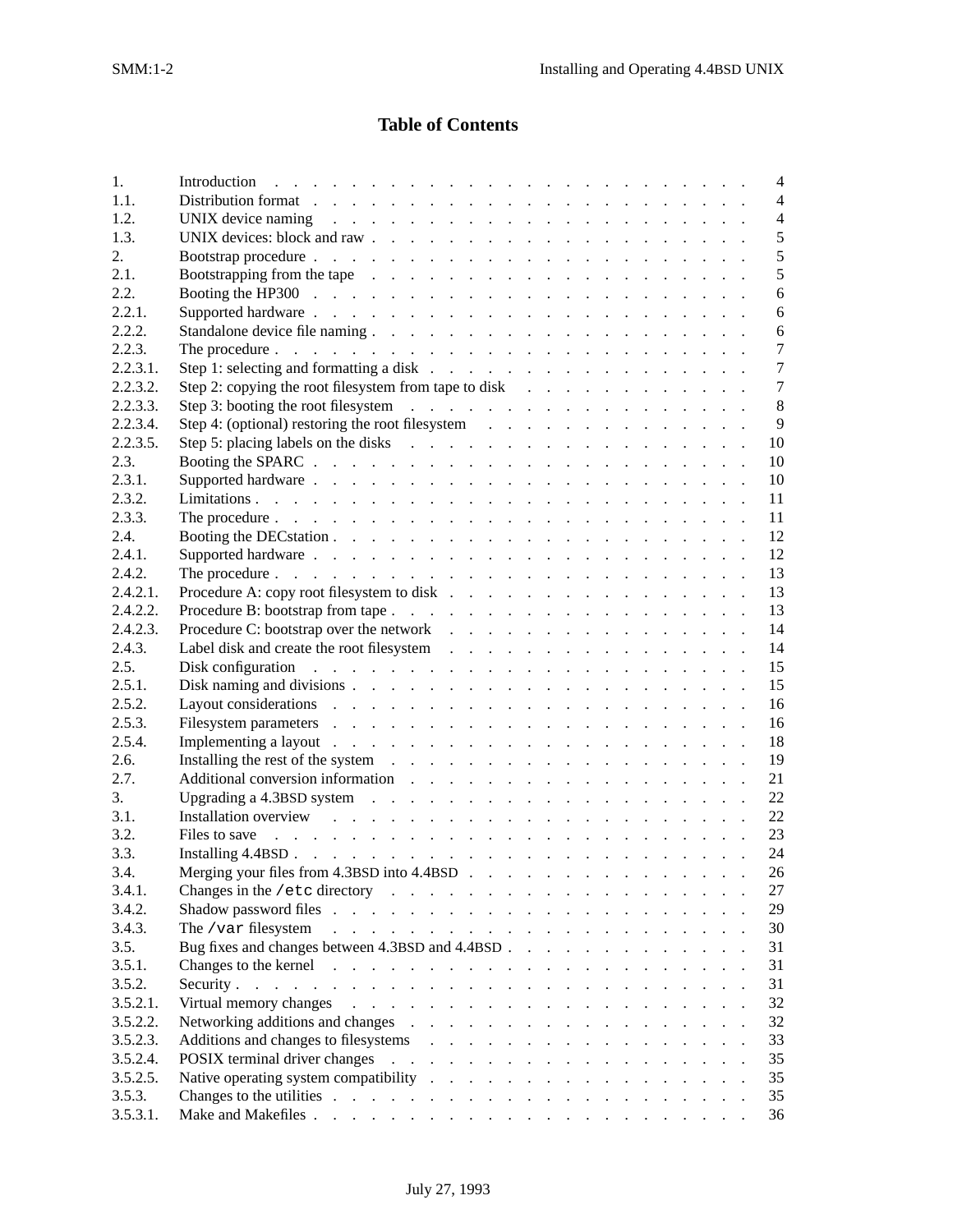# **Table of Contents**

| 1.       | Introduction (b) and a contract of the contract of the contract of the contract of the contract of the contract of the contract of the contract of the contract of the contract of the contract of the contract of the contrac | $\overline{4}$ |
|----------|--------------------------------------------------------------------------------------------------------------------------------------------------------------------------------------------------------------------------------|----------------|
| 1.1.     | Distribution format research and contact the contact of the contact of the contact of the contact of the contact of the contact of the contact of the contact of the contact of the contact of the contact of the contact of t | $\overline{4}$ |
| 1.2.     | UNIX device naming response to the contract of the contract of the contract of the contract of the contract of                                                                                                                 | $\overline{4}$ |
| 1.3.     |                                                                                                                                                                                                                                | 5              |
| 2.       |                                                                                                                                                                                                                                | 5              |
| 2.1.     | Bootstrapping from the tape resources and resources are a set of the tape of the set of the set of the set of the set of the set of the set of the set of the set of the set of the set of the set of the set of the set of th | 5              |
| 2.2.     |                                                                                                                                                                                                                                | 6              |
| 2.2.1.   | Supported hardware resources and contact the contact of the contact of the contact of the contact of the contact of the contact of the contact of the contact of the contact of the contact of the contact of the contact of t | 6              |
| 2.2.2.   |                                                                                                                                                                                                                                | 6              |
| 2.2.3.   | The procedure $\ldots$ $\ldots$ $\ldots$ $\ldots$ $\ldots$ $\ldots$ $\ldots$ $\ldots$ $\ldots$ $\ldots$ $\ldots$ $\ldots$                                                                                                      | $\overline{7}$ |
| 2.2.3.1. |                                                                                                                                                                                                                                | $\overline{7}$ |
| 2.2.3.2. | Step 2: copying the root filesystem from tape to disk                                                                                                                                                                          | $\overline{7}$ |
| 2.2.3.3. |                                                                                                                                                                                                                                | 8              |
| 2.2.3.4. | Step 4: (optional) restoring the root filesystem                                                                                                                                                                               | 9              |
| 2.2.3.5. |                                                                                                                                                                                                                                | 10             |
| 2.3.     |                                                                                                                                                                                                                                | 10             |
| 2.3.1.   |                                                                                                                                                                                                                                | 10             |
| 2.3.2.   |                                                                                                                                                                                                                                | 11             |
| 2.3.3.   |                                                                                                                                                                                                                                | 11             |
| 2.4.     |                                                                                                                                                                                                                                | 12             |
| 2.4.1.   |                                                                                                                                                                                                                                | 12             |
|          |                                                                                                                                                                                                                                |                |
| 2.4.2.   |                                                                                                                                                                                                                                | 13             |
| 2.4.2.1. | Procedure A: copy root filesystem to disk                                                                                                                                                                                      | 13             |
| 2.4.2.2. |                                                                                                                                                                                                                                | 13             |
| 2.4.2.3. | Procedure C: bootstrap over the network                                                                                                                                                                                        | 14             |
| 2.4.3.   | Label disk and create the root filesystem                                                                                                                                                                                      | 14             |
| 2.5.     | Disk configuration references and contact the contact of the contact of the contact of the contact of the contact of the contact of the contact of the contact of the contact of the contact of the contact of the contact of  | 15             |
| 2.5.1.   | Disk naming and divisions $\ldots$ $\ldots$ $\ldots$ $\ldots$ $\ldots$ $\ldots$ $\ldots$ $\ldots$ $\ldots$                                                                                                                     | 15             |
| 2.5.2.   | Layout considerations research and considerations research and considerations research and consider the constant of the constant of the constant of the constant of the constant of the constant of the constant of the consta | 16             |
| 2.5.3.   |                                                                                                                                                                                                                                | 16             |
| 2.5.4.   |                                                                                                                                                                                                                                | 18             |
| 2.6.     |                                                                                                                                                                                                                                | 19             |
| 2.7.     |                                                                                                                                                                                                                                | 21             |
| 3.       |                                                                                                                                                                                                                                | 22             |
| 3.1.     |                                                                                                                                                                                                                                | 22             |
| 3.2.     |                                                                                                                                                                                                                                | 23             |
| 3.3.     |                                                                                                                                                                                                                                | 24             |
| 3.4.     | Merging your files from 4.3BSD into 4.4BSD $\ldots$ $\ldots$ $\ldots$ $\ldots$ $\ldots$ $\ldots$                                                                                                                               | 26             |
| 3.4.1.   |                                                                                                                                                                                                                                | 27             |
| 3.4.2.   |                                                                                                                                                                                                                                | 29             |
| 3.4.3.   | The /var filesystem<br>the contract of the contract of the contract of the contract of the contract of                                                                                                                         | 30             |
| 3.5.     | Bug fixes and changes between 4.3BSD and 4.4BSD                                                                                                                                                                                | 31             |
| 3.5.1.   |                                                                                                                                                                                                                                | 31             |
| 3.5.2.   |                                                                                                                                                                                                                                | 31             |
| 3.5.2.1. | Virtual memory changes and a subset of the contract of the contract of the contract of the contract of the contract of the contract of the contract of the contract of the contract of the contract of the contract of the con | 32             |
| 3.5.2.2. |                                                                                                                                                                                                                                | 32             |
| 3.5.2.3. | Additions and changes to filesystems enters and changes to filesystems and changes to the system of the system of the system of the system of the system of the system of the system of the system of the system of the system | 33             |
| 3.5.2.4. |                                                                                                                                                                                                                                | 35             |
| 3.5.2.5. |                                                                                                                                                                                                                                | 35             |
| 3.5.3.   |                                                                                                                                                                                                                                | 35             |
| 3.5.3.1. |                                                                                                                                                                                                                                | 36             |
|          |                                                                                                                                                                                                                                |                |